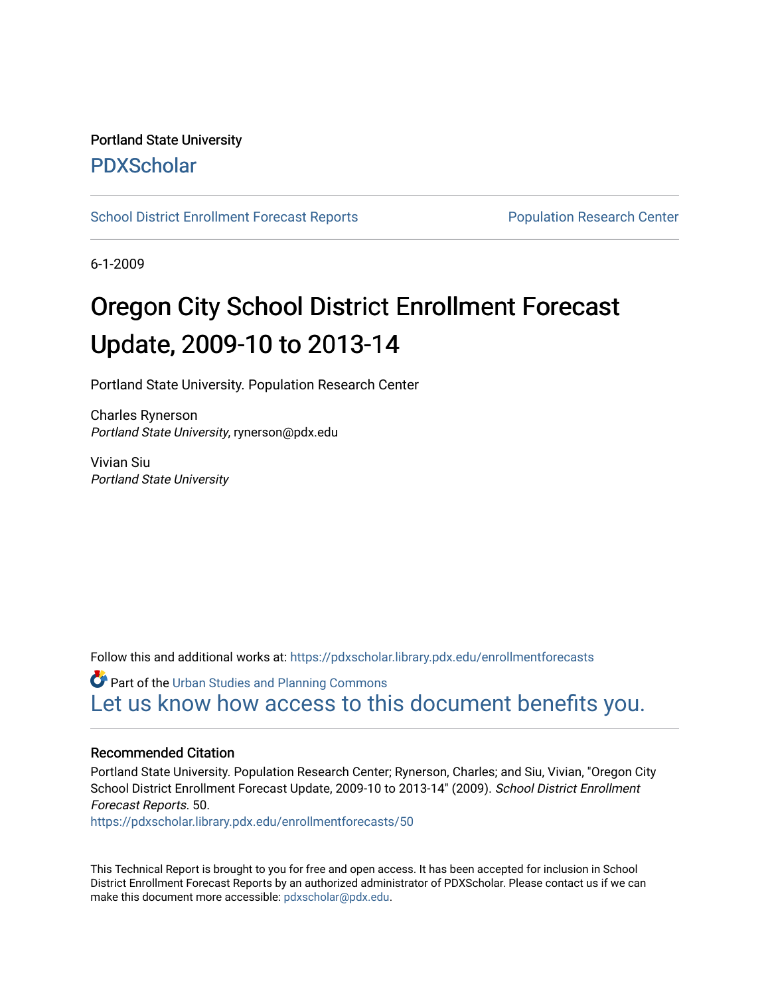## Portland State University [PDXScholar](https://pdxscholar.library.pdx.edu/)

[School District Enrollment Forecast Reports](https://pdxscholar.library.pdx.edu/enrollmentforecasts) **Population Research Center** Population Research Center

6-1-2009

# Oregon City School District Enrollment Forecast Update, 2009-10 to 2013-14

Portland State University. Population Research Center

Charles Rynerson Portland State University, rynerson@pdx.edu

Vivian Siu Portland State University

Follow this and additional works at: [https://pdxscholar.library.pdx.edu/enrollmentforecasts](https://pdxscholar.library.pdx.edu/enrollmentforecasts?utm_source=pdxscholar.library.pdx.edu%2Fenrollmentforecasts%2F50&utm_medium=PDF&utm_campaign=PDFCoverPages) 

**Part of the [Urban Studies and Planning Commons](http://network.bepress.com/hgg/discipline/436?utm_source=pdxscholar.library.pdx.edu%2Fenrollmentforecasts%2F50&utm_medium=PDF&utm_campaign=PDFCoverPages)** [Let us know how access to this document benefits you.](http://library.pdx.edu/services/pdxscholar-services/pdxscholar-feedback/?ref=https://pdxscholar.library.pdx.edu/enrollmentforecasts/50) 

#### Recommended Citation

Portland State University. Population Research Center; Rynerson, Charles; and Siu, Vivian, "Oregon City School District Enrollment Forecast Update, 2009-10 to 2013-14" (2009). School District Enrollment Forecast Reports. 50.

[https://pdxscholar.library.pdx.edu/enrollmentforecasts/50](https://pdxscholar.library.pdx.edu/enrollmentforecasts/50?utm_source=pdxscholar.library.pdx.edu%2Fenrollmentforecasts%2F50&utm_medium=PDF&utm_campaign=PDFCoverPages)

This Technical Report is brought to you for free and open access. It has been accepted for inclusion in School District Enrollment Forecast Reports by an authorized administrator of PDXScholar. Please contact us if we can make this document more accessible: [pdxscholar@pdx.edu.](mailto:pdxscholar@pdx.edu)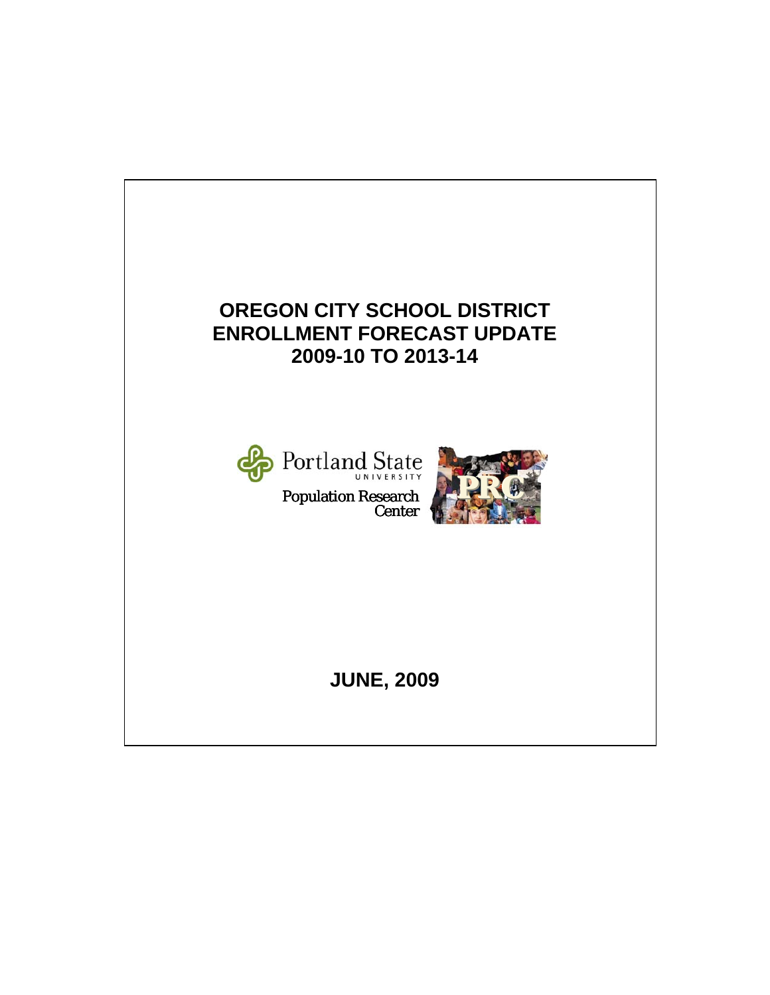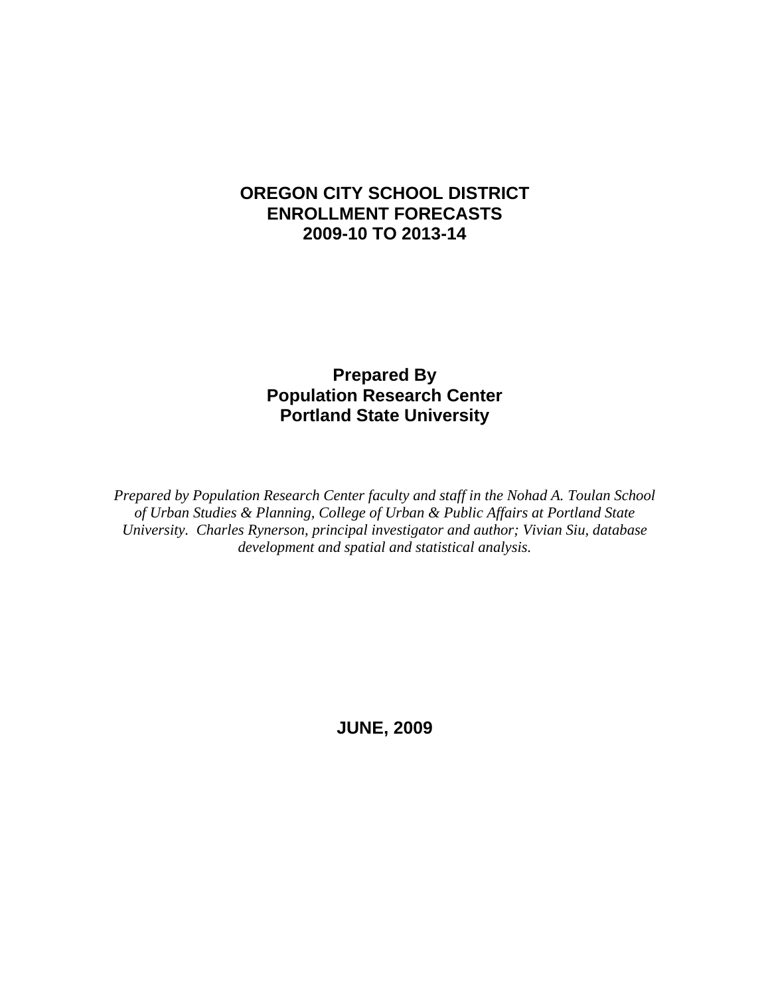### **OREGON CITY SCHOOL DISTRICT ENROLLMENT FORECASTS 2009-10 TO 2013-14**

### **Prepared By Population Research Center Portland State University**

*Prepared by Population Research Center faculty and staff in the Nohad A. Toulan School of Urban Studies & Planning, College of Urban & Public Affairs at Portland State University. Charles Rynerson, principal investigator and author; Vivian Siu, database development and spatial and statistical analysis.* 

**JUNE, 2009**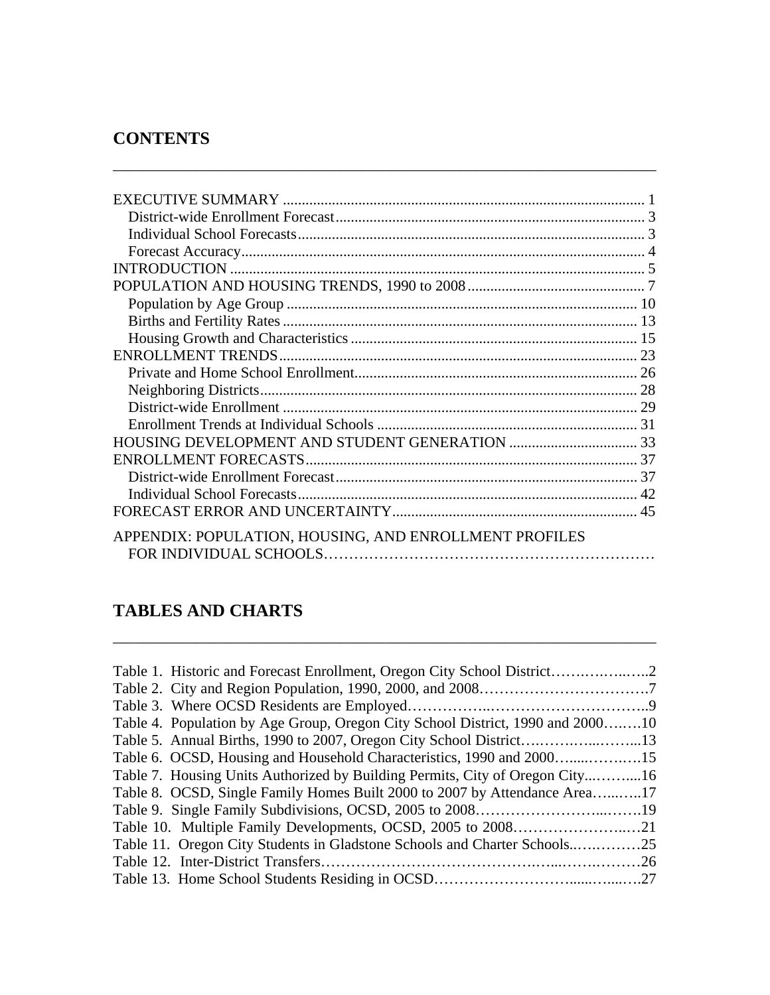# **CONTENTS**

| APPENDIX: POPULATION, HOUSING, AND ENROLLMENT PROFILES |  |
|--------------------------------------------------------|--|

\_\_\_\_\_\_\_\_\_\_\_\_\_\_\_\_\_\_\_\_\_\_\_\_\_\_\_\_\_\_\_\_\_\_\_\_\_\_\_\_\_\_\_\_\_\_\_\_\_\_\_\_\_\_\_\_\_\_\_\_\_\_\_\_\_\_\_\_\_\_\_\_

### **TABLES AND CHARTS**

| Table 4. Population by Age Group, Oregon City School District, 1990 and 200010 |  |
|--------------------------------------------------------------------------------|--|
|                                                                                |  |
| Table 6. OCSD, Housing and Household Characteristics, 1990 and 2000            |  |
| Table 7. Housing Units Authorized by Building Permits, City of Oregon City16   |  |
| Table 8. OCSD, Single Family Homes Built 2000 to 2007 by Attendance Area17     |  |
|                                                                                |  |
|                                                                                |  |
|                                                                                |  |
|                                                                                |  |
|                                                                                |  |

\_\_\_\_\_\_\_\_\_\_\_\_\_\_\_\_\_\_\_\_\_\_\_\_\_\_\_\_\_\_\_\_\_\_\_\_\_\_\_\_\_\_\_\_\_\_\_\_\_\_\_\_\_\_\_\_\_\_\_\_\_\_\_\_\_\_\_\_\_\_\_\_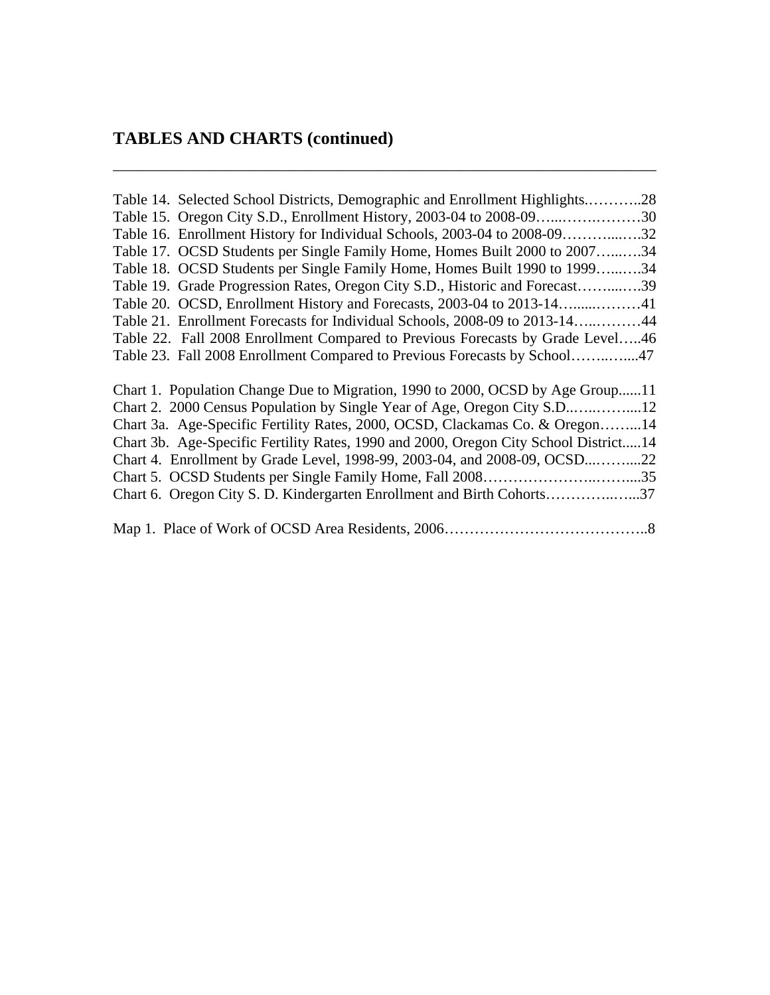#### **TABLES AND CHARTS (continued)**

Table 14. Selected School Districts, Demographic and Enrollment Highlights.………..28 Table 15. Oregon City S.D., Enrollment History, 2003-04 to 2008-09…...…….………30 Table 16. Enrollment History for Individual Schools, 2003-04 to 2008-09………....….32 Table 17. OCSD Students per Single Family Home, Homes Built 2000 to 2007…...….34 Table 18. OCSD Students per Single Family Home, Homes Built 1990 to 1999…...….34 Table 19. Grade Progression Rates, Oregon City S.D., Historic and Forecast……....….39 Table 20. OCSD, Enrollment History and Forecasts, 2003-04 to 2013-14…......………41 Table 21. Enrollment Forecasts for Individual Schools, 2008-09 to 2013-14…..………44 Table 22. Fall 2008 Enrollment Compared to Previous Forecasts by Grade Level…..46 Table 23. Fall 2008 Enrollment Compared to Previous Forecasts by School……..…....47 Chart 1. Population Change Due to Migration, 1990 to 2000, OCSD by Age Group......11 Chart 2. 2000 Census Population by Single Year of Age, Oregon City S.D..…..……....12 Chart 3a. Age-Specific Fertility Rates, 2000, OCSD, Clackamas Co. & Oregon……...14 Chart 3b. Age-Specific Fertility Rates, 1990 and 2000, Oregon City School District.....14 Chart 4. Enrollment by Grade Level, 1998-99, 2003-04, and 2008-09, OCSD...……....22 Chart 5. OCSD Students per Single Family Home, Fall 2008…………………..……....35 Chart 6. Oregon City S. D. Kindergarten Enrollment and Birth Cohorts…………..…...37 Map 1. Place of Work of OCSD Area Residents, 2006…………………………………..8

\_\_\_\_\_\_\_\_\_\_\_\_\_\_\_\_\_\_\_\_\_\_\_\_\_\_\_\_\_\_\_\_\_\_\_\_\_\_\_\_\_\_\_\_\_\_\_\_\_\_\_\_\_\_\_\_\_\_\_\_\_\_\_\_\_\_\_\_\_\_\_\_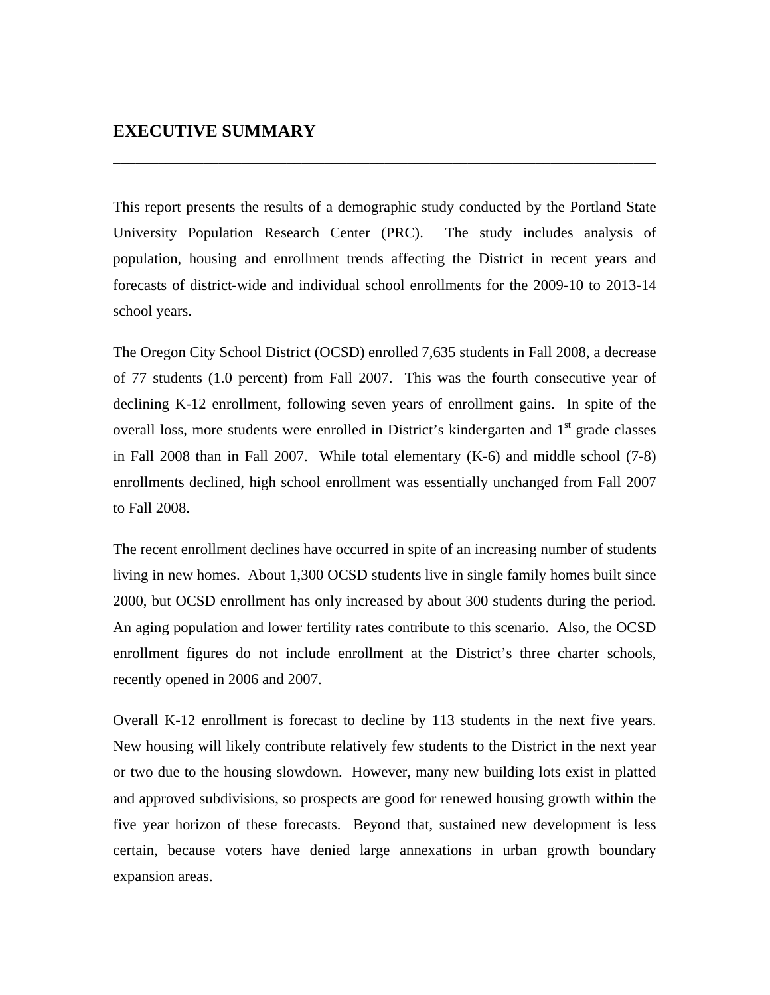This report presents the results of a demographic study conducted by the Portland State University Population Research Center (PRC). The study includes analysis of population, housing and enrollment trends affecting the District in recent years and forecasts of district-wide and individual school enrollments for the 2009-10 to 2013-14 school years.

\_\_\_\_\_\_\_\_\_\_\_\_\_\_\_\_\_\_\_\_\_\_\_\_\_\_\_\_\_\_\_\_\_\_\_\_\_\_\_\_\_\_\_\_\_\_\_\_\_\_\_\_\_\_\_\_\_\_\_\_\_\_\_\_\_\_\_\_\_\_\_\_

The Oregon City School District (OCSD) enrolled 7,635 students in Fall 2008, a decrease of 77 students (1.0 percent) from Fall 2007. This was the fourth consecutive year of declining K-12 enrollment, following seven years of enrollment gains. In spite of the overall loss, more students were enrolled in District's kindergarten and 1<sup>st</sup> grade classes in Fall 2008 than in Fall 2007. While total elementary (K-6) and middle school (7-8) enrollments declined, high school enrollment was essentially unchanged from Fall 2007 to Fall 2008.

The recent enrollment declines have occurred in spite of an increasing number of students living in new homes. About 1,300 OCSD students live in single family homes built since 2000, but OCSD enrollment has only increased by about 300 students during the period. An aging population and lower fertility rates contribute to this scenario. Also, the OCSD enrollment figures do not include enrollment at the District's three charter schools, recently opened in 2006 and 2007.

Overall K-12 enrollment is forecast to decline by 113 students in the next five years. New housing will likely contribute relatively few students to the District in the next year or two due to the housing slowdown. However, many new building lots exist in platted and approved subdivisions, so prospects are good for renewed housing growth within the five year horizon of these forecasts. Beyond that, sustained new development is less certain, because voters have denied large annexations in urban growth boundary expansion areas.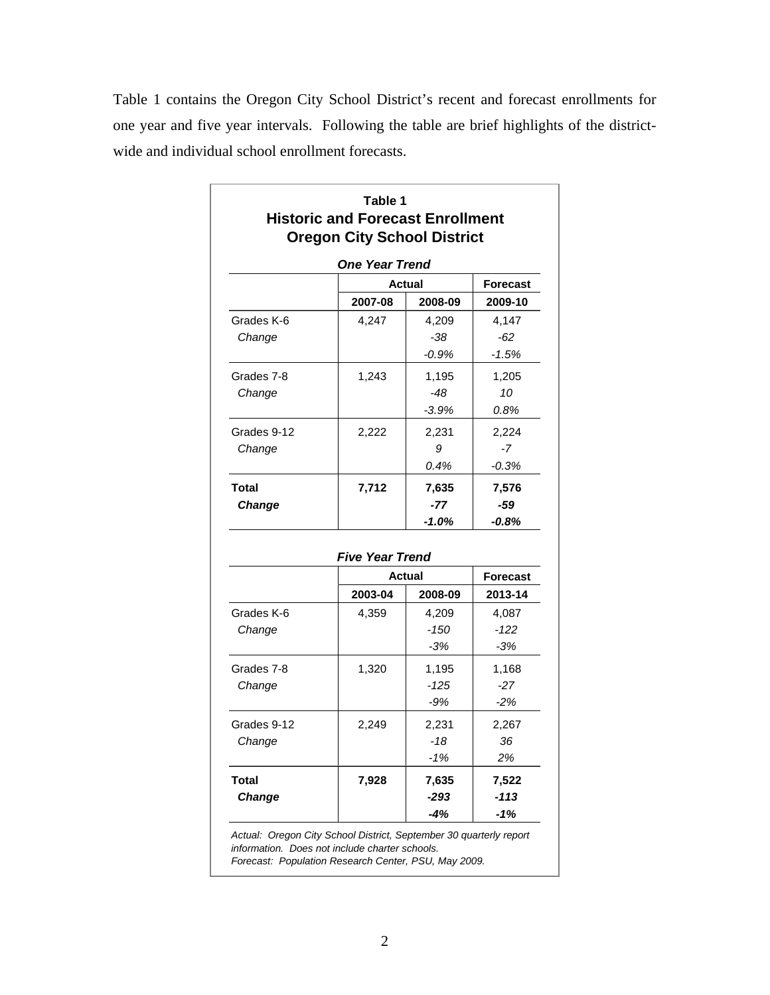Table 1 contains the Oregon City School District's recent and forecast enrollments for one year and five year intervals. Following the table are brief highlights of the districtwide and individual school enrollment forecasts.

|               | Table 1<br><b>Historic and Forecast Enrollment</b><br><b>Oregon City School District</b> |               |                 |  |
|---------------|------------------------------------------------------------------------------------------|---------------|-----------------|--|
|               | <b>One Year Trend</b>                                                                    |               |                 |  |
|               |                                                                                          | <b>Actual</b> |                 |  |
|               | 2007-08                                                                                  | 2008-09       | 2009-10         |  |
| Grades K-6    | 4,247                                                                                    | 4,209         | 4,147           |  |
| Change        |                                                                                          | -38           | $-62$           |  |
|               |                                                                                          | $-0.9%$       | $-1.5%$         |  |
| Grades 7-8    | 1,243                                                                                    | 1,195         | 1,205           |  |
| Change        |                                                                                          | $-48$         | 10              |  |
|               |                                                                                          | $-3.9%$       | 0.8%            |  |
| Grades 9-12   | 2,222                                                                                    | 2,231         | 2,224           |  |
| Change        |                                                                                          | 9             | $-7$            |  |
|               |                                                                                          | 0.4%          | $-0.3%$         |  |
| Total         | 7,712                                                                                    | 7,635         | 7,576           |  |
| <b>Change</b> |                                                                                          | $-77$         | $-59$           |  |
|               |                                                                                          | $-1.0%$       | -0.8%           |  |
|               | <b>Five Year Trend</b>                                                                   |               |                 |  |
|               |                                                                                          | Actual        | <b>Forecast</b> |  |
|               | 2003-04                                                                                  | 2008-09       | 2013-14         |  |
| Grades K-6    | 4,359                                                                                    | 4,209         | 4,087           |  |
| Change        |                                                                                          | $-150$        | $-122$          |  |
|               |                                                                                          | $-3%$         | $-3%$           |  |
| Grades 7-8    | 1,320                                                                                    | 1,195         | 1,168           |  |
| Change        |                                                                                          | $-125$        | $-27$           |  |
|               |                                                                                          | $-9%$         | $-2%$           |  |
| Grades 9-12   | 2,249                                                                                    | 2,231         | 2,267           |  |
| Change        |                                                                                          | $-18$         | 36              |  |
|               |                                                                                          | $-1%$         | 2%              |  |
| <b>Total</b>  | 7,928                                                                                    | 7,635         | 7,522           |  |
| <b>Change</b> |                                                                                          | $-293$        | $-113$          |  |
|               |                                                                                          | $-4%$         | -1%             |  |

*information. Does not include charter schools.*

*Forecast: Population Research Center, PSU, May 2009.*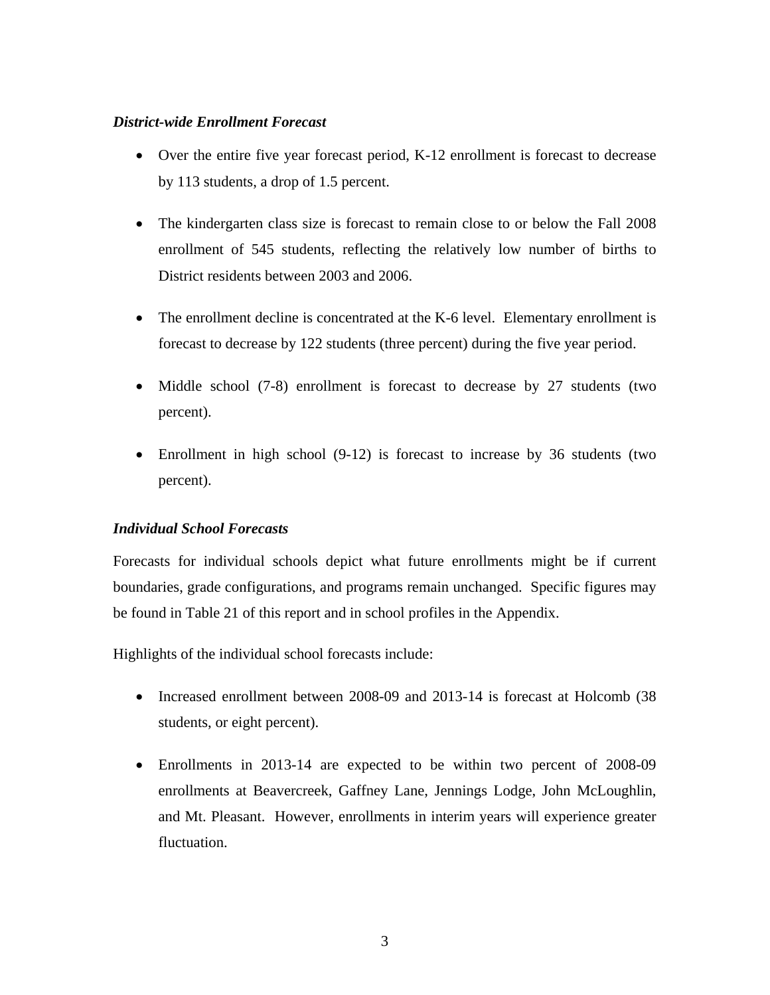#### *District-wide Enrollment Forecast*

- Over the entire five year forecast period, K-12 enrollment is forecast to decrease by 113 students, a drop of 1.5 percent.
- The kindergarten class size is forecast to remain close to or below the Fall 2008 enrollment of 545 students, reflecting the relatively low number of births to District residents between 2003 and 2006.
- The enrollment decline is concentrated at the K-6 level. Elementary enrollment is forecast to decrease by 122 students (three percent) during the five year period.
- Middle school (7-8) enrollment is forecast to decrease by 27 students (two percent).
- Enrollment in high school (9-12) is forecast to increase by 36 students (two percent).

#### *Individual School Forecasts*

Forecasts for individual schools depict what future enrollments might be if current boundaries, grade configurations, and programs remain unchanged. Specific figures may be found in Table 21 of this report and in school profiles in the Appendix.

Highlights of the individual school forecasts include:

- Increased enrollment between 2008-09 and 2013-14 is forecast at Holcomb (38) students, or eight percent).
- Enrollments in 2013-14 are expected to be within two percent of 2008-09 enrollments at Beavercreek, Gaffney Lane, Jennings Lodge, John McLoughlin, and Mt. Pleasant. However, enrollments in interim years will experience greater fluctuation.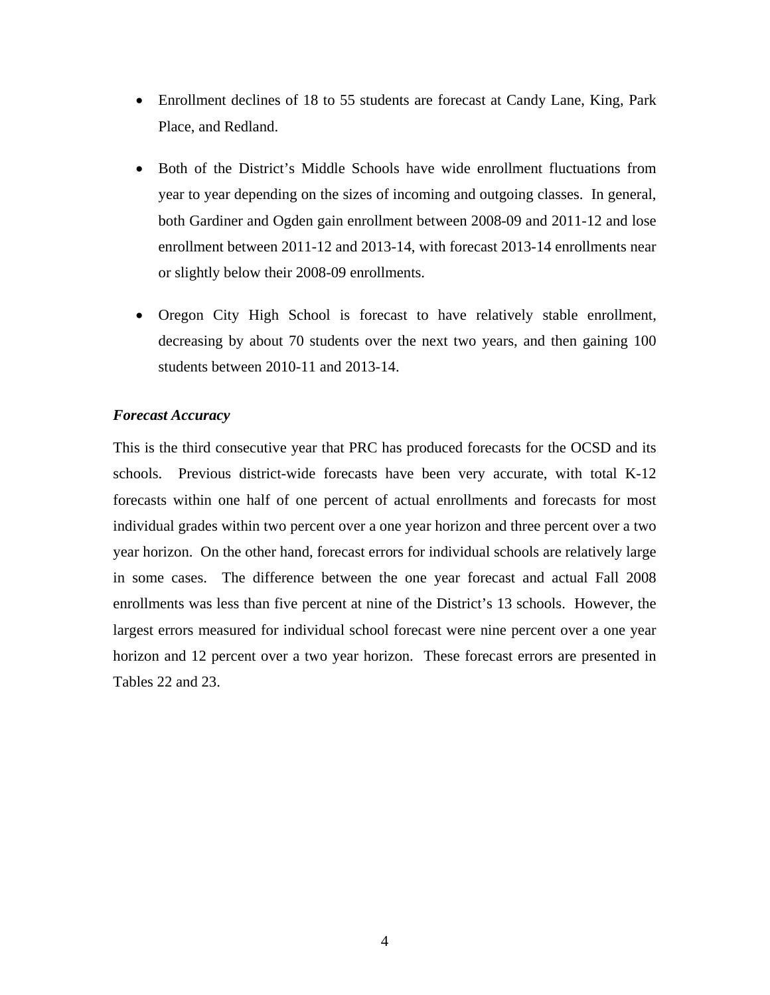- Enrollment declines of 18 to 55 students are forecast at Candy Lane, King, Park Place, and Redland.
- Both of the District's Middle Schools have wide enrollment fluctuations from year to year depending on the sizes of incoming and outgoing classes. In general, both Gardiner and Ogden gain enrollment between 2008-09 and 2011-12 and lose enrollment between 2011-12 and 2013-14, with forecast 2013-14 enrollments near or slightly below their 2008-09 enrollments.
- Oregon City High School is forecast to have relatively stable enrollment, decreasing by about 70 students over the next two years, and then gaining 100 students between 2010-11 and 2013-14.

#### *Forecast Accuracy*

This is the third consecutive year that PRC has produced forecasts for the OCSD and its schools. Previous district-wide forecasts have been very accurate, with total K-12 forecasts within one half of one percent of actual enrollments and forecasts for most individual grades within two percent over a one year horizon and three percent over a two year horizon. On the other hand, forecast errors for individual schools are relatively large in some cases. The difference between the one year forecast and actual Fall 2008 enrollments was less than five percent at nine of the District's 13 schools. However, the largest errors measured for individual school forecast were nine percent over a one year horizon and 12 percent over a two year horizon. These forecast errors are presented in Tables 22 and 23.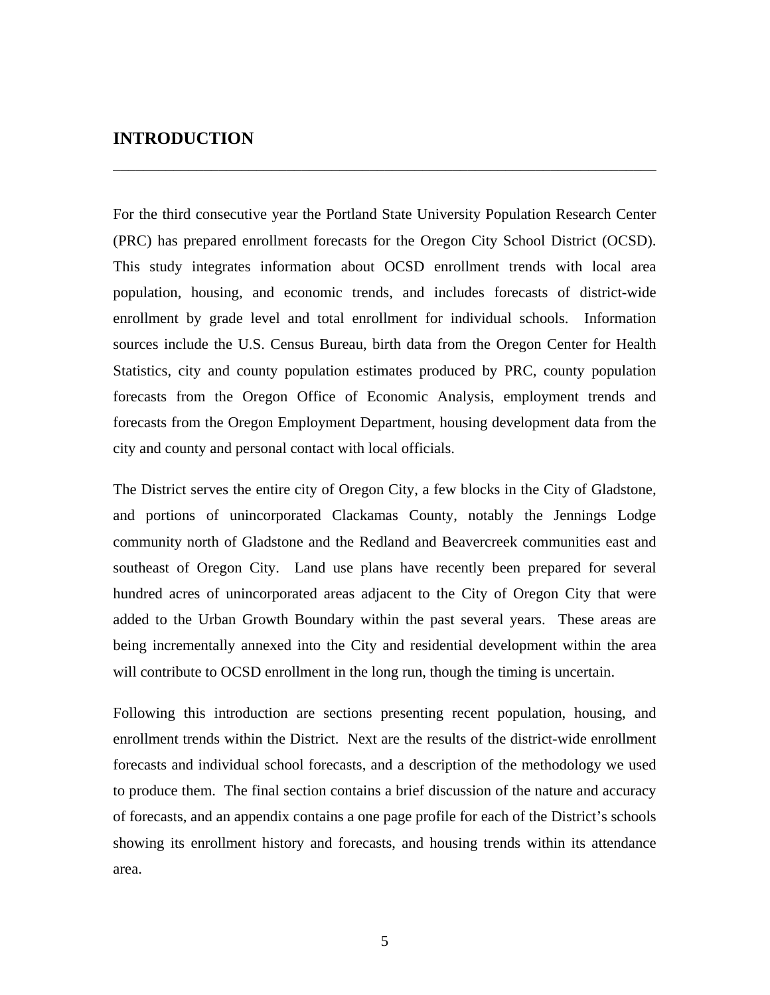#### **INTRODUCTION**

For the third consecutive year the Portland State University Population Research Center (PRC) has prepared enrollment forecasts for the Oregon City School District (OCSD). This study integrates information about OCSD enrollment trends with local area population, housing, and economic trends, and includes forecasts of district-wide enrollment by grade level and total enrollment for individual schools. Information sources include the U.S. Census Bureau, birth data from the Oregon Center for Health Statistics, city and county population estimates produced by PRC, county population forecasts from the Oregon Office of Economic Analysis, employment trends and forecasts from the Oregon Employment Department, housing development data from the city and county and personal contact with local officials.

\_\_\_\_\_\_\_\_\_\_\_\_\_\_\_\_\_\_\_\_\_\_\_\_\_\_\_\_\_\_\_\_\_\_\_\_\_\_\_\_\_\_\_\_\_\_\_\_\_\_\_\_\_\_\_\_\_\_\_\_\_\_\_\_\_\_\_\_\_\_\_\_

The District serves the entire city of Oregon City, a few blocks in the City of Gladstone, and portions of unincorporated Clackamas County, notably the Jennings Lodge community north of Gladstone and the Redland and Beavercreek communities east and southeast of Oregon City. Land use plans have recently been prepared for several hundred acres of unincorporated areas adjacent to the City of Oregon City that were added to the Urban Growth Boundary within the past several years. These areas are being incrementally annexed into the City and residential development within the area will contribute to OCSD enrollment in the long run, though the timing is uncertain.

Following this introduction are sections presenting recent population, housing, and enrollment trends within the District. Next are the results of the district-wide enrollment forecasts and individual school forecasts, and a description of the methodology we used to produce them. The final section contains a brief discussion of the nature and accuracy of forecasts, and an appendix contains a one page profile for each of the District's schools showing its enrollment history and forecasts, and housing trends within its attendance area.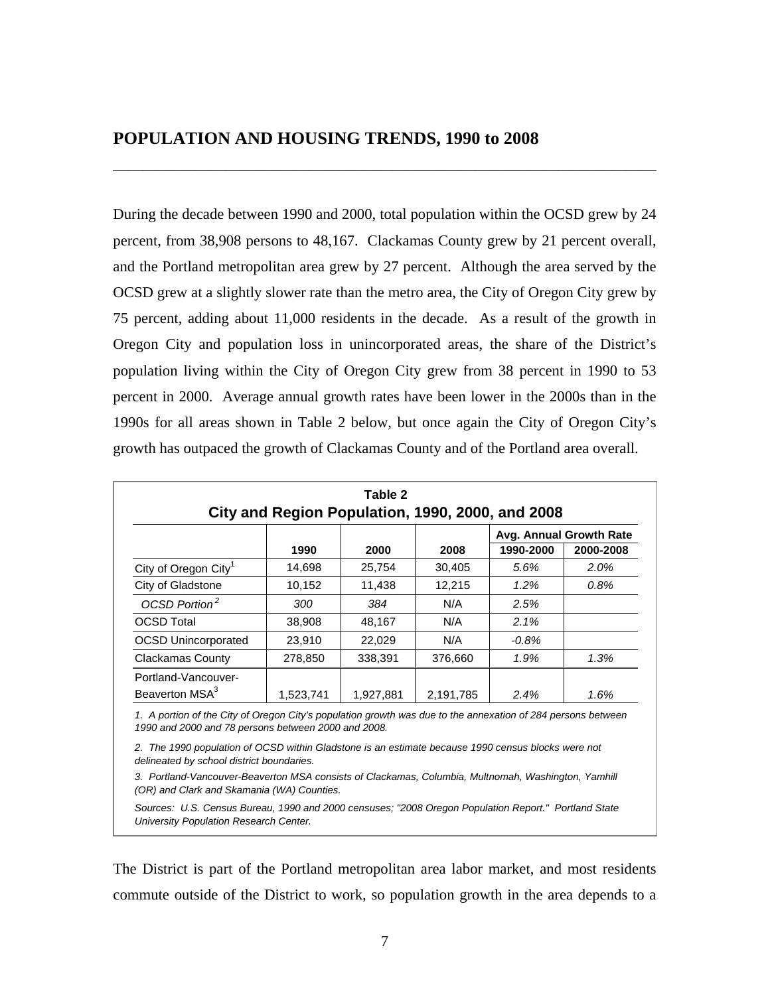During the decade between 1990 and 2000, total population within the OCSD grew by 24 percent, from 38,908 persons to 48,167. Clackamas County grew by 21 percent overall, and the Portland metropolitan area grew by 27 percent. Although the area served by the OCSD grew at a slightly slower rate than the metro area, the City of Oregon City grew by 75 percent, adding about 11,000 residents in the decade. As a result of the growth in Oregon City and population loss in unincorporated areas, the share of the District's population living within the City of Oregon City grew from 38 percent in 1990 to 53 percent in 2000. Average annual growth rates have been lower in the 2000s than in the 1990s for all areas shown in Table 2 below, but once again the City of Oregon City's growth has outpaced the growth of Clackamas County and of the Portland area overall.

\_\_\_\_\_\_\_\_\_\_\_\_\_\_\_\_\_\_\_\_\_\_\_\_\_\_\_\_\_\_\_\_\_\_\_\_\_\_\_\_\_\_\_\_\_\_\_\_\_\_\_\_\_\_\_\_\_\_\_\_\_\_\_\_\_\_\_\_\_\_\_\_

| Table 2<br>City and Region Population, 1990, 2000, and 2008 |           |           |           |           |                         |  |  |
|-------------------------------------------------------------|-----------|-----------|-----------|-----------|-------------------------|--|--|
|                                                             |           |           |           |           | Avg. Annual Growth Rate |  |  |
|                                                             | 1990      | 2000      | 2008      | 1990-2000 | 2000-2008               |  |  |
| City of Oregon City <sup>1</sup>                            | 14,698    | 25.754    | 30,405    | 5.6%      | 2.0%                    |  |  |
| City of Gladstone                                           | 10,152    | 11,438    | 12.215    | $1.2\%$   | 0.8%                    |  |  |
| OCSD Portion <sup>2</sup>                                   | 300       | 384       | N/A       | 2.5%      |                         |  |  |
| <b>OCSD Total</b>                                           | 38,908    | 48,167    | N/A       | 2.1%      |                         |  |  |
| <b>OCSD Unincorporated</b>                                  | 23,910    | 22,029    | N/A       | $-0.8\%$  |                         |  |  |
| Clackamas County                                            | 278,850   | 338,391   | 376,660   | 1.9%      | 1.3%                    |  |  |
| Portland-Vancouver-<br>Beaverton MSA <sup>3</sup>           | 1,523,741 | 1,927,881 | 2,191,785 | 2.4%      | 1.6%                    |  |  |

*1. A portion of the City of Oregon City's population growth was due to the annexation of 284 persons between 1990 and 2000 and 78 persons between 2000 and 2008.*

*2. The 1990 population of OCSD within Gladstone is an estimate because 1990 census blocks were not delineated by school district boundaries.*

*3. Portland-Vancouver-Beaverton MSA consists of Clackamas, Columbia, Multnomah, Washington, Yamhill (OR) and Clark and Skamania (WA) Counties.*

*Sources: U.S. Census Bureau, 1990 and 2000 censuses; "2008 Oregon Population Report." Portland State University Population Research Center.*

The District is part of the Portland metropolitan area labor market, and most residents commute outside of the District to work, so population growth in the area depends to a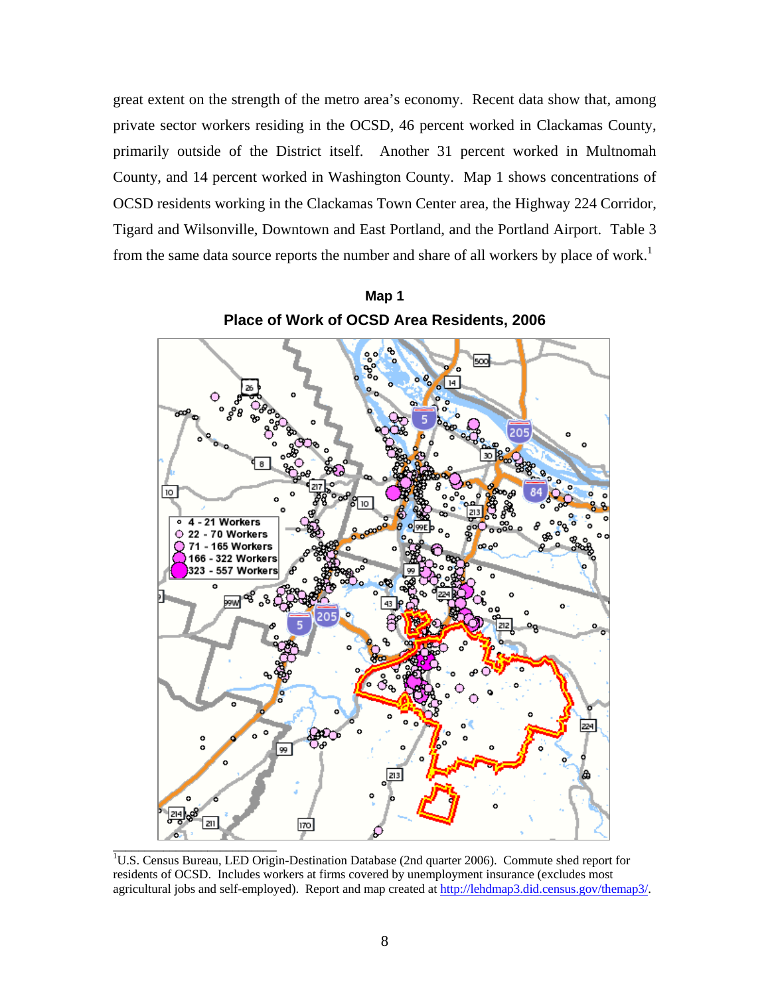great extent on the strength of the metro area's economy. Recent data show that, among private sector workers residing in the OCSD, 46 percent worked in Clackamas County, primarily outside of the District itself. Another 31 percent worked in Multnomah County, and 14 percent worked in Washington County. Map 1 shows concentrations of OCSD residents working in the Clackamas Town Center area, the Highway 224 Corridor, Tigard and Wilsonville, Downtown and East Portland, and the Portland Airport. Table 3 from the same data source reports the number and share of all workers by place of work.<sup>1</sup>



**Map 1 Place of Work of OCSD Area Residents, 2006** 

<sup>1</sup>U.S. Census Bureau, LED Origin-Destination Database (2nd quarter 2006). Commute shed report for residents of OCSD. Includes workers at firms covered by unemployment insurance (excludes most agricultural jobs and self-employed). Report and map created at http://lehdmap3.did.census.gov/themap3/.

\_\_\_\_\_\_\_\_\_\_\_\_\_\_\_\_\_\_\_\_\_\_\_\_\_\_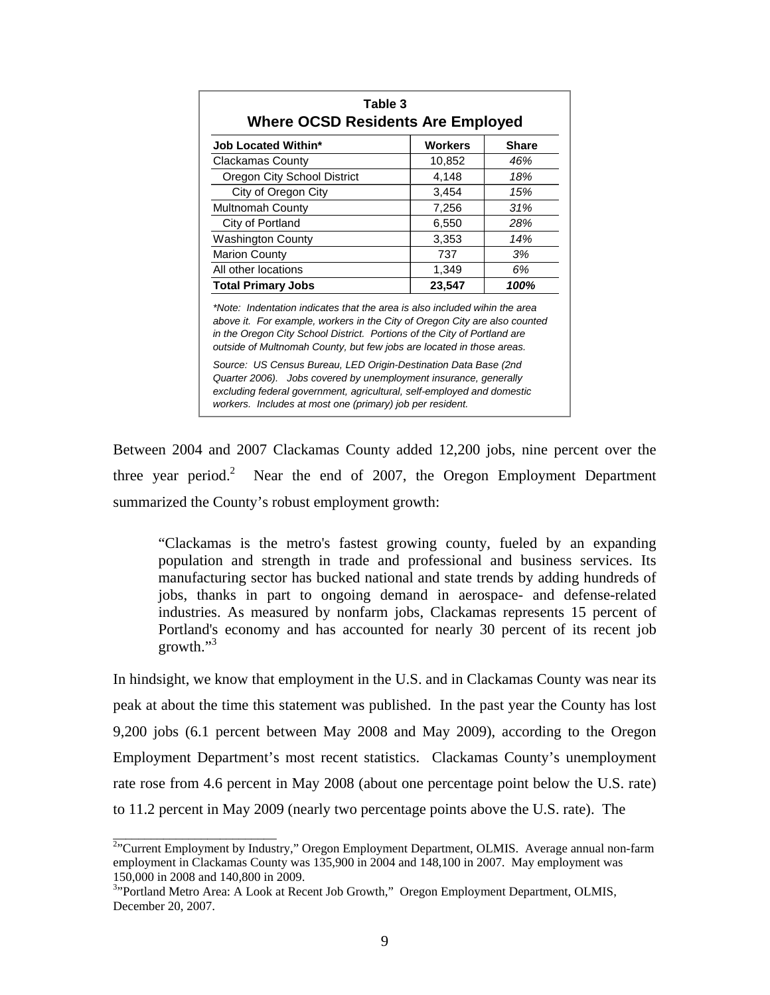| <b>Job Located Within*</b>                                                                                                                                                                                                                                                                                    | <b>Workers</b> | Share |
|---------------------------------------------------------------------------------------------------------------------------------------------------------------------------------------------------------------------------------------------------------------------------------------------------------------|----------------|-------|
| <b>Clackamas County</b>                                                                                                                                                                                                                                                                                       | 10,852         | 46%   |
| Oregon City School District                                                                                                                                                                                                                                                                                   | 4,148          | 18%   |
| City of Oregon City                                                                                                                                                                                                                                                                                           | 3,454          | 15%   |
| <b>Multnomah County</b>                                                                                                                                                                                                                                                                                       | 7,256          | 31%   |
| City of Portland                                                                                                                                                                                                                                                                                              | 6,550          | 28%   |
| <b>Washington County</b>                                                                                                                                                                                                                                                                                      | 3,353          | 14%   |
| <b>Marion County</b>                                                                                                                                                                                                                                                                                          | 737            | 3%    |
| All other locations                                                                                                                                                                                                                                                                                           | 1,349          | 6%    |
| <b>Total Primary Jobs</b>                                                                                                                                                                                                                                                                                     | 23,547         | 100%  |
| *Note: Indentation indicates that the area is also included wihin the area<br>above it. For example, workers in the City of Oregon City are also counted<br>in the Oregon City School District. Portions of the City of Portland are<br>outside of Multnomah County, but few jobs are located in those areas. |                |       |
| Source: US Census Bureau, LED Origin-Destination Data Base (2nd<br>Quarter 2006). Jobs covered by unemployment insurance, generally                                                                                                                                                                           |                |       |

Between 2004 and 2007 Clackamas County added 12,200 jobs, nine percent over the three year period.<sup>2</sup> Near the end of 2007, the Oregon Employment Department summarized the County's robust employment growth:

"Clackamas is the metro's fastest growing county, fueled by an expanding population and strength in trade and professional and business services. Its manufacturing sector has bucked national and state trends by adding hundreds of jobs, thanks in part to ongoing demand in aerospace- and defense-related industries. As measured by nonfarm jobs, Clackamas represents 15 percent of Portland's economy and has accounted for nearly 30 percent of its recent job growth."<sup>3</sup>

In hindsight, we know that employment in the U.S. and in Clackamas County was near its peak at about the time this statement was published. In the past year the County has lost 9,200 jobs (6.1 percent between May 2008 and May 2009), according to the Oregon Employment Department's most recent statistics. Clackamas County's unemployment rate rose from 4.6 percent in May 2008 (about one percentage point below the U.S. rate) to 11.2 percent in May 2009 (nearly two percentage points above the U.S. rate). The

\_\_\_\_\_\_\_\_\_\_\_\_\_\_\_\_\_\_\_\_\_\_\_\_\_\_

<sup>&</sup>lt;sup>2</sup>"Current Employment by Industry," Oregon Employment Department, OLMIS. Average annual non-farm employment in Clackamas County was 135,900 in 2004 and 148,100 in 2007. May employment was 150,000 in 2008 and 140,800 in 2009.

<sup>&</sup>lt;sup>3</sup><sup>3</sup>Portland Metro Area: A Look at Recent Job Growth," Oregon Employment Department, OLMIS, December 20, 2007.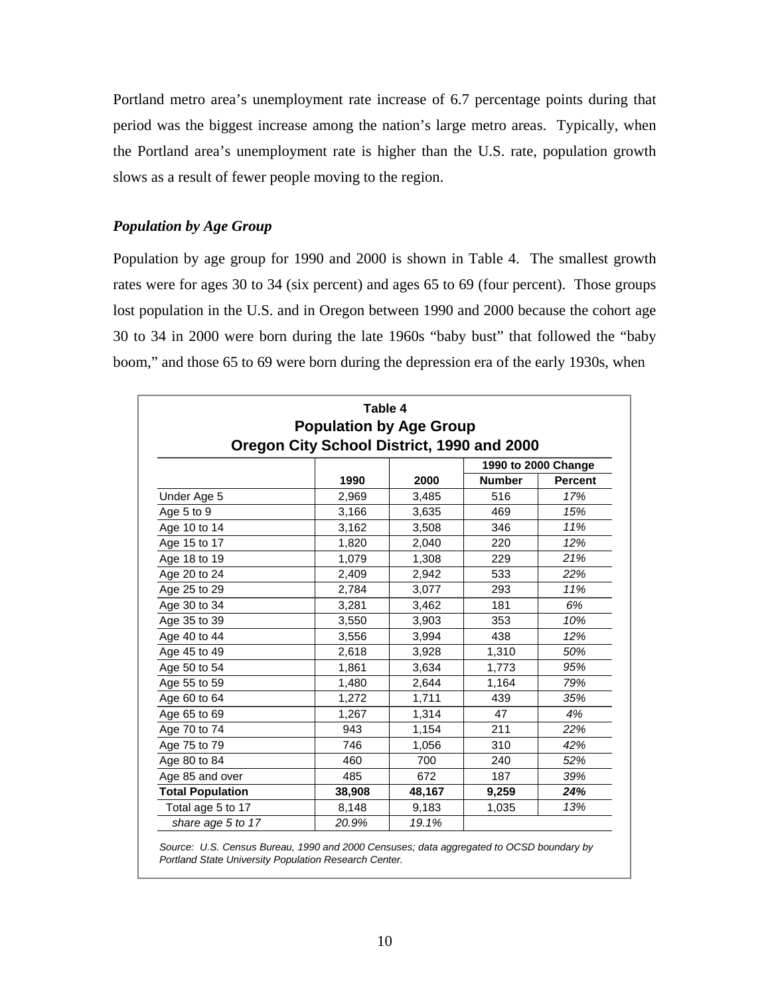Portland metro area's unemployment rate increase of 6.7 percentage points during that period was the biggest increase among the nation's large metro areas. Typically, when the Portland area's unemployment rate is higher than the U.S. rate, population growth slows as a result of fewer people moving to the region.

#### *Population by Age Group*

Population by age group for 1990 and 2000 is shown in Table 4. The smallest growth rates were for ages 30 to 34 (six percent) and ages 65 to 69 (four percent). Those groups lost population in the U.S. and in Oregon between 1990 and 2000 because the cohort age 30 to 34 in 2000 were born during the late 1960s "baby bust" that followed the "baby boom," and those 65 to 69 were born during the depression era of the early 1930s, when

|                         | Table 4<br><b>Population by Age Group</b>  |        |               |                |
|-------------------------|--------------------------------------------|--------|---------------|----------------|
|                         | Oregon City School District, 1990 and 2000 |        |               |                |
|                         | 1990 to 2000 Change                        |        |               |                |
|                         | 1990                                       | 2000   | <b>Number</b> | <b>Percent</b> |
| Under Age 5             | 2,969                                      | 3,485  | 516           | 17%            |
| Age 5 to 9              | 3,166                                      | 3,635  | 469           | 15%            |
| Age 10 to 14            | 3,162                                      | 3,508  | 346           | 11%            |
| Age 15 to 17            | 1,820                                      | 2,040  | 220           | 12%            |
| Age 18 to 19            | 1,079                                      | 1,308  | 229           | 21%            |
| Age 20 to 24            | 2,409                                      | 2,942  | 533           | 22%            |
| Age 25 to 29            | 2,784                                      | 3,077  | 293           | 11%            |
| Age 30 to 34            | 3,281                                      | 3,462  | 181           | 6%             |
| Age 35 to 39            | 3,550                                      | 3,903  | 353           | 10%            |
| Age 40 to 44            | 3,556                                      | 3,994  | 438           | 12%            |
| Age 45 to 49            | 2,618                                      | 3,928  | 1,310         | 50%            |
| Age 50 to 54            | 1,861                                      | 3,634  | 1,773         | 95%            |
| Age 55 to 59            | 1,480                                      | 2,644  | 1,164         | 79%            |
| Age 60 to 64            | 1,272                                      | 1,711  | 439           | 35%            |
| Age 65 to 69            | 1,267                                      | 1,314  | 47            | 4%             |
| Age 70 to 74            | 943                                        | 1,154  | 211           | 22%            |
| Age 75 to 79            | 746                                        | 1,056  | 310           | 42%            |
| Age 80 to 84            | 460                                        | 700    | 240           | 52%            |
| Age 85 and over         | 485                                        | 672    | 187           | 39%            |
| <b>Total Population</b> | 38,908                                     | 48,167 | 9,259         | 24%            |
| Total age 5 to 17       | 8,148                                      | 9,183  | 1,035         | 13%            |
| share age 5 to 17       | 20.9%                                      | 19.1%  |               |                |
|                         |                                            |        |               |                |

*Source: U.S. Census Bureau, 1990 and 2000 Censuses; data aggregated to OCSD boundary by Portland State University Population Research Center.*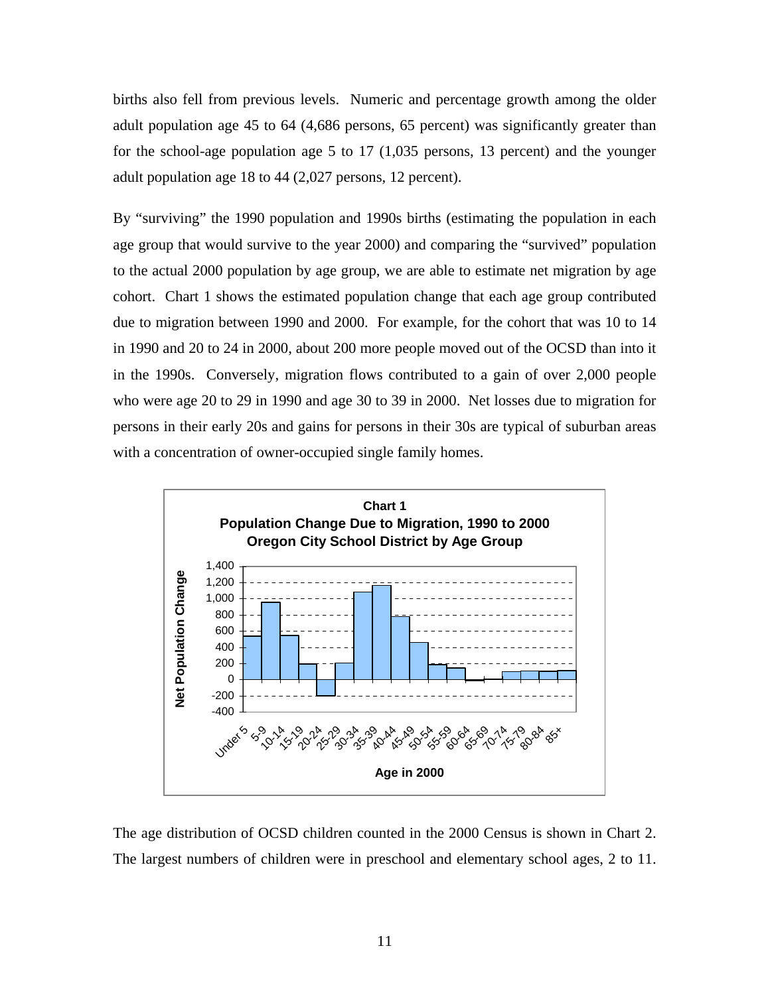births also fell from previous levels. Numeric and percentage growth among the older adult population age 45 to 64 (4,686 persons, 65 percent) was significantly greater than for the school-age population age 5 to 17 (1,035 persons, 13 percent) and the younger adult population age 18 to 44 (2,027 persons, 12 percent).

By "surviving" the 1990 population and 1990s births (estimating the population in each age group that would survive to the year 2000) and comparing the "survived" population to the actual 2000 population by age group, we are able to estimate net migration by age cohort. Chart 1 shows the estimated population change that each age group contributed due to migration between 1990 and 2000. For example, for the cohort that was 10 to 14 in 1990 and 20 to 24 in 2000, about 200 more people moved out of the OCSD than into it in the 1990s. Conversely, migration flows contributed to a gain of over 2,000 people who were age 20 to 29 in 1990 and age 30 to 39 in 2000. Net losses due to migration for persons in their early 20s and gains for persons in their 30s are typical of suburban areas with a concentration of owner-occupied single family homes.



The age distribution of OCSD children counted in the 2000 Census is shown in Chart 2. The largest numbers of children were in preschool and elementary school ages, 2 to 11.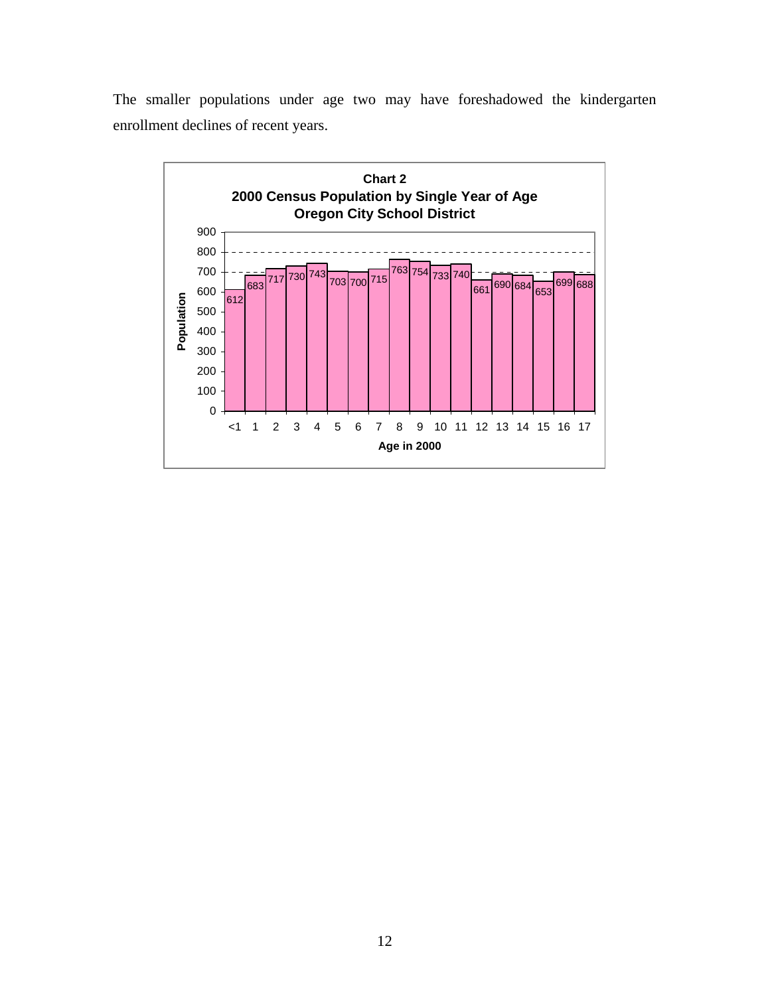The smaller populations under age two may have foreshadowed the kindergarten enrollment declines of recent years.

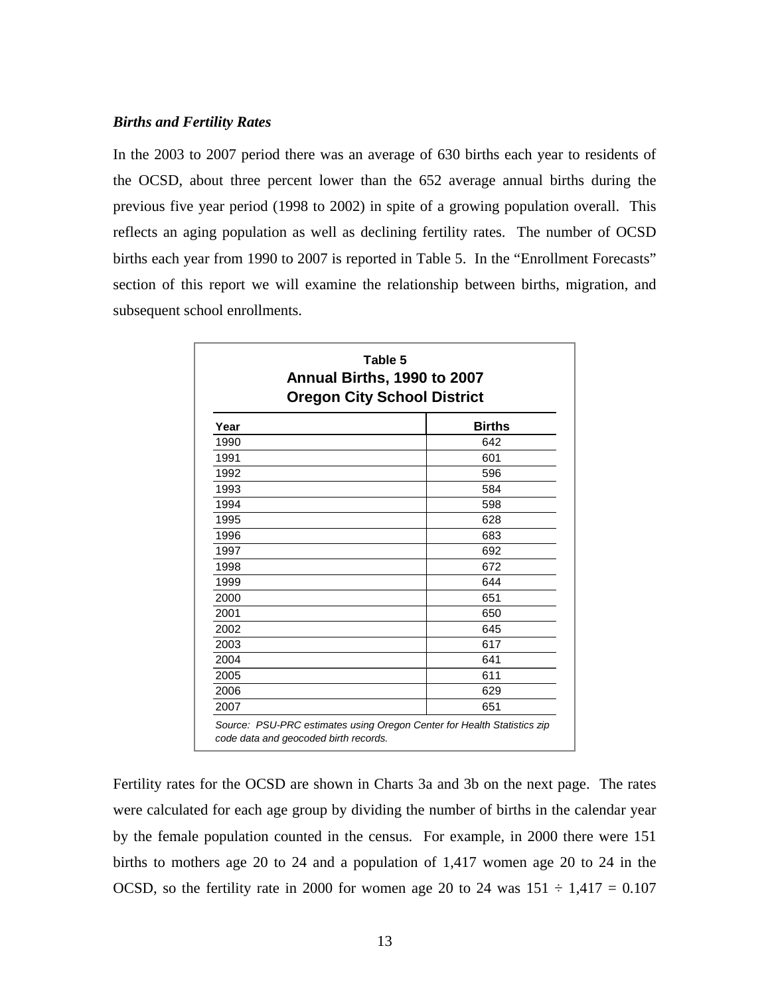#### *Births and Fertility Rates*

In the 2003 to 2007 period there was an average of 630 births each year to residents of the OCSD, about three percent lower than the 652 average annual births during the previous five year period (1998 to 2002) in spite of a growing population overall. This reflects an aging population as well as declining fertility rates. The number of OCSD births each year from 1990 to 2007 is reported in Table 5. In the "Enrollment Forecasts" section of this report we will examine the relationship between births, migration, and subsequent school enrollments.

|      | Annual Births, 1990 to 2007<br><b>Oregon City School District</b> |
|------|-------------------------------------------------------------------|
| Year | <b>Births</b>                                                     |
| 1990 | 642                                                               |
| 1991 | 601                                                               |
| 1992 | 596                                                               |
| 1993 | 584                                                               |
| 1994 | 598                                                               |
| 1995 | 628                                                               |
| 1996 | 683                                                               |
| 1997 | 692                                                               |
| 1998 | 672                                                               |
| 1999 | 644                                                               |
| 2000 | 651                                                               |
| 2001 | 650                                                               |
| 2002 | 645                                                               |
| 2003 | 617                                                               |
| 2004 | 641                                                               |
| 2005 | 611                                                               |
| 2006 | 629                                                               |
| 2007 | 651                                                               |

Fertility rates for the OCSD are shown in Charts 3a and 3b on the next page. The rates were calculated for each age group by dividing the number of births in the calendar year by the female population counted in the census. For example, in 2000 there were 151 births to mothers age 20 to 24 and a population of 1,417 women age 20 to 24 in the OCSD, so the fertility rate in 2000 for women age 20 to 24 was  $151 \div 1,417 = 0.107$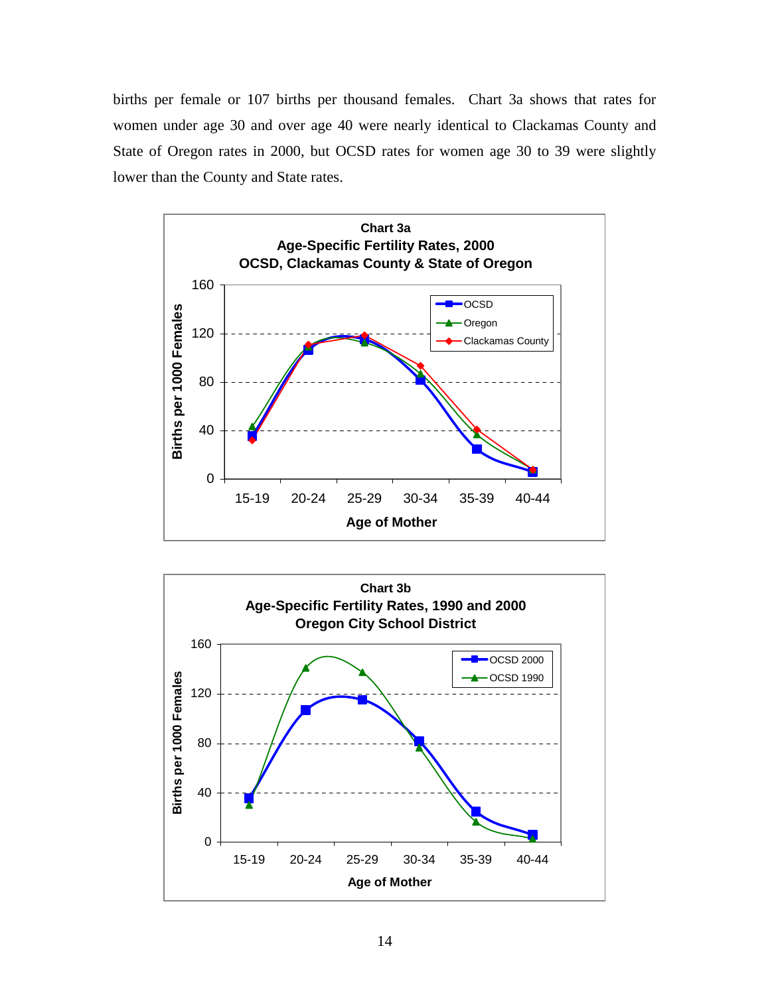births per female or 107 births per thousand females. Chart 3a shows that rates for women under age 30 and over age 40 were nearly identical to Clackamas County and State of Oregon rates in 2000, but OCSD rates for women age 30 to 39 were slightly lower than the County and State rates.



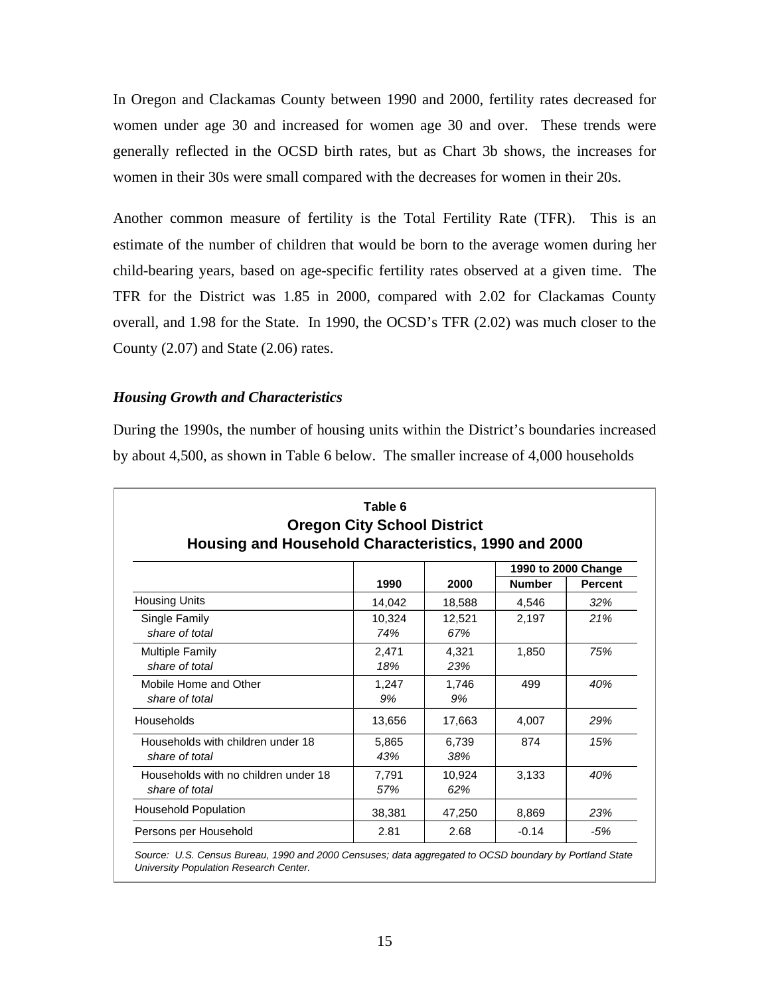In Oregon and Clackamas County between 1990 and 2000, fertility rates decreased for women under age 30 and increased for women age 30 and over. These trends were generally reflected in the OCSD birth rates, but as Chart 3b shows, the increases for women in their 30s were small compared with the decreases for women in their 20s.

Another common measure of fertility is the Total Fertility Rate (TFR). This is an estimate of the number of children that would be born to the average women during her child-bearing years, based on age-specific fertility rates observed at a given time. The TFR for the District was 1.85 in 2000, compared with 2.02 for Clackamas County overall, and 1.98 for the State. In 1990, the OCSD's TFR (2.02) was much closer to the County (2.07) and State (2.06) rates.

#### *Housing Growth and Characteristics*

During the 1990s, the number of housing units within the District's boundaries increased by about 4,500, as shown in Table 6 below. The smaller increase of 4,000 households

|                                                        |               |               |               | 1990 to 2000 Change |  |
|--------------------------------------------------------|---------------|---------------|---------------|---------------------|--|
|                                                        | 1990          | 2000          | <b>Number</b> | <b>Percent</b>      |  |
| <b>Housing Units</b>                                   | 14,042        | 18,588        | 4,546         | 32%                 |  |
| Single Family<br>share of total                        | 10,324<br>74% | 12,521<br>67% | 2,197         | 21%                 |  |
| <b>Multiple Family</b><br>share of total               | 2,471<br>18%  | 4.321<br>23%  | 1,850         | 75%                 |  |
| Mobile Home and Other<br>share of total                | 1,247<br>9%   | 1,746<br>9%   | 499           | 40%                 |  |
| Households                                             | 13,656        | 17,663        | 4,007         | 29%                 |  |
| Households with children under 18<br>share of total    | 5,865<br>43%  | 6,739<br>38%  | 874           | 15%                 |  |
| Households with no children under 18<br>share of total | 7,791<br>57%  | 10,924<br>62% | 3,133         | 40%                 |  |
| <b>Household Population</b>                            | 38,381        | 47,250        | 8,869         | 23%                 |  |
| Persons per Household                                  | 2.81          | 2.68          | $-0.14$       | $-5%$               |  |

*Source: U.S. Census Bureau, 1990 and 2000 Censuses; data aggregated to OCSD boundary by Portland State University Population Research Center.*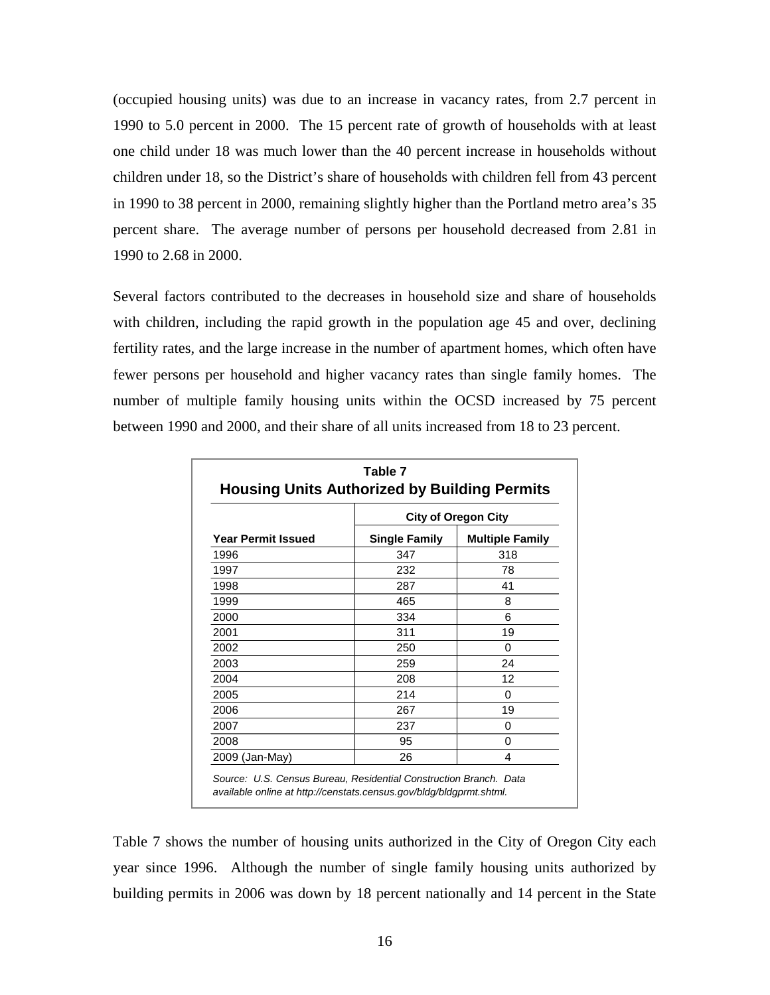(occupied housing units) was due to an increase in vacancy rates, from 2.7 percent in 1990 to 5.0 percent in 2000. The 15 percent rate of growth of households with at least one child under 18 was much lower than the 40 percent increase in households without children under 18, so the District's share of households with children fell from 43 percent in 1990 to 38 percent in 2000, remaining slightly higher than the Portland metro area's 35 percent share. The average number of persons per household decreased from 2.81 in 1990 to 2.68 in 2000.

Several factors contributed to the decreases in household size and share of households with children, including the rapid growth in the population age 45 and over, declining fertility rates, and the large increase in the number of apartment homes, which often have fewer persons per household and higher vacancy rates than single family homes. The number of multiple family housing units within the OCSD increased by 75 percent between 1990 and 2000, and their share of all units increased from 18 to 23 percent.

|                           | <b>City of Oregon City</b> |                        |  |  |
|---------------------------|----------------------------|------------------------|--|--|
| <b>Year Permit Issued</b> | <b>Single Family</b>       | <b>Multiple Family</b> |  |  |
| 1996                      | 347                        | 318                    |  |  |
| 1997                      | 232                        | 78                     |  |  |
| 1998                      | 287                        | 41                     |  |  |
| 1999                      | 465                        | 8                      |  |  |
| 2000                      | 334                        | 6                      |  |  |
| 2001                      | 311                        | 19                     |  |  |
| 2002                      | 250                        | 0                      |  |  |
| 2003                      | 259                        | 24                     |  |  |
| 2004                      | 208                        | 12                     |  |  |
| 2005                      | 214                        | 0                      |  |  |
| 2006                      | 267                        | 19                     |  |  |
| 2007                      | 237                        | 0                      |  |  |
| 2008                      | 95                         | O                      |  |  |
| 2009 (Jan-May)            | 26                         | 4                      |  |  |

Table 7 shows the number of housing units authorized in the City of Oregon City each year since 1996. Although the number of single family housing units authorized by building permits in 2006 was down by 18 percent nationally and 14 percent in the State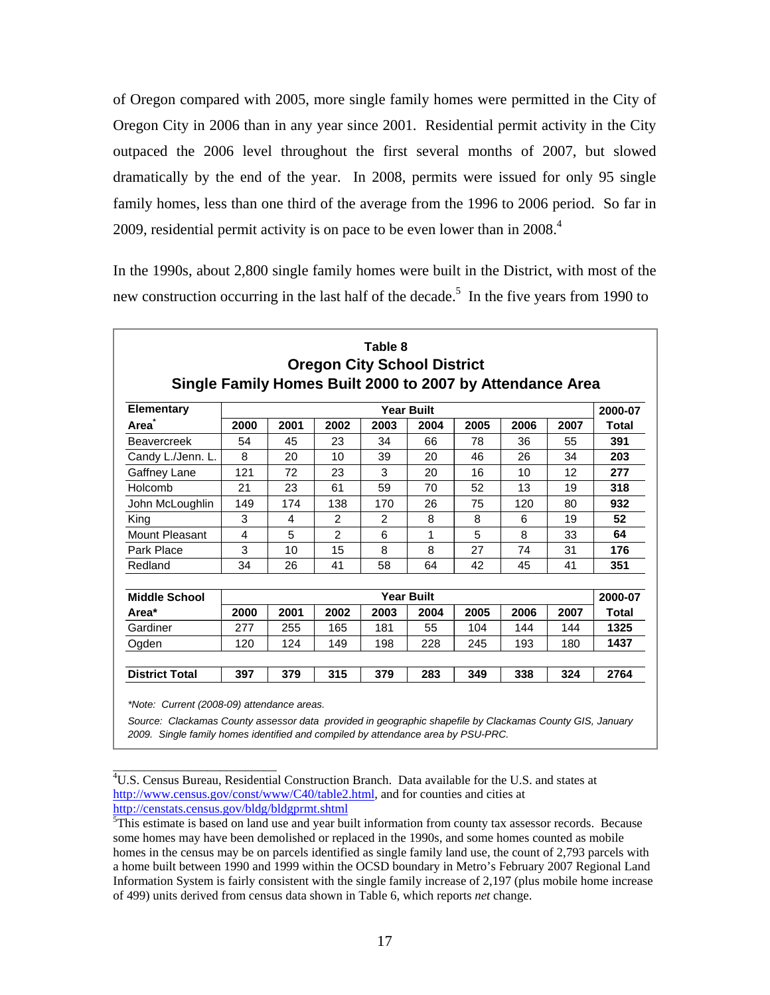of Oregon compared with 2005, more single family homes were permitted in the City of Oregon City in 2006 than in any year since 2001. Residential permit activity in the City outpaced the 2006 level throughout the first several months of 2007, but slowed dramatically by the end of the year. In 2008, permits were issued for only 95 single family homes, less than one third of the average from the 1996 to 2006 period. So far in 2009, residential permit activity is on pace to be even lower than in  $2008<sup>4</sup>$ 

In the 1990s, about 2,800 single family homes were built in the District, with most of the new construction occurring in the last half of the decade.<sup>5</sup> In the five years from 1990 to

| Single Family Homes Built 2000 to 2007 by Attendance Area |      |      | <b>Oregon City School District</b> |                |                   |      |      |      |              |
|-----------------------------------------------------------|------|------|------------------------------------|----------------|-------------------|------|------|------|--------------|
| <b>Elementary</b>                                         |      |      |                                    |                | <b>Year Built</b> |      |      |      | 2000-07      |
| Area                                                      | 2000 | 2001 | 2002                               | 2003           | 2004              | 2005 | 2006 | 2007 | Total        |
| <b>Beavercreek</b>                                        | 54   | 45   | 23                                 | 34             | 66                | 78   | 36   | 55   | 391          |
| Candy L./Jenn. L.                                         | 8    | 20   | 10                                 | 39             | 20                | 46   | 26   | 34   | 203          |
| Gaffney Lane                                              | 121  | 72   | 23                                 | 3              | 20                | 16   | 10   | 12   | 277          |
| Holcomb                                                   | 21   | 23   | 61                                 | 59             | 70                | 52   | 13   | 19   | 318          |
| John McLoughlin                                           | 149  | 174  | 138                                | 170            | 26                | 75   | 120  | 80   | 932          |
| King                                                      | 3    | 4    | $\overline{2}$                     | $\overline{2}$ | 8                 | 8    | 6    | 19   | 52           |
| Mount Pleasant                                            | 4    | 5    | $\overline{2}$                     | 6              | 1                 | 5    | 8    | 33   | 64           |
| Park Place                                                | 3    | 10   | 15                                 | 8              | 8                 | 27   | 74   | 31   | 176          |
| Redland                                                   | 34   | 26   | 41                                 | 58             | 64                | 42   | 45   | 41   | 351          |
| <b>Middle School</b>                                      |      |      |                                    |                | <b>Year Built</b> |      |      |      | 2000-07      |
| Area*                                                     | 2000 | 2001 | 2002                               | 2003           | 2004              | 2005 | 2006 | 2007 | <b>Total</b> |
| Gardiner                                                  | 277  | 255  | 165                                | 181            | 55                | 104  | 144  | 144  | 1325         |
| Ogden                                                     | 120  | 124  | 149                                | 198            | 228               | 245  | 193  | 180  | 1437         |
| <b>District Total</b>                                     | 397  | 379  | 315                                | 379            | 283               | 349  | 338  | 324  | 2764         |

*Source: Clackamas County assessor data provided in geographic shapefile by Clackamas County GIS, January* 

*2009. Single family homes identified and compiled by attendance area by PSU-PRC.*

\_\_\_\_\_\_\_\_\_\_\_\_\_\_\_\_\_\_\_\_\_\_\_\_\_\_ 4 U.S. Census Bureau, Residential Construction Branch. Data available for the U.S. and states at http://www.census.gov/const/www/C40/table2.html, and for counties and cities at http://censtats.census.gov/bldg/bldgprmt.shtml

<sup>&</sup>lt;sup>5</sup>This estimate is based on land use and year built information from county tax assessor records. Because some homes may have been demolished or replaced in the 1990s, and some homes counted as mobile homes in the census may be on parcels identified as single family land use, the count of 2,793 parcels with a home built between 1990 and 1999 within the OCSD boundary in Metro's February 2007 Regional Land Information System is fairly consistent with the single family increase of 2,197 (plus mobile home increase of 499) units derived from census data shown in Table 6, which reports *net* change.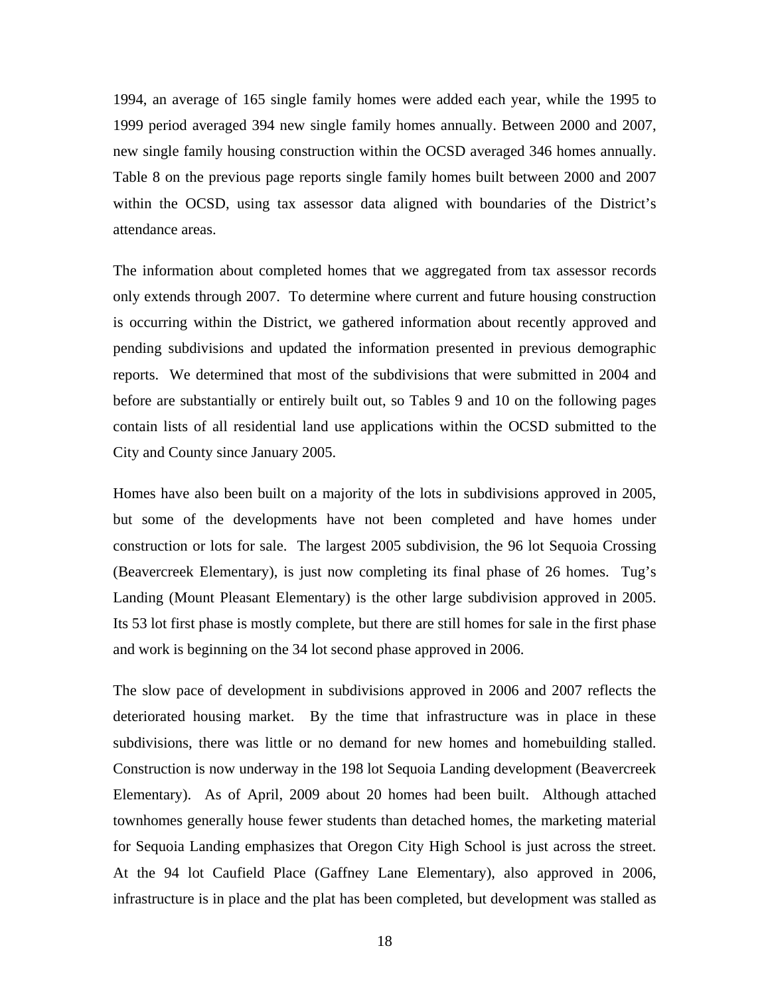1994, an average of 165 single family homes were added each year, while the 1995 to 1999 period averaged 394 new single family homes annually. Between 2000 and 2007, new single family housing construction within the OCSD averaged 346 homes annually. Table 8 on the previous page reports single family homes built between 2000 and 2007 within the OCSD, using tax assessor data aligned with boundaries of the District's attendance areas.

The information about completed homes that we aggregated from tax assessor records only extends through 2007. To determine where current and future housing construction is occurring within the District, we gathered information about recently approved and pending subdivisions and updated the information presented in previous demographic reports. We determined that most of the subdivisions that were submitted in 2004 and before are substantially or entirely built out, so Tables 9 and 10 on the following pages contain lists of all residential land use applications within the OCSD submitted to the City and County since January 2005.

Homes have also been built on a majority of the lots in subdivisions approved in 2005, but some of the developments have not been completed and have homes under construction or lots for sale. The largest 2005 subdivision, the 96 lot Sequoia Crossing (Beavercreek Elementary), is just now completing its final phase of 26 homes. Tug's Landing (Mount Pleasant Elementary) is the other large subdivision approved in 2005. Its 53 lot first phase is mostly complete, but there are still homes for sale in the first phase and work is beginning on the 34 lot second phase approved in 2006.

The slow pace of development in subdivisions approved in 2006 and 2007 reflects the deteriorated housing market. By the time that infrastructure was in place in these subdivisions, there was little or no demand for new homes and homebuilding stalled. Construction is now underway in the 198 lot Sequoia Landing development (Beavercreek Elementary). As of April, 2009 about 20 homes had been built. Although attached townhomes generally house fewer students than detached homes, the marketing material for Sequoia Landing emphasizes that Oregon City High School is just across the street. At the 94 lot Caufield Place (Gaffney Lane Elementary), also approved in 2006, infrastructure is in place and the plat has been completed, but development was stalled as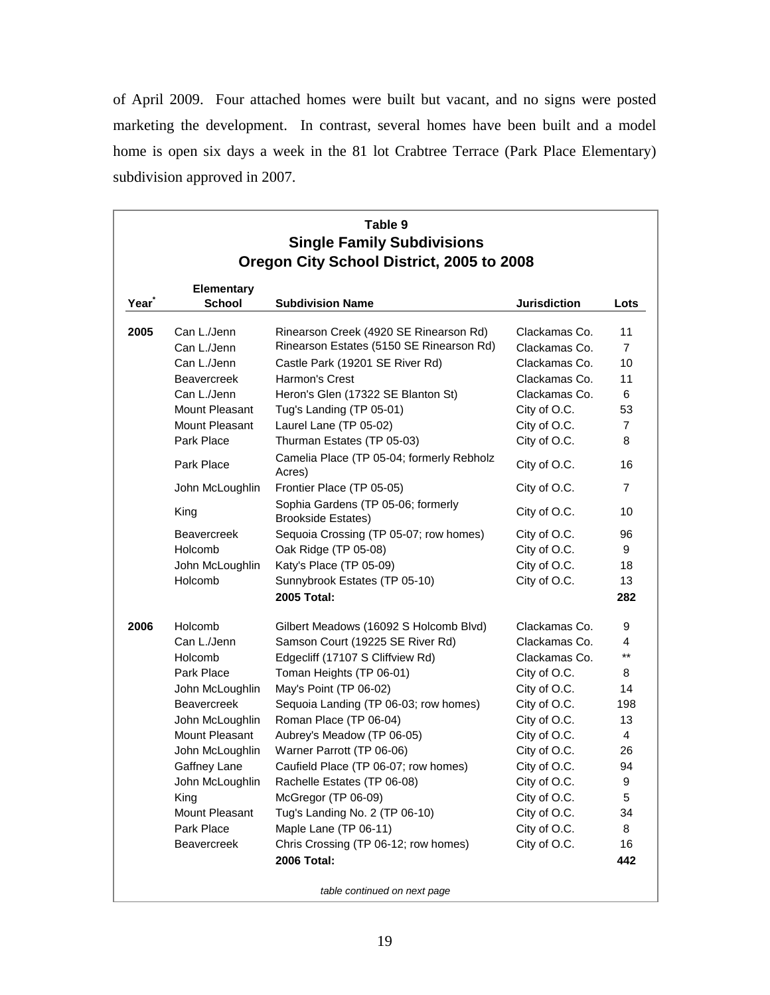of April 2009. Four attached homes were built but vacant, and no signs were posted marketing the development. In contrast, several homes have been built and a model home is open six days a week in the 81 lot Crabtree Terrace (Park Place Elementary) subdivision approved in 2007.

|      |                                                                                                                                                                                                                                                   | Table 9<br><b>Single Family Subdivisions</b><br>Oregon City School District, 2005 to 2008                                                                                                                                                                                                                                                                                                                                                                                                                                                                                    |                                                                                                                                                                                                                                                   |                                                                                                                   |
|------|---------------------------------------------------------------------------------------------------------------------------------------------------------------------------------------------------------------------------------------------------|------------------------------------------------------------------------------------------------------------------------------------------------------------------------------------------------------------------------------------------------------------------------------------------------------------------------------------------------------------------------------------------------------------------------------------------------------------------------------------------------------------------------------------------------------------------------------|---------------------------------------------------------------------------------------------------------------------------------------------------------------------------------------------------------------------------------------------------|-------------------------------------------------------------------------------------------------------------------|
| Year | <b>Elementary</b><br><b>School</b>                                                                                                                                                                                                                | <b>Subdivision Name</b>                                                                                                                                                                                                                                                                                                                                                                                                                                                                                                                                                      | <b>Jurisdiction</b>                                                                                                                                                                                                                               | Lots                                                                                                              |
| 2005 | Can L./Jenn<br>Can L./Jenn<br>Can L./Jenn<br><b>Beavercreek</b><br>Can L./Jenn<br>Mount Pleasant<br>Mount Pleasant<br>Park Place<br>Park Place<br>John McLoughlin<br>King<br><b>Beavercreek</b><br>Holcomb<br>John McLoughlin<br>Holcomb          | Rinearson Creek (4920 SE Rinearson Rd)<br>Rinearson Estates (5150 SE Rinearson Rd)<br>Castle Park (19201 SE River Rd)<br>Harmon's Crest<br>Heron's Glen (17322 SE Blanton St)<br>Tug's Landing (TP 05-01)<br>Laurel Lane (TP 05-02)<br>Thurman Estates (TP 05-03)<br>Camelia Place (TP 05-04; formerly Rebholz<br>Acres)<br>Frontier Place (TP 05-05)<br>Sophia Gardens (TP 05-06; formerly<br><b>Brookside Estates)</b><br>Sequoia Crossing (TP 05-07; row homes)<br>Oak Ridge (TP 05-08)<br>Katy's Place (TP 05-09)<br>Sunnybrook Estates (TP 05-10)<br><b>2005 Total:</b> | Clackamas Co.<br>Clackamas Co.<br>Clackamas Co.<br>Clackamas Co.<br>Clackamas Co.<br>City of O.C.<br>City of O.C.<br>City of O.C.<br>City of O.C.<br>City of O.C.<br>City of O.C.<br>City of O.C.<br>City of O.C.<br>City of O.C.<br>City of O.C. | 11<br>$\overline{7}$<br>10<br>11<br>6<br>53<br>$\overline{7}$<br>8<br>16<br>7<br>10<br>96<br>9<br>18<br>13<br>282 |
| 2006 | Holcomb<br>Can L./Jenn<br>Holcomb<br>Park Place<br>John McLoughlin<br><b>Beavercreek</b><br>John McLoughlin<br>Mount Pleasant<br>John McLoughlin<br>Gaffney Lane<br>John McLoughlin<br>King<br>Mount Pleasant<br>Park Place<br><b>Beavercreek</b> | Gilbert Meadows (16092 S Holcomb Blvd)<br>Samson Court (19225 SE River Rd)<br>Edgecliff (17107 S Cliffview Rd)<br>Toman Heights (TP 06-01)<br>May's Point (TP 06-02)<br>Sequoia Landing (TP 06-03; row homes)<br>Roman Place (TP 06-04)<br>Aubrey's Meadow (TP 06-05)<br>Warner Parrott (TP 06-06)<br>Caufield Place (TP 06-07; row homes)<br>Rachelle Estates (TP 06-08)<br>McGregor (TP 06-09)<br>Tug's Landing No. 2 (TP 06-10)<br>Maple Lane (TP 06-11)<br>Chris Crossing (TP 06-12; row homes)<br>2006 Total:                                                           | Clackamas Co.<br>Clackamas Co.<br>Clackamas Co.<br>City of O.C.<br>City of O.C.<br>City of O.C.<br>City of O.C.<br>City of O.C.<br>City of O.C.<br>City of O.C.<br>City of O.C.<br>City of O.C.<br>City of O.C.<br>City of O.C.<br>City of O.C.   | 9<br>4<br>$***$<br>8<br>14<br>198<br>13<br>4<br>26<br>94<br>9<br>5<br>34<br>8<br>16<br>442                        |
|      |                                                                                                                                                                                                                                                   | table continued on next page                                                                                                                                                                                                                                                                                                                                                                                                                                                                                                                                                 |                                                                                                                                                                                                                                                   |                                                                                                                   |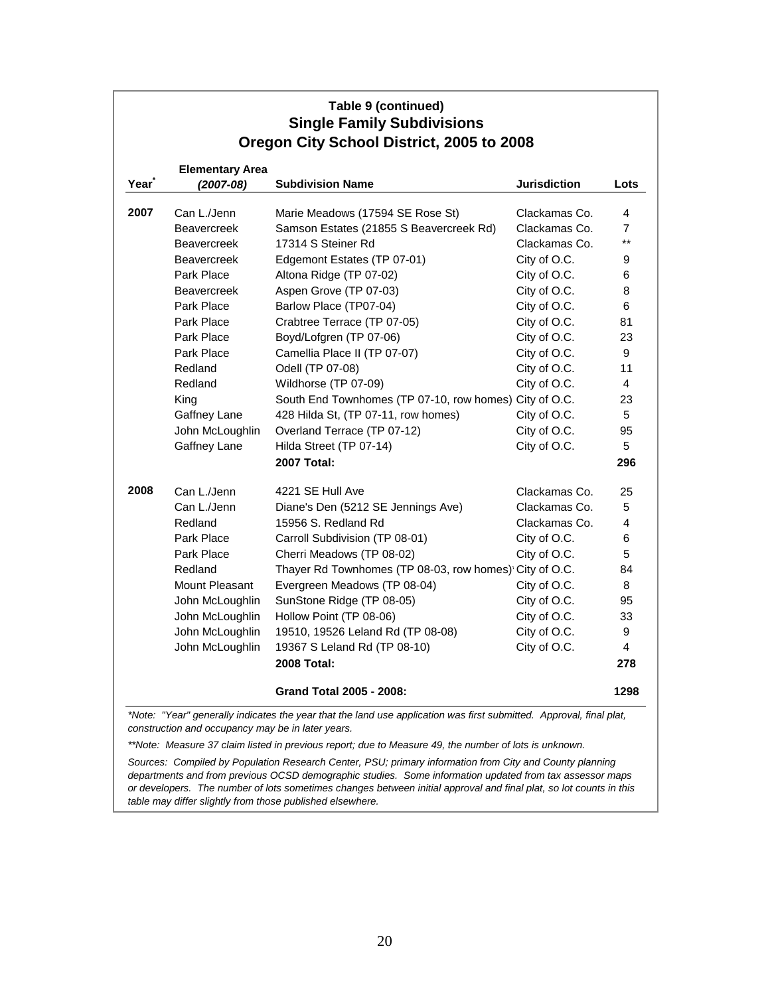| Table 9 (continued)<br><b>Single Family Subdivisions</b><br>Oregon City School District, 2005 to 2008 |                                                                                                                                                                                                         |                                                                                                                                                                                                                                                                                                                                                                                                                 |                                                                                                                                                                                                 |                                                                       |  |  |
|-------------------------------------------------------------------------------------------------------|---------------------------------------------------------------------------------------------------------------------------------------------------------------------------------------------------------|-----------------------------------------------------------------------------------------------------------------------------------------------------------------------------------------------------------------------------------------------------------------------------------------------------------------------------------------------------------------------------------------------------------------|-------------------------------------------------------------------------------------------------------------------------------------------------------------------------------------------------|-----------------------------------------------------------------------|--|--|
| Year                                                                                                  | <b>Elementary Area</b><br>$(2007 - 08)$                                                                                                                                                                 | <b>Subdivision Name</b>                                                                                                                                                                                                                                                                                                                                                                                         | <b>Jurisdiction</b>                                                                                                                                                                             | Lots                                                                  |  |  |
| 2007                                                                                                  | Can L./Jenn<br><b>Beavercreek</b><br><b>Beavercreek</b><br><b>Beavercreek</b><br>Park Place<br><b>Beavercreek</b><br>Park Place<br>Park Place<br>Park Place<br>Park Place<br>Redland<br>Redland<br>King | Marie Meadows (17594 SE Rose St)<br>Samson Estates (21855 S Beavercreek Rd)<br>17314 S Steiner Rd<br>Edgemont Estates (TP 07-01)<br>Altona Ridge (TP 07-02)<br>Aspen Grove (TP 07-03)<br>Barlow Place (TP07-04)<br>Crabtree Terrace (TP 07-05)<br>Boyd/Lofgren (TP 07-06)<br>Camellia Place II (TP 07-07)<br>Odell (TP 07-08)<br>Wildhorse (TP 07-09)<br>South End Townhomes (TP 07-10, row homes) City of O.C. | Clackamas Co.<br>Clackamas Co.<br>Clackamas Co.<br>City of O.C.<br>City of O.C.<br>City of O.C.<br>City of O.C.<br>City of O.C.<br>City of O.C.<br>City of O.C.<br>City of O.C.<br>City of O.C. | 4<br>7<br>$***$<br>9<br>6<br>8<br>6<br>81<br>23<br>9<br>11<br>4<br>23 |  |  |
|                                                                                                       | Gaffney Lane<br>John McLoughlin<br>Gaffney Lane                                                                                                                                                         | 428 Hilda St, (TP 07-11, row homes)<br>Overland Terrace (TP 07-12)<br>Hilda Street (TP 07-14)<br><b>2007 Total:</b>                                                                                                                                                                                                                                                                                             | City of O.C.<br>City of O.C.<br>City of O.C.                                                                                                                                                    | 5<br>95<br>5<br>296                                                   |  |  |
| 2008                                                                                                  | Can L./Jenn<br>Can L./Jenn<br>Redland<br>Park Place<br>Park Place<br>Redland<br>Mount Pleasant<br>John McLoughlin<br>John McLoughlin<br>John McLoughlin<br>John McLoughlin                              | 4221 SE Hull Ave<br>Diane's Den (5212 SE Jennings Ave)<br>15956 S. Redland Rd<br>Carroll Subdivision (TP 08-01)<br>Cherri Meadows (TP 08-02)<br>Thayer Rd Townhomes (TP 08-03, row homes) City of O.C.<br>Evergreen Meadows (TP 08-04)<br>SunStone Ridge (TP 08-05)<br>Hollow Point (TP 08-06)<br>19510, 19526 Leland Rd (TP 08-08)<br>19367 S Leland Rd (TP 08-10)<br><b>2008 Total:</b>                       | Clackamas Co.<br>Clackamas Co.<br>Clackamas Co.<br>City of O.C.<br>City of O.C.<br>City of O.C.<br>City of O.C.<br>City of O.C.<br>City of O.C.<br>City of O.C.                                 | 25<br>5<br>4<br>6<br>5<br>84<br>8<br>95<br>33<br>9<br>4<br>278        |  |  |
|                                                                                                       |                                                                                                                                                                                                         | <b>Grand Total 2005 - 2008:</b>                                                                                                                                                                                                                                                                                                                                                                                 |                                                                                                                                                                                                 | 1298                                                                  |  |  |

*\*Note: "Year" generally indicates the year that the land use application was first submitted. Approval, final plat, construction and occupancy may be in later years.*

*\*\*Note: Measure 37 claim listed in previous report; due to Measure 49, the number of lots is unknown.*

*Sources: Compiled by Population Research Center, PSU; primary information from City and County planning departments and from previous OCSD demographic studies. Some information updated from tax assessor maps or developers. The number of lots sometimes changes between initial approval and final plat, so lot counts in this table may differ slightly from those published elsewhere.*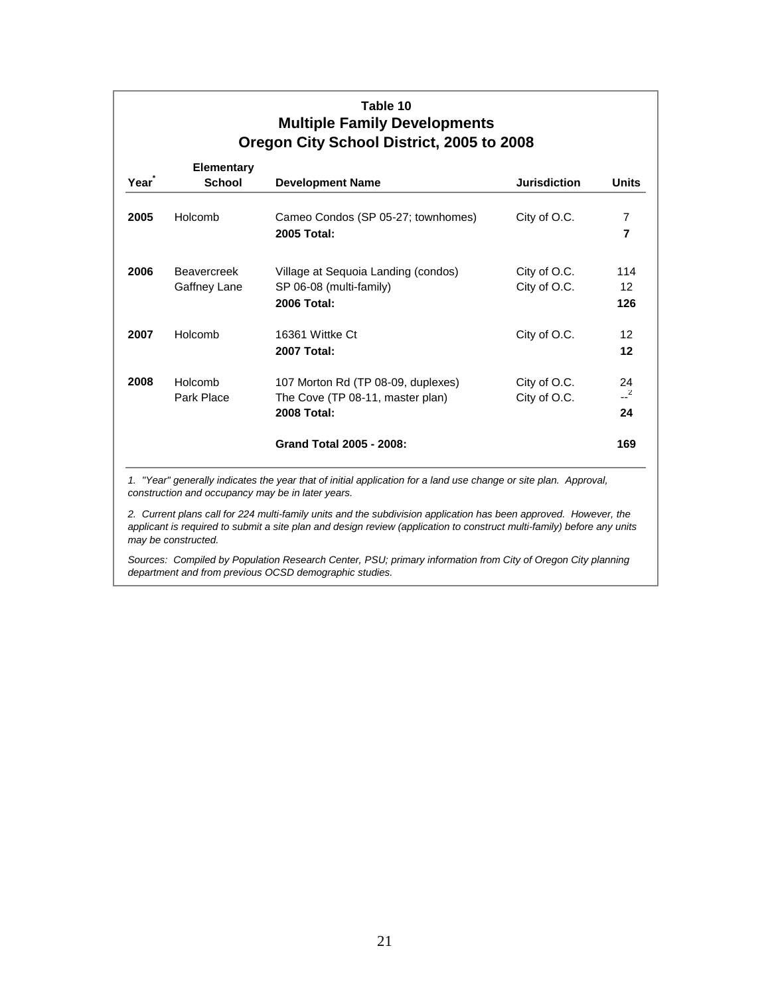| Year | <b>Elementary</b><br><b>School</b> | <b>Development Name</b>                                                                      | <b>Jurisdiction</b>          | <b>Units</b>                    |
|------|------------------------------------|----------------------------------------------------------------------------------------------|------------------------------|---------------------------------|
| 2005 | Holcomb                            | Cameo Condos (SP 05-27; townhomes)<br>2005 Total:                                            | City of O.C.                 | 7<br>$\overline{\phantom{a}}$   |
| 2006 | <b>Beavercreek</b><br>Gaffney Lane | Village at Sequoia Landing (condos)<br>SP 06-08 (multi-family)<br><b>2006 Total:</b>         | City of O.C.<br>City of O.C. | 114<br>$12 \overline{ }$<br>126 |
| 2007 | Holcomb                            | 16361 Wittke Ct<br><b>2007 Total:</b>                                                        | City of O.C.                 | $12 \overline{ }$<br>12         |
| 2008 | Holcomb<br>Park Place              | 107 Morton Rd (TP 08-09, duplexes)<br>The Cove (TP 08-11, master plan)<br><b>2008 Total:</b> | City of O.C.<br>City of O.C. | 24<br>$-2$<br>24                |
|      |                                    | <b>Grand Total 2005 - 2008:</b>                                                              |                              | 169                             |

1. "Year" generally indicates the year that of initial application for a land use change or site plan. Approval, *construction and occupancy may be in later years.*

*2. Current plans call for 224 multi-family units and the subdivision application has been approved. However, the applicant is required to submit a site plan and design review (application to construct multi-family) before any units may be constructed.*

*Sources: Compiled by Population Research Center, PSU; primary information from City of Oregon City planning department and from previous OCSD demographic studies.*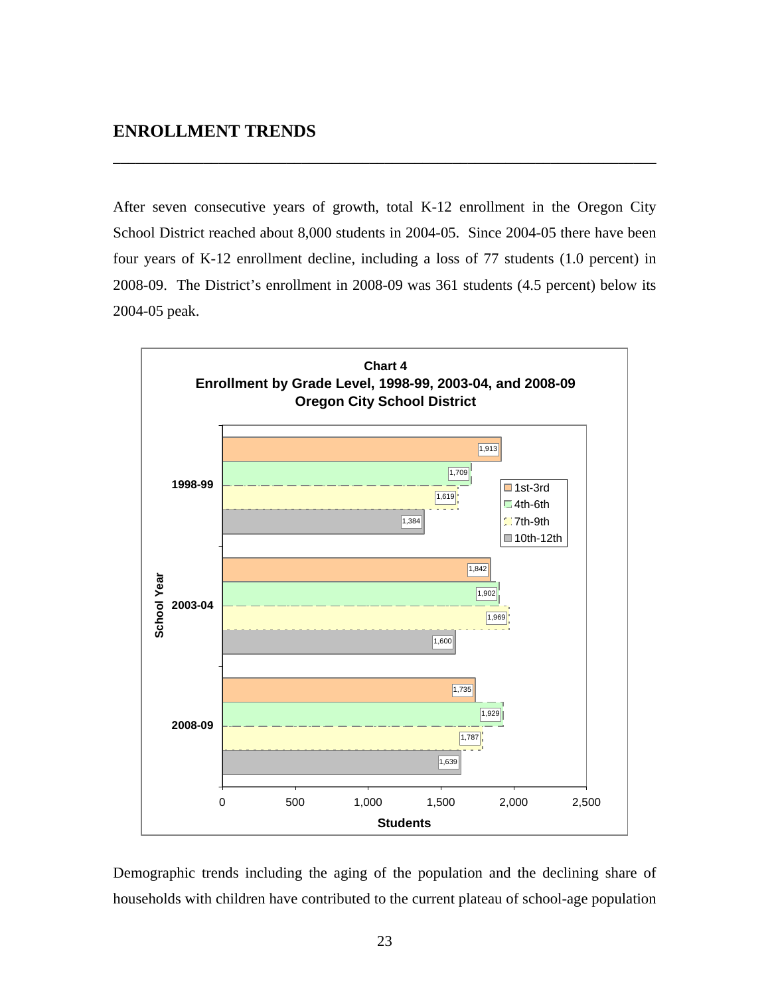After seven consecutive years of growth, total K-12 enrollment in the Oregon City School District reached about 8,000 students in 2004-05. Since 2004-05 there have been four years of K-12 enrollment decline, including a loss of 77 students (1.0 percent) in 2008-09. The District's enrollment in 2008-09 was 361 students (4.5 percent) below its 2004-05 peak.

\_\_\_\_\_\_\_\_\_\_\_\_\_\_\_\_\_\_\_\_\_\_\_\_\_\_\_\_\_\_\_\_\_\_\_\_\_\_\_\_\_\_\_\_\_\_\_\_\_\_\_\_\_\_\_\_\_\_\_\_\_\_\_\_\_\_\_\_\_\_\_\_



Demographic trends including the aging of the population and the declining share of households with children have contributed to the current plateau of school-age population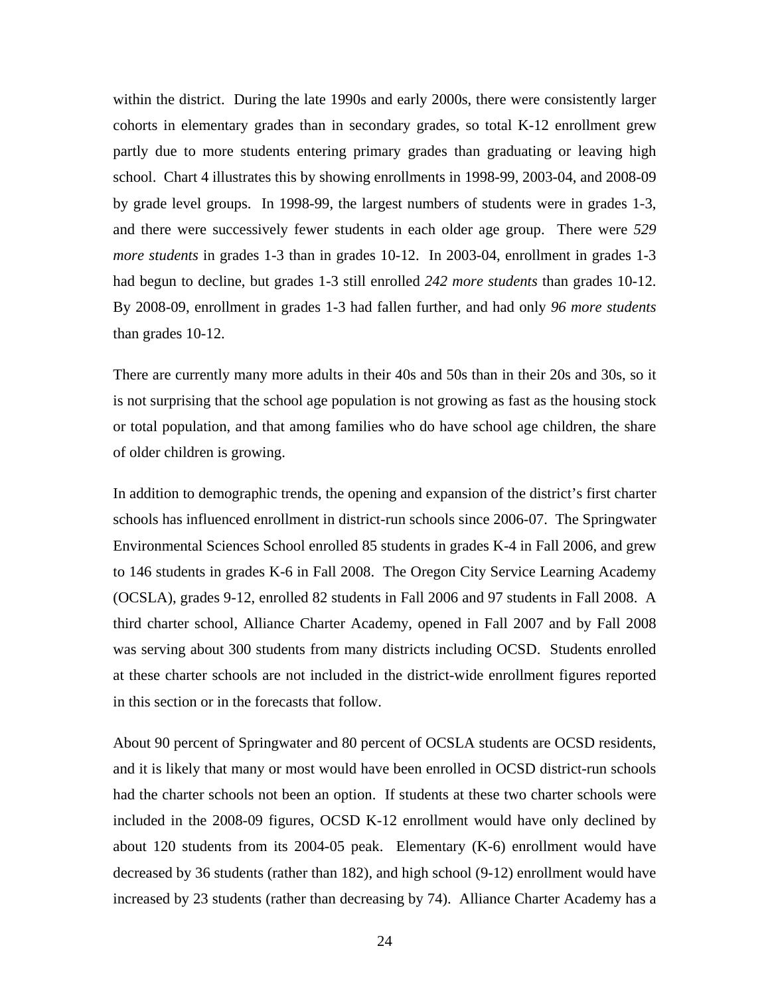within the district. During the late 1990s and early 2000s, there were consistently larger cohorts in elementary grades than in secondary grades, so total K-12 enrollment grew partly due to more students entering primary grades than graduating or leaving high school. Chart 4 illustrates this by showing enrollments in 1998-99, 2003-04, and 2008-09 by grade level groups. In 1998-99, the largest numbers of students were in grades 1-3, and there were successively fewer students in each older age group. There were *529 more students* in grades 1-3 than in grades 10-12. In 2003-04, enrollment in grades 1-3 had begun to decline, but grades 1-3 still enrolled *242 more students* than grades 10-12. By 2008-09, enrollment in grades 1-3 had fallen further, and had only *96 more students* than grades 10-12.

There are currently many more adults in their 40s and 50s than in their 20s and 30s, so it is not surprising that the school age population is not growing as fast as the housing stock or total population, and that among families who do have school age children, the share of older children is growing.

In addition to demographic trends, the opening and expansion of the district's first charter schools has influenced enrollment in district-run schools since 2006-07. The Springwater Environmental Sciences School enrolled 85 students in grades K-4 in Fall 2006, and grew to 146 students in grades K-6 in Fall 2008. The Oregon City Service Learning Academy (OCSLA), grades 9-12, enrolled 82 students in Fall 2006 and 97 students in Fall 2008. A third charter school, Alliance Charter Academy, opened in Fall 2007 and by Fall 2008 was serving about 300 students from many districts including OCSD. Students enrolled at these charter schools are not included in the district-wide enrollment figures reported in this section or in the forecasts that follow.

About 90 percent of Springwater and 80 percent of OCSLA students are OCSD residents, and it is likely that many or most would have been enrolled in OCSD district-run schools had the charter schools not been an option. If students at these two charter schools were included in the 2008-09 figures, OCSD K-12 enrollment would have only declined by about 120 students from its 2004-05 peak. Elementary (K-6) enrollment would have decreased by 36 students (rather than 182), and high school (9-12) enrollment would have increased by 23 students (rather than decreasing by 74). Alliance Charter Academy has a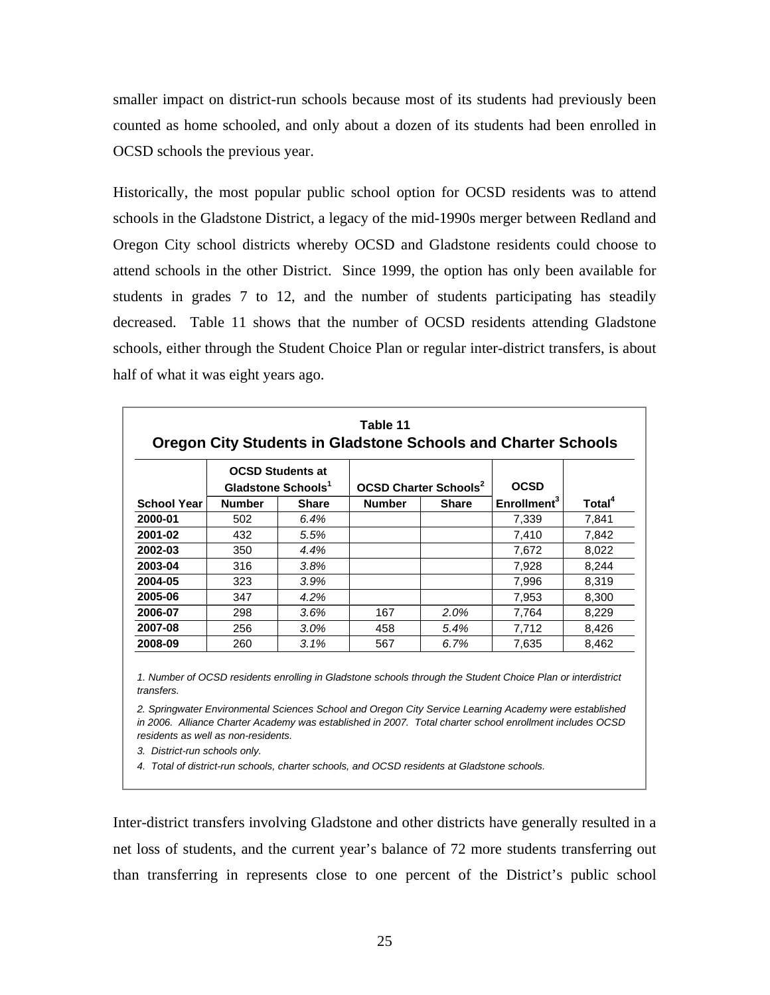smaller impact on district-run schools because most of its students had previously been counted as home schooled, and only about a dozen of its students had been enrolled in OCSD schools the previous year.

Historically, the most popular public school option for OCSD residents was to attend schools in the Gladstone District, a legacy of the mid-1990s merger between Redland and Oregon City school districts whereby OCSD and Gladstone residents could choose to attend schools in the other District. Since 1999, the option has only been available for students in grades 7 to 12, and the number of students participating has steadily decreased. Table 11 shows that the number of OCSD residents attending Gladstone schools, either through the Student Choice Plan or regular inter-district transfers, is about half of what it was eight years ago.

| Table 11<br><b>Oregon City Students in Gladstone Schools and Charter Schools</b> |                                |                         |                                         |              |                         |                    |  |  |  |
|----------------------------------------------------------------------------------|--------------------------------|-------------------------|-----------------------------------------|--------------|-------------------------|--------------------|--|--|--|
|                                                                                  | Gladstone Schools <sup>1</sup> | <b>OCSD Students at</b> | <b>OCSD Charter Schools<sup>2</sup></b> |              | <b>OCSD</b>             |                    |  |  |  |
| <b>School Year</b>                                                               | <b>Number</b>                  | <b>Share</b>            | <b>Number</b>                           | <b>Share</b> | Enrollment <sup>3</sup> | Total <sup>4</sup> |  |  |  |
| 2000-01                                                                          | 502                            | 6.4%                    |                                         |              | 7,339                   | 7,841              |  |  |  |
| 2001-02                                                                          | 432                            | 5.5%                    |                                         |              | 7,410                   | 7,842              |  |  |  |
| 2002-03                                                                          | 350                            | 4.4%                    |                                         |              | 7,672                   | 8,022              |  |  |  |
| 2003-04                                                                          | 316                            | 3.8%                    |                                         |              | 7,928                   | 8,244              |  |  |  |
| 2004-05                                                                          | 323                            | 3.9%                    |                                         |              | 7,996                   | 8.319              |  |  |  |
| 2005-06                                                                          | 347                            | 4.2%                    |                                         |              | 7,953                   | 8,300              |  |  |  |
| 2006-07                                                                          | 298                            | 3.6%                    | 167                                     | 2.0%         | 7,764                   | 8,229              |  |  |  |
| 2007-08                                                                          | 256                            | $3.0\%$                 | 458                                     | 5.4%         | 7,712                   | 8.426              |  |  |  |
| 2008-09                                                                          | 260                            | 3.1%                    | 567                                     | 6.7%         | 7,635                   | 8,462              |  |  |  |

*1. Number of OCSD residents enrolling in Gladstone schools through the Student Choice Plan or interdistrict transfers.*

*2. Springwater Environmental Sciences School and Oregon City Service Learning Academy were established in 2006. Alliance Charter Academy was established in 2007. Total charter school enrollment includes OCSD residents as well as non-residents.* 

*3. District-run schools only.*

*4. Total of district-run schools, charter schools, and OCSD residents at Gladstone schools.*

Inter-district transfers involving Gladstone and other districts have generally resulted in a net loss of students, and the current year's balance of 72 more students transferring out than transferring in represents close to one percent of the District's public school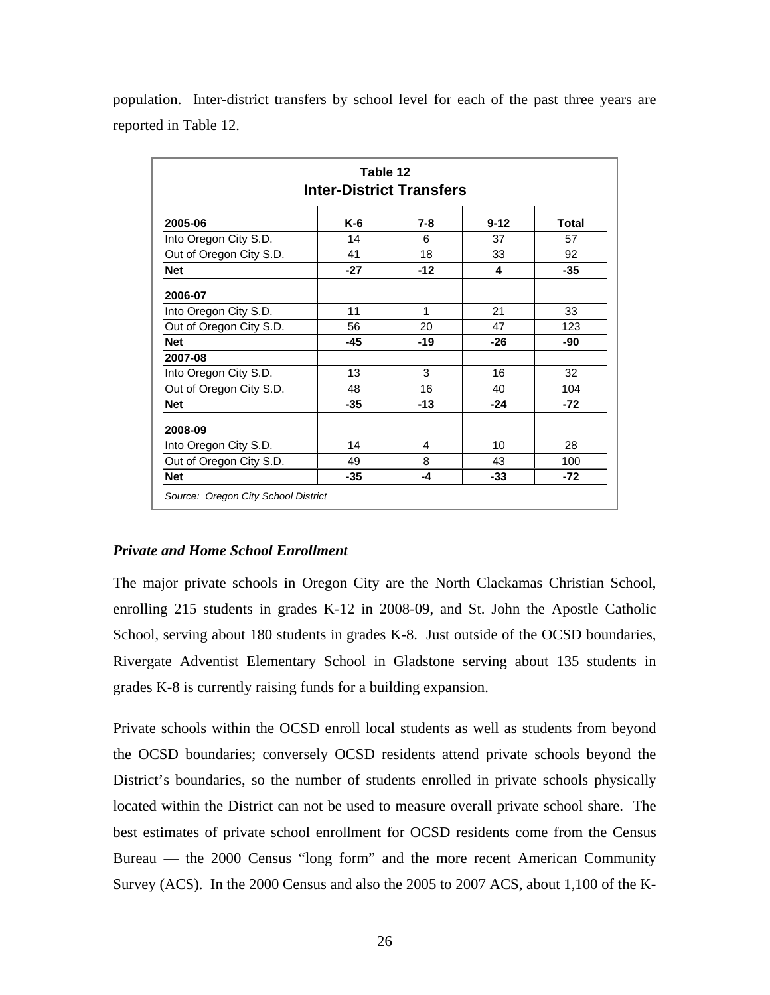| Table 12<br><b>Inter-District Transfers</b> |       |         |          |              |  |  |
|---------------------------------------------|-------|---------|----------|--------------|--|--|
| 2005-06                                     | $K-6$ | $7 - 8$ | $9 - 12$ | <b>Total</b> |  |  |
| Into Oregon City S.D.                       | 14    | 6       | 37       | 57           |  |  |
| Out of Oregon City S.D.                     | 41    | 18      | 33       | 92           |  |  |
| <b>Net</b>                                  | $-27$ | $-12$   | 4        | $-35$        |  |  |
| 2006-07                                     |       |         |          |              |  |  |
| Into Oregon City S.D.                       | 11    | 1       | 21       | 33           |  |  |
| Out of Oregon City S.D.                     | 56    | 20      | 47       | 123          |  |  |
| <b>Net</b>                                  | $-45$ | $-19$   | $-26$    | -90          |  |  |
| 2007-08                                     |       |         |          |              |  |  |
| Into Oregon City S.D.                       | 13    | 3       | 16       | 32           |  |  |
| Out of Oregon City S.D.                     | 48    | 16      | 40       | 104          |  |  |
| <b>Net</b>                                  | $-35$ | $-13$   | $-24$    | $-72$        |  |  |
| 2008-09                                     |       |         |          |              |  |  |
| Into Oregon City S.D.                       | 14    | 4       | 10       | 28           |  |  |
| Out of Oregon City S.D.                     | 49    | 8       | 43       | 100          |  |  |
| <b>Net</b>                                  | $-35$ | -4      | $-33$    | $-72$        |  |  |

population. Inter-district transfers by school level for each of the past three years are reported in Table 12.

#### *Private and Home School Enrollment*

The major private schools in Oregon City are the North Clackamas Christian School, enrolling 215 students in grades K-12 in 2008-09, and St. John the Apostle Catholic School, serving about 180 students in grades K-8. Just outside of the OCSD boundaries, Rivergate Adventist Elementary School in Gladstone serving about 135 students in grades K-8 is currently raising funds for a building expansion.

Private schools within the OCSD enroll local students as well as students from beyond the OCSD boundaries; conversely OCSD residents attend private schools beyond the District's boundaries, so the number of students enrolled in private schools physically located within the District can not be used to measure overall private school share. The best estimates of private school enrollment for OCSD residents come from the Census Bureau — the 2000 Census "long form" and the more recent American Community Survey (ACS). In the 2000 Census and also the 2005 to 2007 ACS, about 1,100 of the K-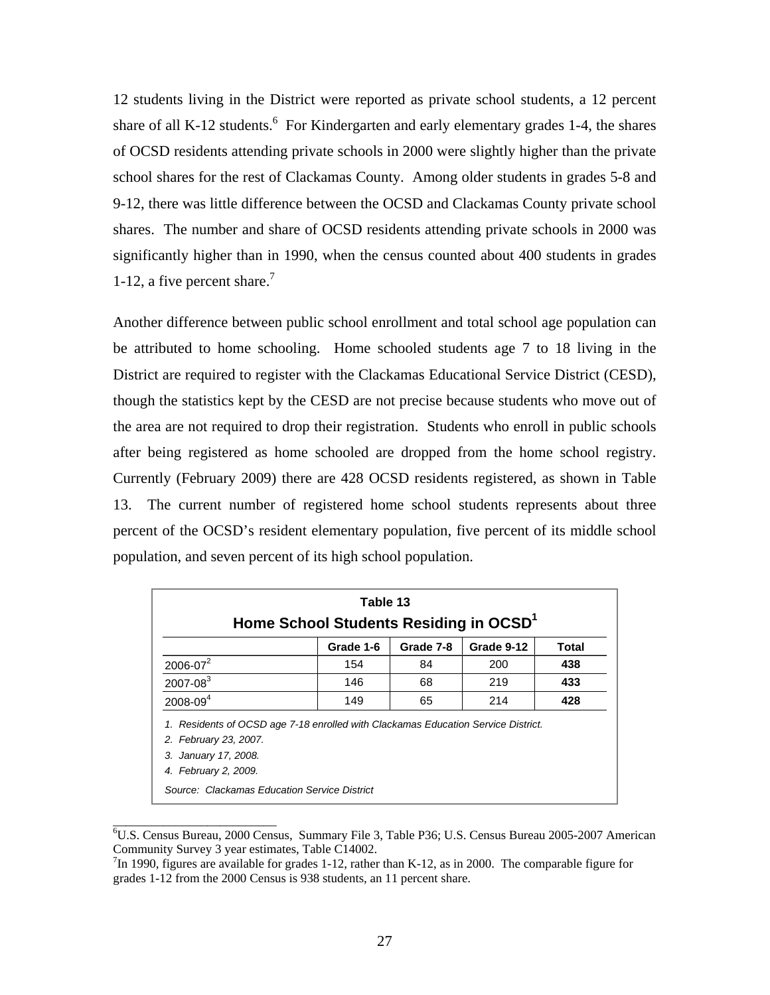12 students living in the District were reported as private school students, a 12 percent share of all K-12 students.  $\frac{6}{5}$  For Kindergarten and early elementary grades 1-4, the shares of OCSD residents attending private schools in 2000 were slightly higher than the private school shares for the rest of Clackamas County. Among older students in grades 5-8 and 9-12, there was little difference between the OCSD and Clackamas County private school shares. The number and share of OCSD residents attending private schools in 2000 was significantly higher than in 1990, when the census counted about 400 students in grades 1-12, a five percent share.<sup>7</sup>

Another difference between public school enrollment and total school age population can be attributed to home schooling. Home schooled students age 7 to 18 living in the District are required to register with the Clackamas Educational Service District (CESD), though the statistics kept by the CESD are not precise because students who move out of the area are not required to drop their registration. Students who enroll in public schools after being registered as home schooled are dropped from the home school registry. Currently (February 2009) there are 428 OCSD residents registered, as shown in Table 13. The current number of registered home school students represents about three percent of the OCSD's resident elementary population, five percent of its middle school population, and seven percent of its high school population.

| Table 13<br>Home School Students Residing in OCSD <sup>1</sup> |           |           |            |       |  |  |  |  |
|----------------------------------------------------------------|-----------|-----------|------------|-------|--|--|--|--|
|                                                                | Grade 1-6 | Grade 7-8 | Grade 9-12 | Total |  |  |  |  |
| $2006 - 07^2$                                                  | 154       | 84        | 200        | 438   |  |  |  |  |
| $2007 - 083$                                                   | 146       | 68        | 219        | 433   |  |  |  |  |
| $2008 - 094$                                                   | 149       | 65        | 214        | 428   |  |  |  |  |

<sup>6</sup> U.S. Census Bureau, 2000 Census, Summary File 3, Table P36; U.S. Census Bureau 2005-2007 American Community Survey 3 year estimates, Table C14002.

\_\_\_\_\_\_\_\_\_\_\_\_\_\_\_\_\_\_\_\_\_\_\_\_\_\_

 $\frac{7}{1}$ In 1990, figures are available for grades 1-12, rather than K-12, as in 2000. The comparable figure for grades 1-12 from the 2000 Census is 938 students, an 11 percent share.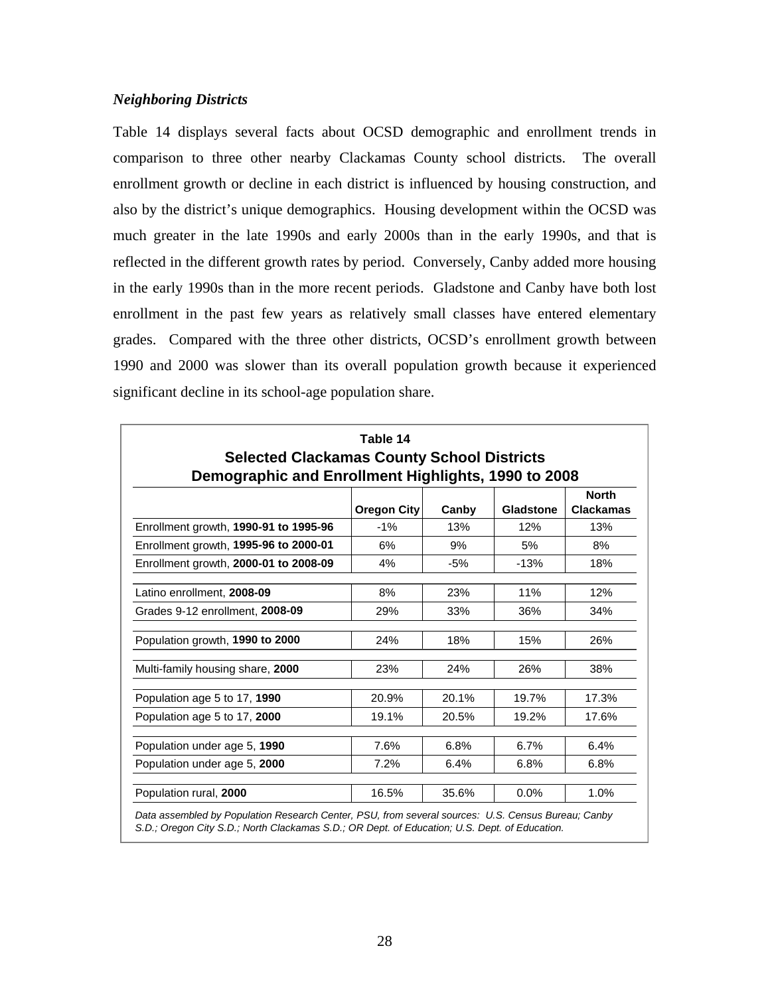#### *Neighboring Districts*

Table 14 displays several facts about OCSD demographic and enrollment trends in comparison to three other nearby Clackamas County school districts. The overall enrollment growth or decline in each district is influenced by housing construction, and also by the district's unique demographics. Housing development within the OCSD was much greater in the late 1990s and early 2000s than in the early 1990s, and that is reflected in the different growth rates by period. Conversely, Canby added more housing in the early 1990s than in the more recent periods. Gladstone and Canby have both lost enrollment in the past few years as relatively small classes have entered elementary grades. Compared with the three other districts, OCSD's enrollment growth between 1990 and 2000 was slower than its overall population growth because it experienced significant decline in its school-age population share.

| Table 14<br><b>Selected Clackamas County School Districts</b><br>Demographic and Enrollment Highlights, 1990 to 2008 |                    |       |           |                                  |  |  |  |  |
|----------------------------------------------------------------------------------------------------------------------|--------------------|-------|-----------|----------------------------------|--|--|--|--|
|                                                                                                                      | <b>Oregon City</b> | Canby | Gladstone | <b>North</b><br><b>Clackamas</b> |  |  |  |  |
| Enrollment growth, 1990-91 to 1995-96                                                                                | $-1%$              | 13%   | 12%       | 13%                              |  |  |  |  |
| Enrollment growth, 1995-96 to 2000-01                                                                                | 6%                 | 9%    | 5%        | 8%                               |  |  |  |  |
| Enrollment growth, 2000-01 to 2008-09                                                                                | 4%                 | $-5%$ | $-13%$    | 18%                              |  |  |  |  |
| Latino enrollment. 2008-09                                                                                           | 8%                 | 23%   | 11%       | 12%                              |  |  |  |  |
| Grades 9-12 enrollment, 2008-09                                                                                      | 29%                | 33%   | 36%       | 34%                              |  |  |  |  |
| Population growth, 1990 to 2000                                                                                      | 24%                | 18%   | 15%       | 26%                              |  |  |  |  |
| Multi-family housing share, 2000                                                                                     | 23%                | 24%   | 26%       | 38%                              |  |  |  |  |
| Population age 5 to 17, 1990                                                                                         | 20.9%              | 20.1% | 19.7%     | 17.3%                            |  |  |  |  |
| Population age 5 to 17, 2000                                                                                         | 19.1%              | 20.5% | 19.2%     | 17.6%                            |  |  |  |  |
| Population under age 5, 1990                                                                                         | 7.6%               | 6.8%  | 6.7%      | 6.4%                             |  |  |  |  |
| Population under age 5, 2000                                                                                         | 7.2%               | 6.4%  | 6.8%      | 6.8%                             |  |  |  |  |
| Population rural, 2000                                                                                               | 16.5%              | 35.6% | 0.0%      | 1.0%                             |  |  |  |  |

*Data assembled by Population Research Center, PSU, from several sources: U.S. Census Bureau; Canby S.D.; Oregon City S.D.; North Clackamas S.D.; OR Dept. of Education; U.S. Dept. of Education.*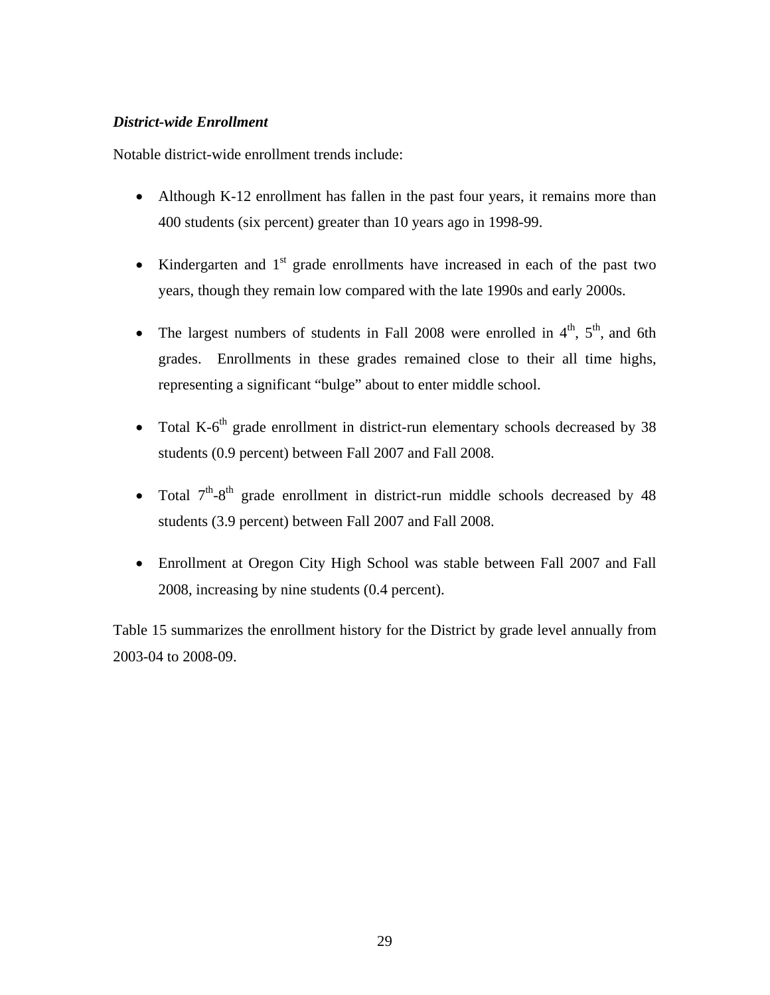#### *District-wide Enrollment*

Notable district-wide enrollment trends include:

- Although K-12 enrollment has fallen in the past four years, it remains more than 400 students (six percent) greater than 10 years ago in 1998-99.
- Kindergarten and  $1<sup>st</sup>$  grade enrollments have increased in each of the past two years, though they remain low compared with the late 1990s and early 2000s.
- The largest numbers of students in Fall 2008 were enrolled in  $4<sup>th</sup>$ ,  $5<sup>th</sup>$ , and 6th grades. Enrollments in these grades remained close to their all time highs, representing a significant "bulge" about to enter middle school.
- Total K- $6<sup>th</sup>$  grade enrollment in district-run elementary schools decreased by 38 students (0.9 percent) between Fall 2007 and Fall 2008.
- Total  $7<sup>th</sup> 8<sup>th</sup>$  grade enrollment in district-run middle schools decreased by 48 students (3.9 percent) between Fall 2007 and Fall 2008.
- Enrollment at Oregon City High School was stable between Fall 2007 and Fall 2008, increasing by nine students (0.4 percent).

Table 15 summarizes the enrollment history for the District by grade level annually from 2003-04 to 2008-09.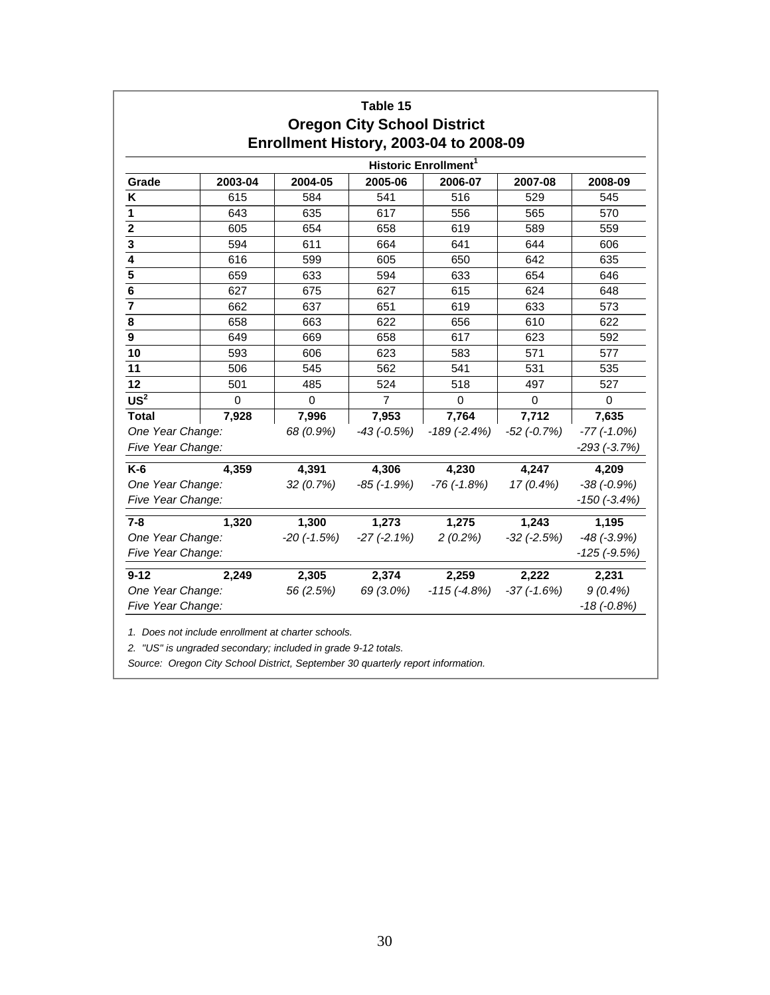|                                       |             |                   | Table 15<br><b>Oregon City School District</b> | <b>Enrollment History, 2003-04 to 2008-09</b> |                 |                                  |
|---------------------------------------|-------------|-------------------|------------------------------------------------|-----------------------------------------------|-----------------|----------------------------------|
|                                       |             |                   |                                                | Historic Enrollment <sup>1</sup>              |                 |                                  |
| Grade                                 | 2003-04     | 2004-05           | 2005-06                                        | 2006-07                                       | 2007-08         | 2008-09                          |
| K                                     | 615         | 584               | 541                                            | 516                                           | 529             | 545                              |
| 1                                     | 643         | 635               | 617                                            | 556                                           | 565             | 570                              |
| $\overline{\mathbf{2}}$               | 605         | 654               | 658                                            | 619                                           | 589             | 559                              |
| 3                                     | 594         | 611               | 664                                            | 641                                           | 644             | 606                              |
| $\overline{4}$                        | 616         | 599               | 605                                            | 650                                           | 642             | 635                              |
| 5                                     | 659         | 633               | 594                                            | 633                                           | 654             | 646                              |
| 6                                     | 627         | 675               | 627                                            | 615                                           | 624             | 648                              |
| $\overline{7}$                        | 662         | 637               | 651                                            | 619                                           | 633             | 573                              |
| 8                                     | 658         | 663               | 622                                            | 656                                           | 610             | 622                              |
| $\overline{9}$                        | 649         | 669               | 658                                            | 617                                           | 623             | 592                              |
| 10                                    | 593         | 606               | 623                                            | 583                                           | 571             | 577                              |
| 11                                    | 506         | 545               | 562                                            | 541                                           | 531             | 535                              |
| 12                                    | 501         | 485               | 524                                            | 518                                           | 497             | 527                              |
| US <sup>2</sup>                       | $\mathbf 0$ | $\mathbf 0$       | $\overline{7}$                                 | $\Omega$                                      | $\mathbf 0$     | $\mathbf 0$                      |
| <b>Total</b>                          | 7,928       | 7,996             | 7,953                                          | 7,764                                         | 7,712           | 7,635                            |
| One Year Change:<br>Five Year Change: |             | 68 (0.9%)         | $-43$ ( $-0.5%$ )                              | $-189(-2.4%)$                                 | $-52$ $(-0.7%)$ | $-77$ $(-1.0%)$<br>$-293(-3.7%)$ |
| $K-6$                                 | 4,359       | 4,391             | 4,306                                          | 4,230                                         | 4,247           | 4,209                            |
| One Year Change:                      |             | 32(0.7%)          | $-85$ ( $-1.9%$ )                              | $-76$ $(-1.8%)$                               | $17(0.4\%)$     | $-38(-0.9%)$                     |
| Five Year Change:                     |             |                   |                                                |                                               |                 | $-150$ ( $-3.4%$ )               |
| $7 - 8$                               | 1,320       | 1,300             | 1,273                                          | 1,275                                         | 1,243           | 1,195                            |
| One Year Change:                      |             | $-20$ ( $-1.5%$ ) | $-27(-2.1\%)$                                  | $2(0.2\%)$                                    | $-32$ $(-2.5%)$ | $-48$ $(-3.9%)$                  |
| Five Year Change:                     |             |                   |                                                |                                               |                 | $-125$ ( $-9.5%$ )               |
| $9 - 12$                              | 2,249       | 2,305             | 2,374                                          | 2,259                                         | 2,222           | 2,231                            |
| One Year Change:<br>Five Year Change: |             | 56 (2.5%)         | 69 (3.0%)                                      | $-115(-4.8%)$                                 | $-37(-1.6%)$    | $9(0.4\%)$<br>$-18(-0.8%)$       |

*1. Does not include enrollment at charter schools.*

*2. "US" is ungraded secondary; included in grade 9-12 totals.*

*Source: Oregon City School District, September 30 quarterly report information.*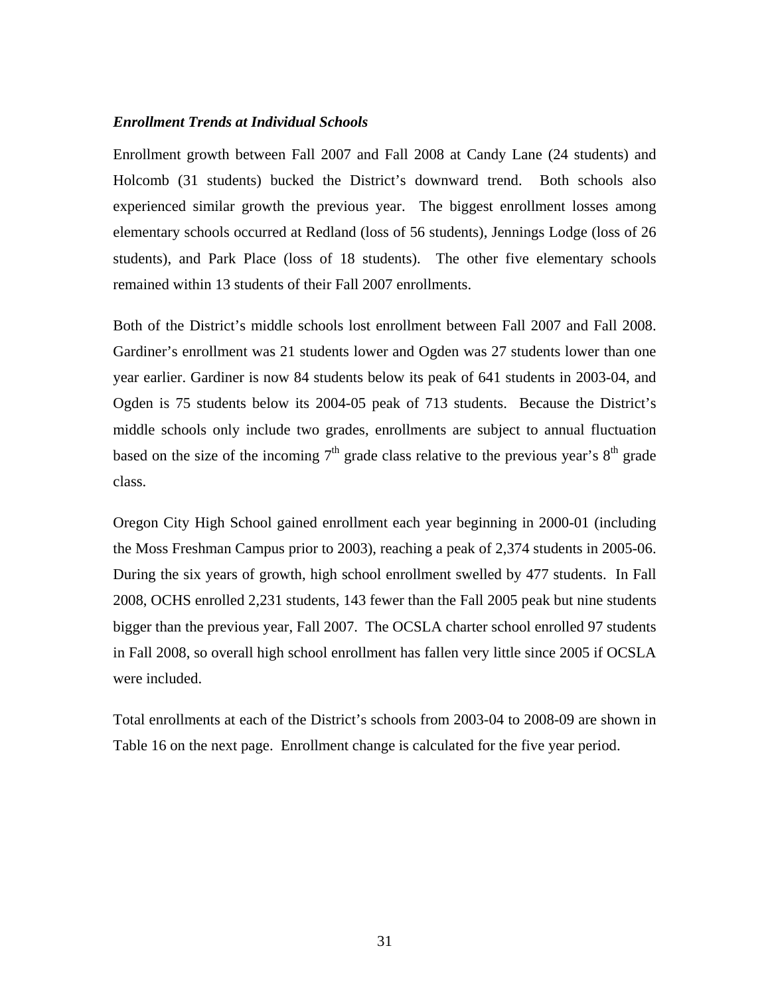#### *Enrollment Trends at Individual Schools*

Enrollment growth between Fall 2007 and Fall 2008 at Candy Lane (24 students) and Holcomb (31 students) bucked the District's downward trend. Both schools also experienced similar growth the previous year. The biggest enrollment losses among elementary schools occurred at Redland (loss of 56 students), Jennings Lodge (loss of 26 students), and Park Place (loss of 18 students). The other five elementary schools remained within 13 students of their Fall 2007 enrollments.

Both of the District's middle schools lost enrollment between Fall 2007 and Fall 2008. Gardiner's enrollment was 21 students lower and Ogden was 27 students lower than one year earlier. Gardiner is now 84 students below its peak of 641 students in 2003-04, and Ogden is 75 students below its 2004-05 peak of 713 students. Because the District's middle schools only include two grades, enrollments are subject to annual fluctuation based on the size of the incoming  $7<sup>th</sup>$  grade class relative to the previous year's  $8<sup>th</sup>$  grade class.

Oregon City High School gained enrollment each year beginning in 2000-01 (including the Moss Freshman Campus prior to 2003), reaching a peak of 2,374 students in 2005-06. During the six years of growth, high school enrollment swelled by 477 students. In Fall 2008, OCHS enrolled 2,231 students, 143 fewer than the Fall 2005 peak but nine students bigger than the previous year, Fall 2007. The OCSLA charter school enrolled 97 students in Fall 2008, so overall high school enrollment has fallen very little since 2005 if OCSLA were included.

Total enrollments at each of the District's schools from 2003-04 to 2008-09 are shown in Table 16 on the next page. Enrollment change is calculated for the five year period.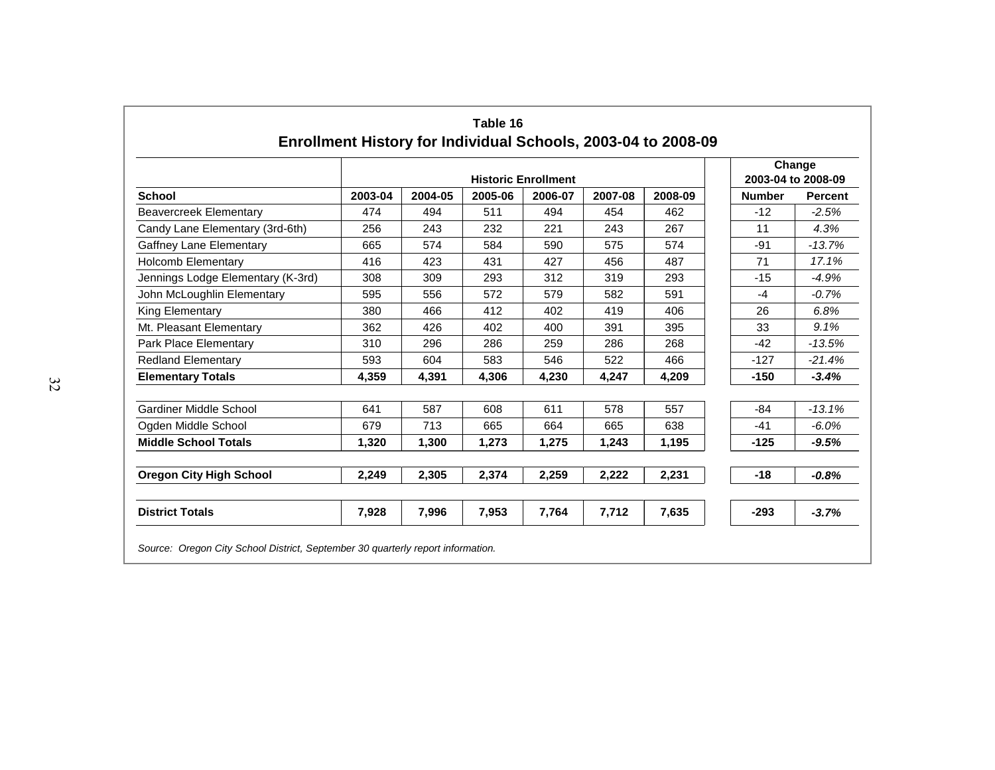|                                   |         |         | Change<br>2003-04 to 2008-09 |         |         |         |               |                |
|-----------------------------------|---------|---------|------------------------------|---------|---------|---------|---------------|----------------|
| <b>School</b>                     | 2003-04 | 2004-05 | 2005-06                      | 2006-07 | 2007-08 | 2008-09 | <b>Number</b> | <b>Percent</b> |
| <b>Beavercreek Elementary</b>     | 474     | 494     | 511                          | 494     | 454     | 462     | $-12$         | $-2.5%$        |
| Candy Lane Elementary (3rd-6th)   | 256     | 243     | 232                          | 221     | 243     | 267     | 11            | 4.3%           |
| Gaffney Lane Elementary           | 665     | 574     | 584                          | 590     | 575     | 574     | $-91$         | $-13.7%$       |
| <b>Holcomb Elementary</b>         | 416     | 423     | 431                          | 427     | 456     | 487     | 71            | 17.1%          |
| Jennings Lodge Elementary (K-3rd) | 308     | 309     | 293                          | 312     | 319     | 293     | $-15$         | $-4.9%$        |
| John McLoughlin Elementary        | 595     | 556     | 572                          | 579     | 582     | 591     | $-4$          | $-0.7%$        |
| King Elementary                   | 380     | 466     | 412                          | 402     | 419     | 406     | 26            | 6.8%           |
| Mt. Pleasant Elementary           | 362     | 426     | 402                          | 400     | 391     | 395     | 33            | 9.1%           |
| Park Place Elementary             | 310     | 296     | 286                          | 259     | 286     | 268     | $-42$         | $-13.5%$       |
| <b>Redland Elementary</b>         | 593     | 604     | 583                          | 546     | 522     | 466     | $-127$        | $-21.4%$       |
| <b>Elementary Totals</b>          | 4,359   | 4,391   | 4,306                        | 4,230   | 4,247   | 4,209   | $-150$        | $-3.4%$        |
| Gardiner Middle School            | 641     | 587     | 608                          | 611     | 578     | 557     | $-84$         | $-13.1%$       |
| Ogden Middle School               | 679     | 713     | 665                          | 664     | 665     | 638     | $-41$         | $-6.0%$        |
| <b>Middle School Totals</b>       | 1,320   | 1,300   | 1,273                        | 1,275   | 1,243   | 1,195   | $-125$        | $-9.5%$        |
| <b>Oregon City High School</b>    | 2,249   | 2,305   | 2,374                        | 2,259   | 2,222   | 2,231   | $-18$         | $-0.8%$        |
| <b>District Totals</b>            | 7,928   | 7,996   | 7,953                        | 7,764   | 7,712   | 7,635   | $-293$        | $-3.7%$        |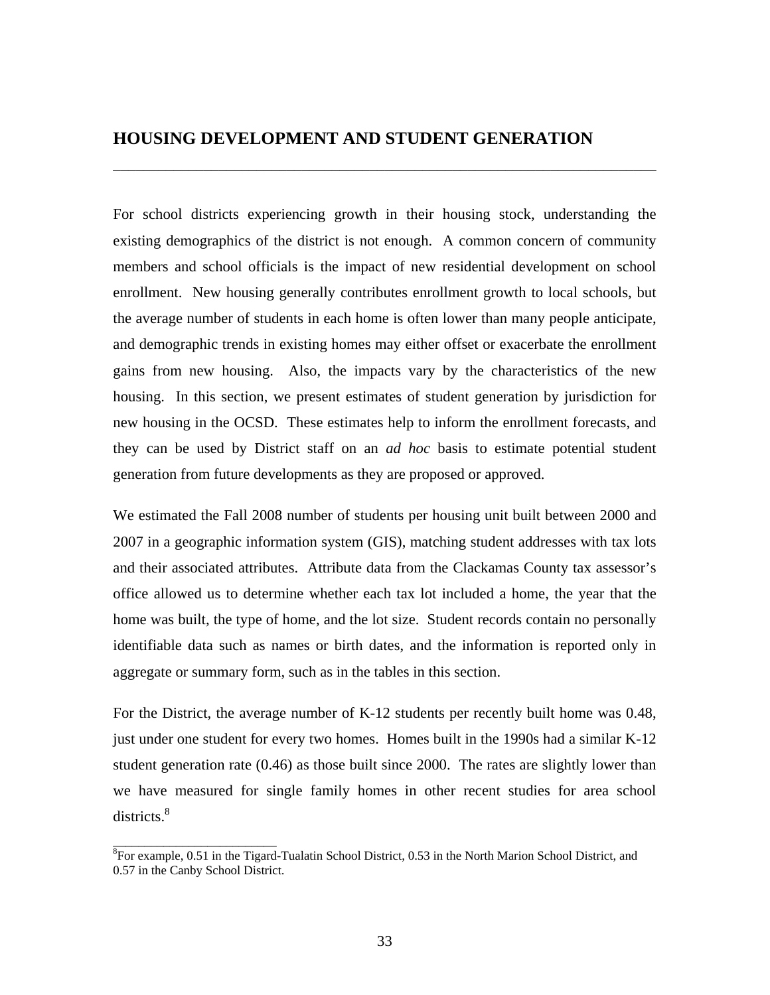### **HOUSING DEVELOPMENT AND STUDENT GENERATION**

For school districts experiencing growth in their housing stock, understanding the existing demographics of the district is not enough. A common concern of community members and school officials is the impact of new residential development on school enrollment. New housing generally contributes enrollment growth to local schools, but the average number of students in each home is often lower than many people anticipate, and demographic trends in existing homes may either offset or exacerbate the enrollment gains from new housing. Also, the impacts vary by the characteristics of the new housing. In this section, we present estimates of student generation by jurisdiction for new housing in the OCSD. These estimates help to inform the enrollment forecasts, and they can be used by District staff on an *ad hoc* basis to estimate potential student generation from future developments as they are proposed or approved.

\_\_\_\_\_\_\_\_\_\_\_\_\_\_\_\_\_\_\_\_\_\_\_\_\_\_\_\_\_\_\_\_\_\_\_\_\_\_\_\_\_\_\_\_\_\_\_\_\_\_\_\_\_\_\_\_\_\_\_\_\_\_\_\_\_\_\_\_\_\_\_\_

We estimated the Fall 2008 number of students per housing unit built between 2000 and 2007 in a geographic information system (GIS), matching student addresses with tax lots and their associated attributes. Attribute data from the Clackamas County tax assessor's office allowed us to determine whether each tax lot included a home, the year that the home was built, the type of home, and the lot size. Student records contain no personally identifiable data such as names or birth dates, and the information is reported only in aggregate or summary form, such as in the tables in this section.

For the District, the average number of K-12 students per recently built home was 0.48, just under one student for every two homes. Homes built in the 1990s had a similar K-12 student generation rate (0.46) as those built since 2000. The rates are slightly lower than we have measured for single family homes in other recent studies for area school districts.<sup>8</sup>

\_\_\_\_\_\_\_\_\_\_\_\_\_\_\_\_\_\_\_\_\_\_\_\_\_\_

<sup>&</sup>lt;sup>8</sup>For example, 0.51 in the Tigard-Tualatin School District, 0.53 in the North Marion School District, and 0.57 in the Canby School District.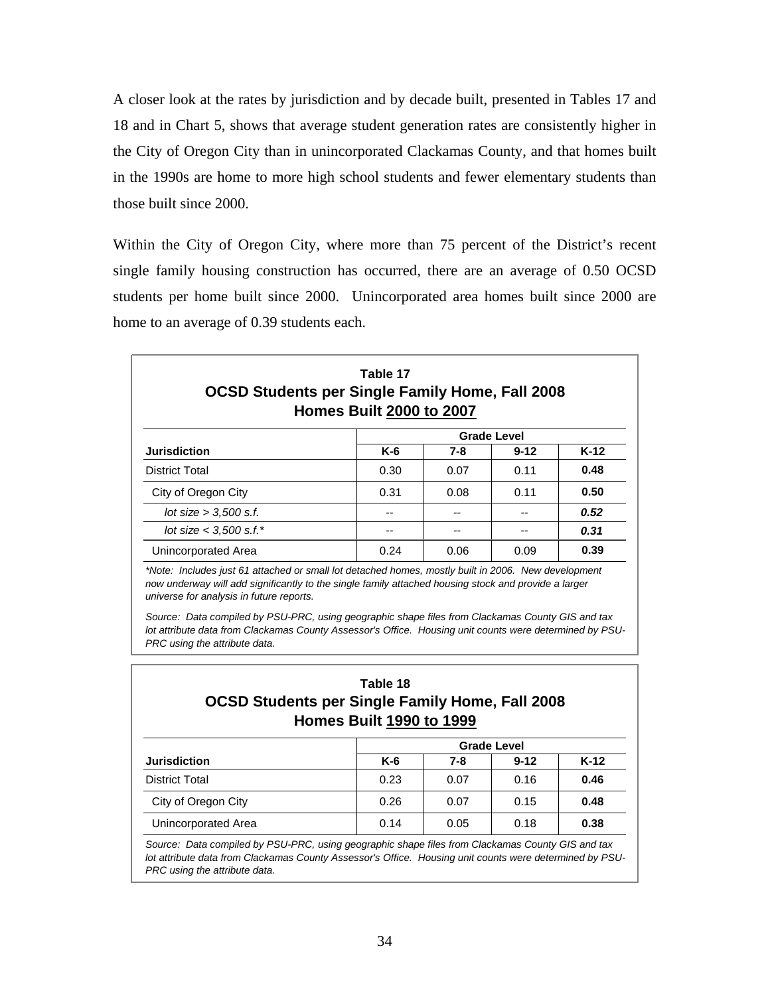A closer look at the rates by jurisdiction and by decade built, presented in Tables 17 and 18 and in Chart 5, shows that average student generation rates are consistently higher in the City of Oregon City than in unincorporated Clackamas County, and that homes built in the 1990s are home to more high school students and fewer elementary students than those built since 2000.

Within the City of Oregon City, where more than 75 percent of the District's recent single family housing construction has occurred, there are an average of 0.50 OCSD students per home built since 2000. Unincorporated area homes built since 2000 are home to an average of 0.39 students each.

| Table 17<br><b>OCSD Students per Single Family Home, Fall 2008</b><br><b>Homes Built 2000 to 2007</b> |       |      |          |        |  |  |  |
|-------------------------------------------------------------------------------------------------------|-------|------|----------|--------|--|--|--|
| <b>Grade Level</b>                                                                                    |       |      |          |        |  |  |  |
| <b>Jurisdiction</b>                                                                                   | $K-6$ | 7-8  | $9 - 12$ | $K-12$ |  |  |  |
| <b>District Total</b>                                                                                 | 0.30  | 0.07 | 0.11     | 0.48   |  |  |  |
| City of Oregon City                                                                                   | 0.31  | 0.08 | 0.11     | 0.50   |  |  |  |
| lot size $>$ 3,500 s.f.                                                                               | --    |      |          | 0.52   |  |  |  |
| lot size $<$ 3,500 s.f.*                                                                              |       |      |          | 0.31   |  |  |  |
| Unincorporated Area                                                                                   | 0.24  | 0.06 | 0.09     | 0.39   |  |  |  |

*now underway will add significantly to the single family attached housing stock and provide a larger universe for analysis in future reports.*

*Source: Data compiled by PSU-PRC, using geographic shape files from Clackamas County GIS and tax lot attribute data from Clackamas County Assessor's Office. Housing unit counts were determined by PSU-PRC using the attribute data.*

### **Table 18 OCSD Students per Single Family Home, Fall 2008 Homes Built 1990 to 1999**

|                     | <b>Grade Level</b> |      |          |        |  |  |
|---------------------|--------------------|------|----------|--------|--|--|
| <b>Jurisdiction</b> | $K-6$              | 7-8  | $9 - 12$ | $K-12$ |  |  |
| District Total      | 0.23               | 0.07 | 0.16     | 0.46   |  |  |
| City of Oregon City | 0.26               | 0.07 | 0.15     | 0.48   |  |  |
| Unincorporated Area | 0.14               | 0.05 | 0.18     | 0.38   |  |  |

*Source: Data compiled by PSU-PRC, using geographic shape files from Clackamas County GIS and tax lot attribute data from Clackamas County Assessor's Office. Housing unit counts were determined by PSU-PRC using the attribute data.*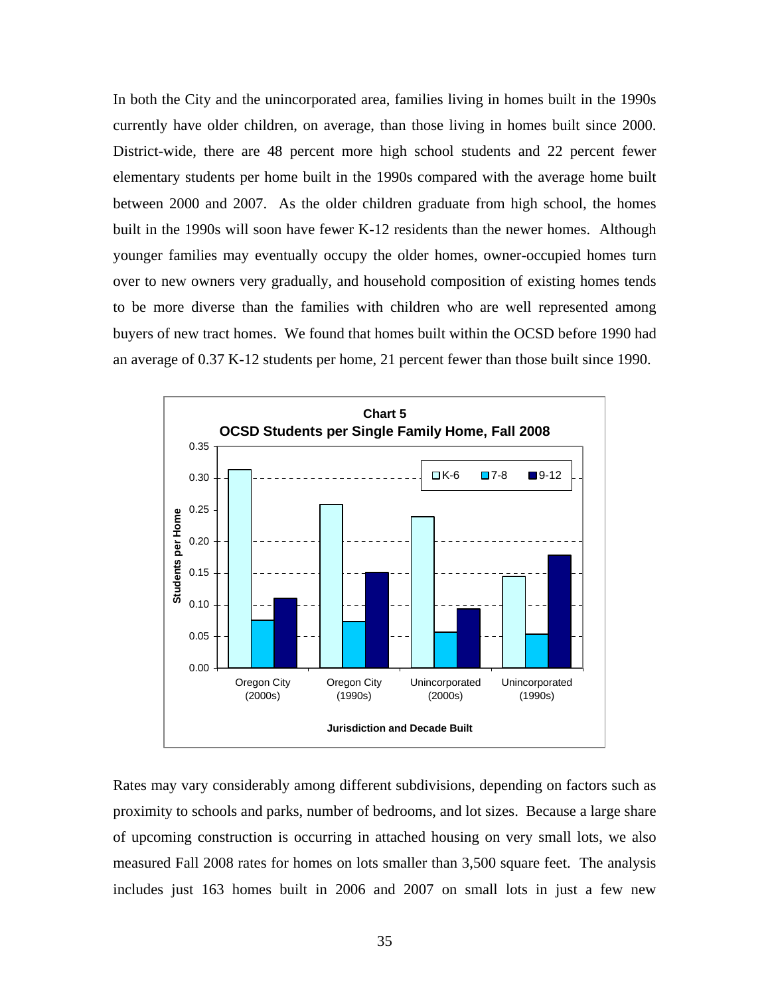In both the City and the unincorporated area, families living in homes built in the 1990s currently have older children, on average, than those living in homes built since 2000. District-wide, there are 48 percent more high school students and 22 percent fewer elementary students per home built in the 1990s compared with the average home built between 2000 and 2007. As the older children graduate from high school, the homes built in the 1990s will soon have fewer K-12 residents than the newer homes. Although younger families may eventually occupy the older homes, owner-occupied homes turn over to new owners very gradually, and household composition of existing homes tends to be more diverse than the families with children who are well represented among buyers of new tract homes. We found that homes built within the OCSD before 1990 had an average of 0.37 K-12 students per home, 21 percent fewer than those built since 1990.



Rates may vary considerably among different subdivisions, depending on factors such as proximity to schools and parks, number of bedrooms, and lot sizes. Because a large share of upcoming construction is occurring in attached housing on very small lots, we also measured Fall 2008 rates for homes on lots smaller than 3,500 square feet. The analysis includes just 163 homes built in 2006 and 2007 on small lots in just a few new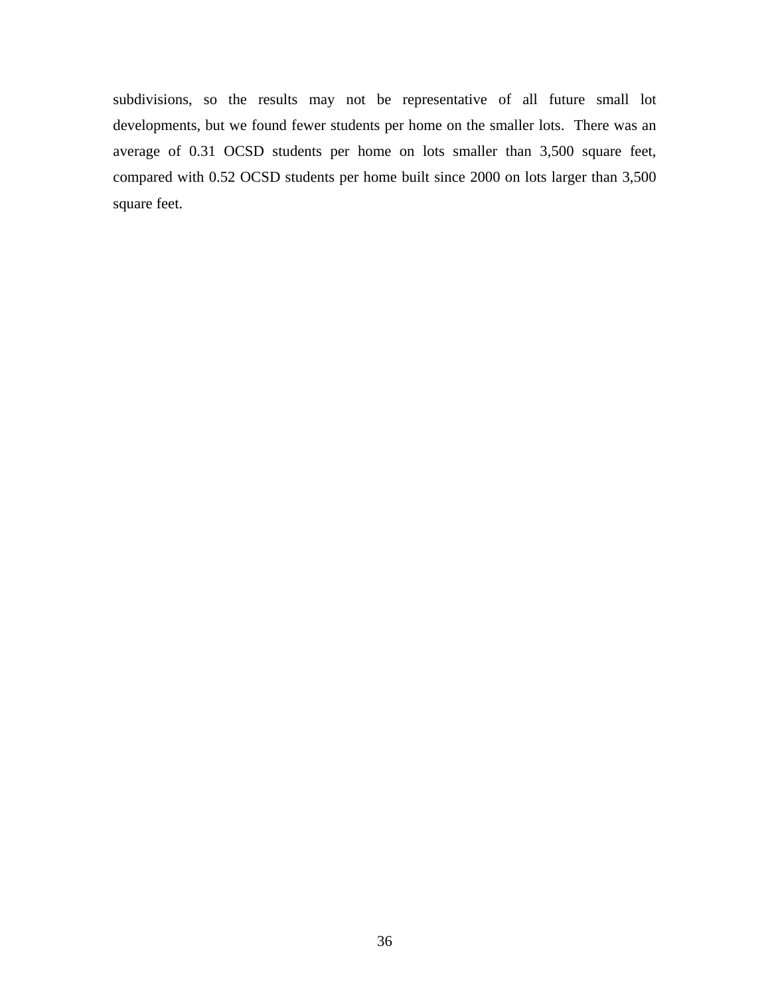subdivisions, so the results may not be representative of all future small lot developments, but we found fewer students per home on the smaller lots. There was an average of 0.31 OCSD students per home on lots smaller than 3,500 square feet, compared with 0.52 OCSD students per home built since 2000 on lots larger than 3,500 square feet.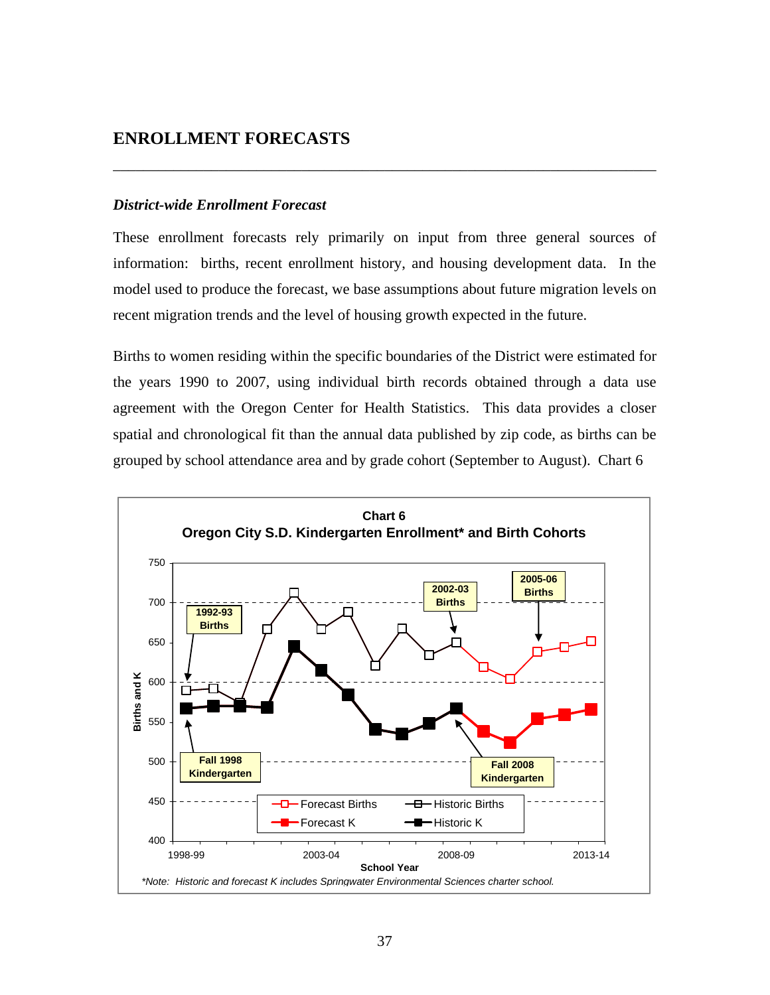### **ENROLLMENT FORECASTS**

#### *District-wide Enrollment Forecast*

These enrollment forecasts rely primarily on input from three general sources of information: births, recent enrollment history, and housing development data. In the model used to produce the forecast, we base assumptions about future migration levels on recent migration trends and the level of housing growth expected in the future.

\_\_\_\_\_\_\_\_\_\_\_\_\_\_\_\_\_\_\_\_\_\_\_\_\_\_\_\_\_\_\_\_\_\_\_\_\_\_\_\_\_\_\_\_\_\_\_\_\_\_\_\_\_\_\_\_\_\_\_\_\_\_\_\_\_\_\_\_\_\_\_\_

Births to women residing within the specific boundaries of the District were estimated for the years 1990 to 2007, using individual birth records obtained through a data use agreement with the Oregon Center for Health Statistics. This data provides a closer spatial and chronological fit than the annual data published by zip code, as births can be grouped by school attendance area and by grade cohort (September to August). Chart 6

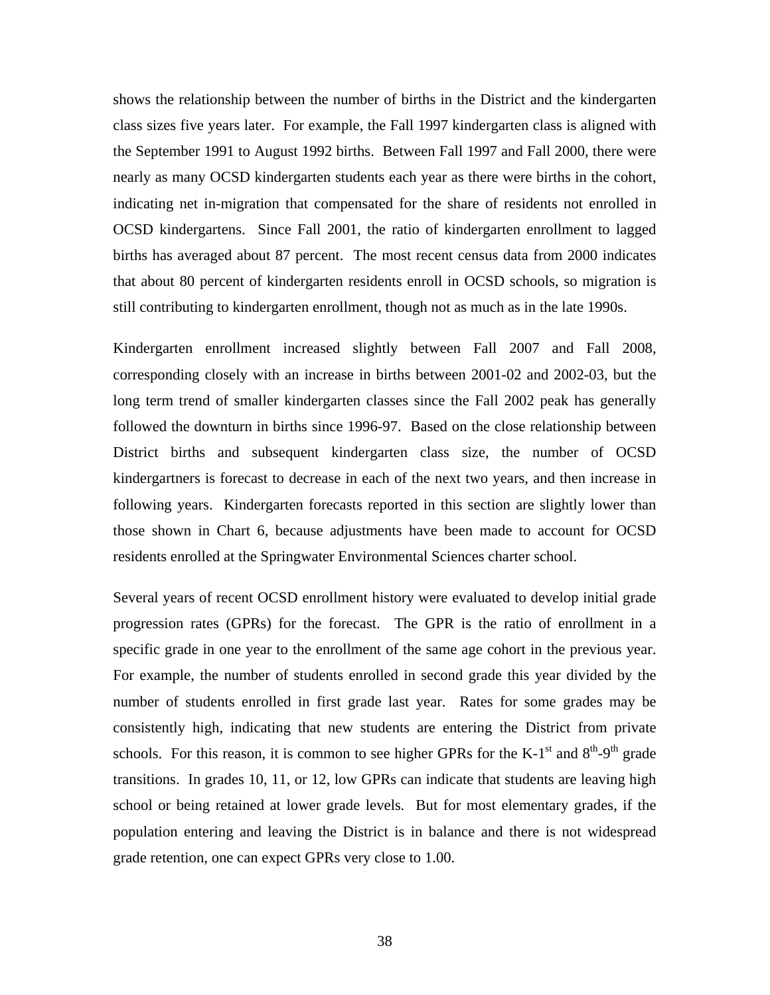shows the relationship between the number of births in the District and the kindergarten class sizes five years later. For example, the Fall 1997 kindergarten class is aligned with the September 1991 to August 1992 births. Between Fall 1997 and Fall 2000, there were nearly as many OCSD kindergarten students each year as there were births in the cohort, indicating net in-migration that compensated for the share of residents not enrolled in OCSD kindergartens. Since Fall 2001, the ratio of kindergarten enrollment to lagged births has averaged about 87 percent. The most recent census data from 2000 indicates that about 80 percent of kindergarten residents enroll in OCSD schools, so migration is still contributing to kindergarten enrollment, though not as much as in the late 1990s.

Kindergarten enrollment increased slightly between Fall 2007 and Fall 2008, corresponding closely with an increase in births between 2001-02 and 2002-03, but the long term trend of smaller kindergarten classes since the Fall 2002 peak has generally followed the downturn in births since 1996-97. Based on the close relationship between District births and subsequent kindergarten class size, the number of OCSD kindergartners is forecast to decrease in each of the next two years, and then increase in following years. Kindergarten forecasts reported in this section are slightly lower than those shown in Chart 6, because adjustments have been made to account for OCSD residents enrolled at the Springwater Environmental Sciences charter school.

Several years of recent OCSD enrollment history were evaluated to develop initial grade progression rates (GPRs) for the forecast. The GPR is the ratio of enrollment in a specific grade in one year to the enrollment of the same age cohort in the previous year. For example, the number of students enrolled in second grade this year divided by the number of students enrolled in first grade last year. Rates for some grades may be consistently high, indicating that new students are entering the District from private schools. For this reason, it is common to see higher GPRs for the K-1<sup>st</sup> and  $8<sup>th</sup>$ -9<sup>th</sup> grade transitions. In grades 10, 11, or 12, low GPRs can indicate that students are leaving high school or being retained at lower grade levels. But for most elementary grades, if the population entering and leaving the District is in balance and there is not widespread grade retention, one can expect GPRs very close to 1.00.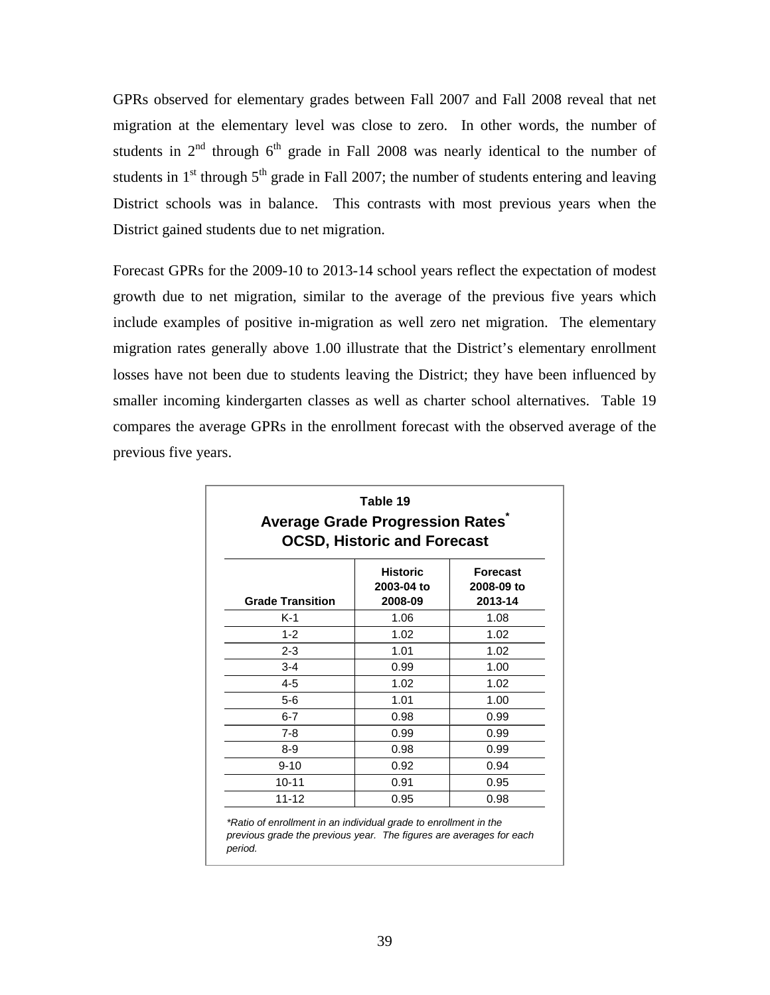GPRs observed for elementary grades between Fall 2007 and Fall 2008 reveal that net migration at the elementary level was close to zero. In other words, the number of students in  $2<sup>nd</sup>$  through  $6<sup>th</sup>$  grade in Fall 2008 was nearly identical to the number of students in  $1<sup>st</sup>$  through  $5<sup>th</sup>$  grade in Fall 2007; the number of students entering and leaving District schools was in balance. This contrasts with most previous years when the District gained students due to net migration.

Forecast GPRs for the 2009-10 to 2013-14 school years reflect the expectation of modest growth due to net migration, similar to the average of the previous five years which include examples of positive in-migration as well zero net migration. The elementary migration rates generally above 1.00 illustrate that the District's elementary enrollment losses have not been due to students leaving the District; they have been influenced by smaller incoming kindergarten classes as well as charter school alternatives. Table 19 compares the average GPRs in the enrollment forecast with the observed average of the previous five years.

| Table 19<br><b>Average Grade Progression Rates</b><br><b>OCSD, Historic and Forecast</b> |                                          |                                          |  |  |  |  |
|------------------------------------------------------------------------------------------|------------------------------------------|------------------------------------------|--|--|--|--|
| <b>Grade Transition</b>                                                                  | <b>Historic</b><br>2003-04 to<br>2008-09 | <b>Forecast</b><br>2008-09 to<br>2013-14 |  |  |  |  |
| K-1                                                                                      | 1.06                                     | 1.08                                     |  |  |  |  |
| $1 - 2$                                                                                  | 1.02                                     | 1.02                                     |  |  |  |  |
| $2 - 3$                                                                                  | 1.01                                     | 1.02                                     |  |  |  |  |
| $3 - 4$                                                                                  | 0.99                                     | 1.00                                     |  |  |  |  |
| $4 - 5$                                                                                  | 1.02                                     | 1.02                                     |  |  |  |  |
| $5 - 6$                                                                                  | 1.01                                     | 1.00                                     |  |  |  |  |
| $6 - 7$                                                                                  | 0.98                                     | 0.99                                     |  |  |  |  |
| 7-8                                                                                      | 0.99                                     | 0.99                                     |  |  |  |  |
| 8-9                                                                                      | 0.98                                     | 0.99                                     |  |  |  |  |
| $9 - 10$                                                                                 | 0.92                                     | 0.94                                     |  |  |  |  |
| $10 - 11$                                                                                | 0.91                                     | 0.95                                     |  |  |  |  |
| $11 - 12$                                                                                | 0.95                                     | 0.98                                     |  |  |  |  |

39

*period.*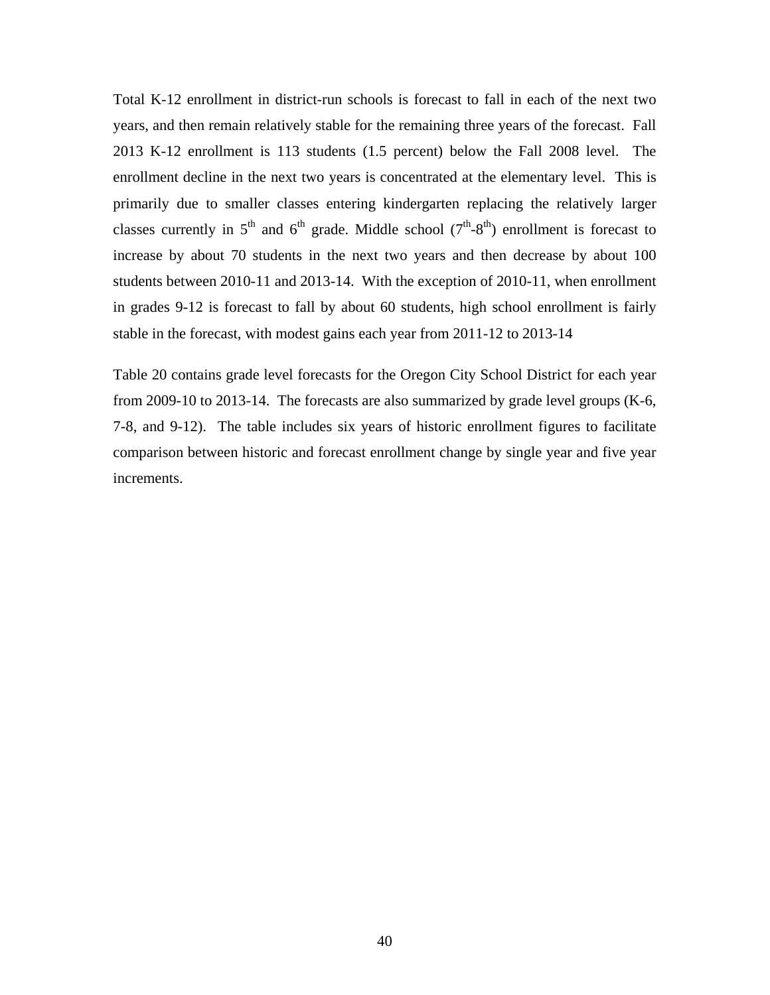Total K-12 enrollment in district-run schools is forecast to fall in each of the next two years, and then remain relatively stable for the remaining three years of the forecast. Fall 2013 K-12 enrollment is 113 students (1.5 percent) below the Fall 2008 level. The enrollment decline in the next two years is concentrated at the elementary level. This is primarily due to smaller classes entering kindergarten replacing the relatively larger classes currently in  $5<sup>th</sup>$  and  $6<sup>th</sup>$  grade. Middle school ( $7<sup>th</sup>$ -8<sup>th</sup>) enrollment is forecast to increase by about 70 students in the next two years and then decrease by about 100 students between 2010-11 and 2013-14. With the exception of 2010-11, when enrollment in grades 9-12 is forecast to fall by about 60 students, high school enrollment is fairly stable in the forecast, with modest gains each year from 2011-12 to 2013-14

Table 20 contains grade level forecasts for the Oregon City School District for each year from 2009-10 to 2013-14. The forecasts are also summarized by grade level groups (K-6, 7-8, and 9-12). The table includes six years of historic enrollment figures to facilitate comparison between historic and forecast enrollment change by single year and five year increments.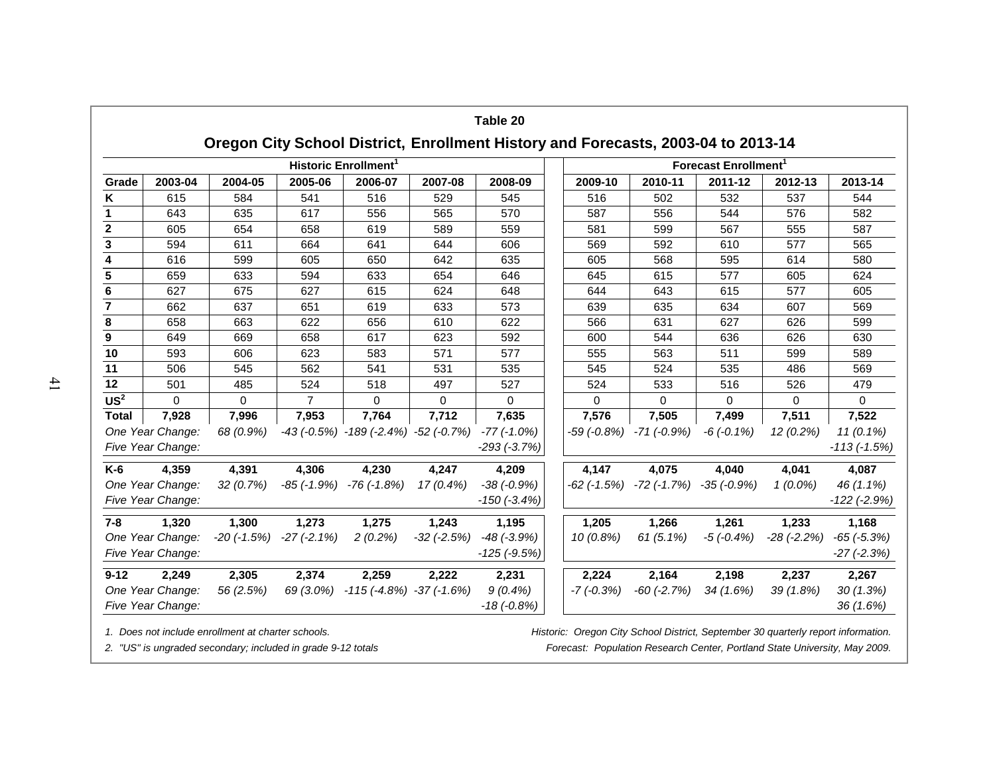|                         | <b>Historic Enrollment</b>            |           |                                       |                                                           |                 |                                       |                 | <b>Forecast Enrollment</b> <sup>1</sup> |                   |                 |                                 |  |  |
|-------------------------|---------------------------------------|-----------|---------------------------------------|-----------------------------------------------------------|-----------------|---------------------------------------|-----------------|-----------------------------------------|-------------------|-----------------|---------------------------------|--|--|
| Grade                   | 2003-04                               | 2004-05   | 2005-06                               | 2006-07                                                   | 2007-08         | 2008-09                               | 2009-10         | 2010-11                                 | 2011-12           | 2012-13         | 2013-14                         |  |  |
| Κ                       | 615                                   | 584       | 541                                   | 516                                                       | 529             | 545                                   | 516             | 502                                     | 532               | 537             | 544                             |  |  |
| 1                       | 643                                   | 635       | 617                                   | 556                                                       | 565             | 570                                   | 587             | 556                                     | 544               | 576             | 582                             |  |  |
| $\overline{\mathbf{2}}$ | 605                                   | 654       | 658                                   | 619                                                       | 589             | 559                                   | 581             | 599                                     | 567               | 555             | 587                             |  |  |
| $\overline{\mathbf{3}}$ | 594                                   | 611       | 664                                   | 641                                                       | 644             | 606                                   | 569             | 592                                     | 610               | 577             | 565                             |  |  |
| $\overline{\mathbf{4}}$ | 616                                   | 599       | 605                                   | 650                                                       | 642             | 635                                   | 605             | 568                                     | 595               | 614             | 580                             |  |  |
| $\overline{\mathbf{5}}$ | 659                                   | 633       | 594                                   | 633                                                       | 654             | 646                                   | 645             | 615                                     | 577               | 605             | 624                             |  |  |
| 6                       | 627                                   | 675       | 627                                   | 615                                                       | 624             | 648                                   | 644             | 643                                     | 615               | 577             | 605                             |  |  |
| $\overline{7}$          | 662                                   | 637       | 651                                   | 619                                                       | 633             | 573                                   | 639             | 635                                     | 634               | 607             | 569                             |  |  |
| 8                       | 658                                   | 663       | 622                                   | 656                                                       | 610             | 622                                   | 566             | 631                                     | 627               | 626             | 599                             |  |  |
| $\boldsymbol{9}$        | 649                                   | 669       | 658                                   | 617                                                       | 623             | 592                                   | 600             | 544                                     | 636               | 626             | 630                             |  |  |
| 10                      | 593                                   | 606       | 623                                   | 583                                                       | 571             | 577                                   | 555             | 563                                     | 511               | 599             | 589                             |  |  |
| 11                      | 506                                   | 545       | 562                                   | 541                                                       | 531             | 535                                   | 545             | 524                                     | 535               | 486             | 569                             |  |  |
| 12                      | 501                                   | 485       | 524                                   | 518                                                       | 497             | 527                                   | 524             | 533                                     | 516               | 526             | 479                             |  |  |
| US <sup>2</sup>         | $\Omega$                              | $\Omega$  | $\overline{7}$                        | $\Omega$                                                  | $\Omega$        | $\Omega$                              | $\Omega$        | $\Omega$                                | $\Omega$          | $\Omega$        | $\Omega$                        |  |  |
| <b>Total</b>            | 7,928                                 | 7,996     | 7,953                                 | 7,764                                                     | 7,712           | 7,635                                 | 7,576           | 7,505                                   | 7,499             | 7,511           | 7,522                           |  |  |
|                         | One Year Change:                      | 68 (0.9%) |                                       | $-43$ ( $-0.5\%$ ) $-189$ ( $-2.4\%$ ) $-52$ ( $-0.7\%$ ) |                 | $-77$ $(-1.0%)$                       |                 | $-59$ ( $-0.8\%$ ) $-71$ ( $-0.9\%$ )   | $-6(-0.1\%)$      | 12(0.2%)        | $11(0.1\%)$                     |  |  |
|                         | Five Year Change:                     |           |                                       |                                                           |                 | $-293$ $(-3.7%)$                      |                 |                                         |                   |                 | $-113(-1.5%)$                   |  |  |
| K-6                     | 4,359                                 | 4,391     | 4,306                                 | 4,230                                                     | 4,247           | 4,209                                 | 4,147           | 4,075                                   | 4,040             | 4,041           | 4,087                           |  |  |
|                         | One Year Change:<br>Five Year Change: | 32(0.7%)  | $-85$ ( $-1.9%$ )                     | $-76$ ( $-1.8%$ )                                         | $17(0.4\%)$     | $-38(-0.9%)$<br>$-150$ ( $-3.4%$ )    | $-62$ $(-1.5%)$ | -72 (-1.7%)                             | $-35$ ( $-0.9%$ ) | $1(0.0\%)$      | 46 (1.1%)<br>$-122$ ( $-2.9%$ ) |  |  |
| $7 - 8$                 | 1,320                                 | 1,300     | 1,273                                 | 1,275                                                     | 1,243           | 1,195                                 | 1,205           | 1,266                                   | 1,261             | 1,233           | 1,168                           |  |  |
|                         | One Year Change:<br>Five Year Change: |           | $-20$ ( $-1.5\%$ ) $-27$ ( $-2.1\%$ ) | $2(0.2\%)$                                                | $-32$ $(-2.5%)$ | $-48$ $(-3.9%)$<br>$-125$ ( $-9.5%$ ) | $10(0.8\%)$     | $61(5.1\%)$                             | $-5(-0.4%)$       | $-28$ $(-2.2%)$ | $-65$ $(-5.3%)$<br>$-27(-2.3%)$ |  |  |
| $9 - 12$                | 2,249                                 | 2,305     | 2,374                                 | 2,259                                                     | 2,222           | 2,231                                 | 2,224           | 2,164                                   | 2,198             | 2,237           | 2,267                           |  |  |
|                         | One Year Change:<br>Five Year Change: | 56 (2.5%) | 69 (3.0%)                             | $-115$ ( $-4.8\%$ ) $-37$ ( $-1.6\%$ )                    |                 | $9(0.4\%)$<br>$-18(-0.8%)$            | $-7(-0.3%)$     | $-60$ $(-2.7%)$                         | 34(1.6%)          | $39(1.8\%)$     | 30(1.3%)<br>36(1.6%)            |  |  |

41

*2. "US" is ungraded secondary; included in grade 9-12 totals Forecast: Population Research Center, Portland State University, May 2009.*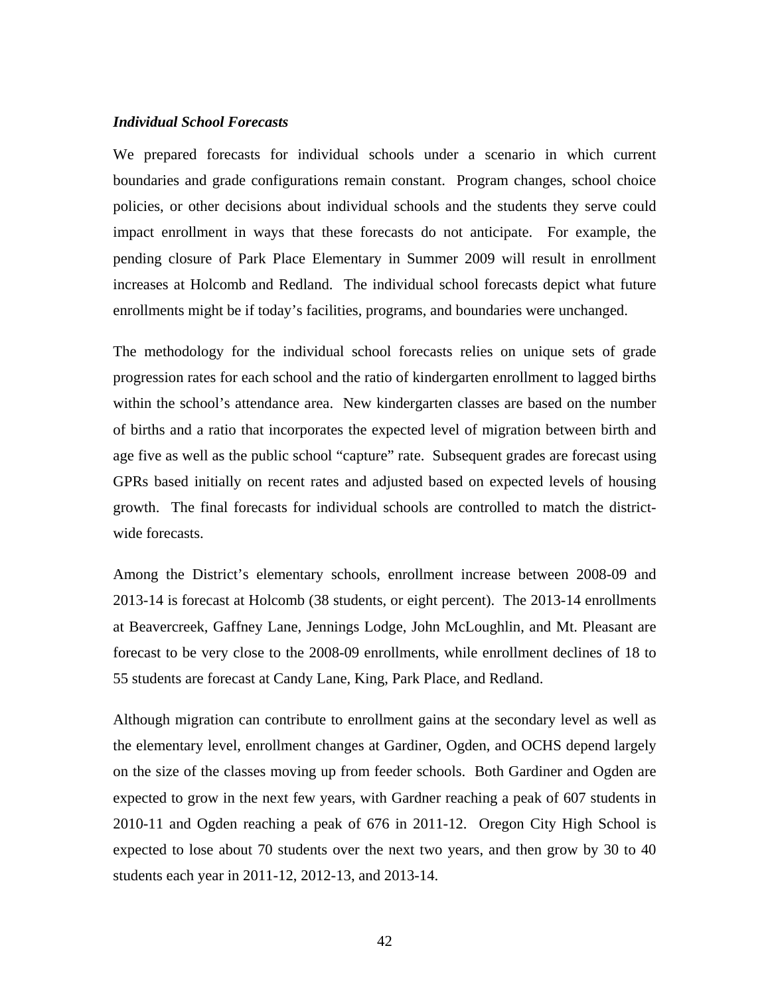#### *Individual School Forecasts*

We prepared forecasts for individual schools under a scenario in which current boundaries and grade configurations remain constant. Program changes, school choice policies, or other decisions about individual schools and the students they serve could impact enrollment in ways that these forecasts do not anticipate. For example, the pending closure of Park Place Elementary in Summer 2009 will result in enrollment increases at Holcomb and Redland. The individual school forecasts depict what future enrollments might be if today's facilities, programs, and boundaries were unchanged.

The methodology for the individual school forecasts relies on unique sets of grade progression rates for each school and the ratio of kindergarten enrollment to lagged births within the school's attendance area. New kindergarten classes are based on the number of births and a ratio that incorporates the expected level of migration between birth and age five as well as the public school "capture" rate. Subsequent grades are forecast using GPRs based initially on recent rates and adjusted based on expected levels of housing growth. The final forecasts for individual schools are controlled to match the districtwide forecasts.

Among the District's elementary schools, enrollment increase between 2008-09 and 2013-14 is forecast at Holcomb (38 students, or eight percent). The 2013-14 enrollments at Beavercreek, Gaffney Lane, Jennings Lodge, John McLoughlin, and Mt. Pleasant are forecast to be very close to the 2008-09 enrollments, while enrollment declines of 18 to 55 students are forecast at Candy Lane, King, Park Place, and Redland.

Although migration can contribute to enrollment gains at the secondary level as well as the elementary level, enrollment changes at Gardiner, Ogden, and OCHS depend largely on the size of the classes moving up from feeder schools. Both Gardiner and Ogden are expected to grow in the next few years, with Gardner reaching a peak of 607 students in 2010-11 and Ogden reaching a peak of 676 in 2011-12. Oregon City High School is expected to lose about 70 students over the next two years, and then grow by 30 to 40 students each year in 2011-12, 2012-13, and 2013-14.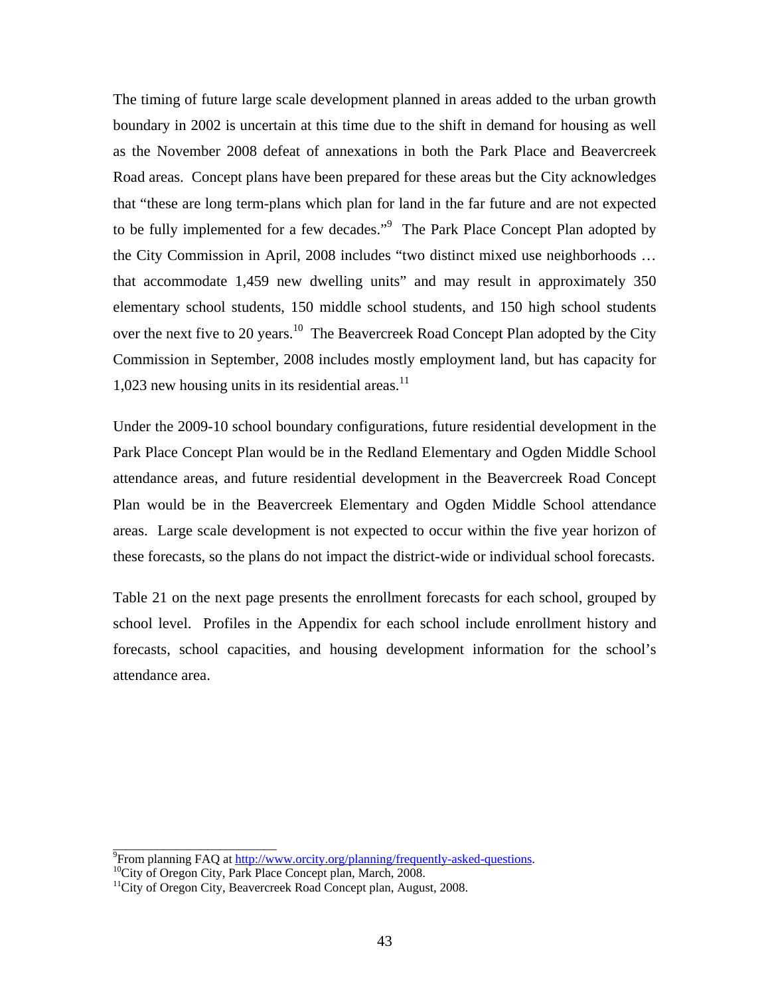The timing of future large scale development planned in areas added to the urban growth boundary in 2002 is uncertain at this time due to the shift in demand for housing as well as the November 2008 defeat of annexations in both the Park Place and Beavercreek Road areas. Concept plans have been prepared for these areas but the City acknowledges that "these are long term-plans which plan for land in the far future and are not expected to be fully implemented for a few decades."<sup>9</sup> The Park Place Concept Plan adopted by the City Commission in April, 2008 includes "two distinct mixed use neighborhoods … that accommodate 1,459 new dwelling units" and may result in approximately 350 elementary school students, 150 middle school students, and 150 high school students over the next five to 20 years.<sup>10</sup> The Beavercreek Road Concept Plan adopted by the City Commission in September, 2008 includes mostly employment land, but has capacity for 1,023 new housing units in its residential areas.<sup>11</sup>

Under the 2009-10 school boundary configurations, future residential development in the Park Place Concept Plan would be in the Redland Elementary and Ogden Middle School attendance areas, and future residential development in the Beavercreek Road Concept Plan would be in the Beavercreek Elementary and Ogden Middle School attendance areas. Large scale development is not expected to occur within the five year horizon of these forecasts, so the plans do not impact the district-wide or individual school forecasts.

Table 21 on the next page presents the enrollment forecasts for each school, grouped by school level. Profiles in the Appendix for each school include enrollment history and forecasts, school capacities, and housing development information for the school's attendance area.

\_\_\_\_\_\_\_\_\_\_\_\_\_\_\_\_\_\_\_\_\_\_\_\_\_\_

<sup>&</sup>lt;sup>9</sup>From planning FAQ at http://www.orcity.org/planning/frequently-asked-questions.

 $F_{\text{I}}^{\text{10}}$ City of Oregon City, Park Place Concept plan, March, 2008. 11City of Oregon City, Beavercreek Road Concept plan, August, 2008.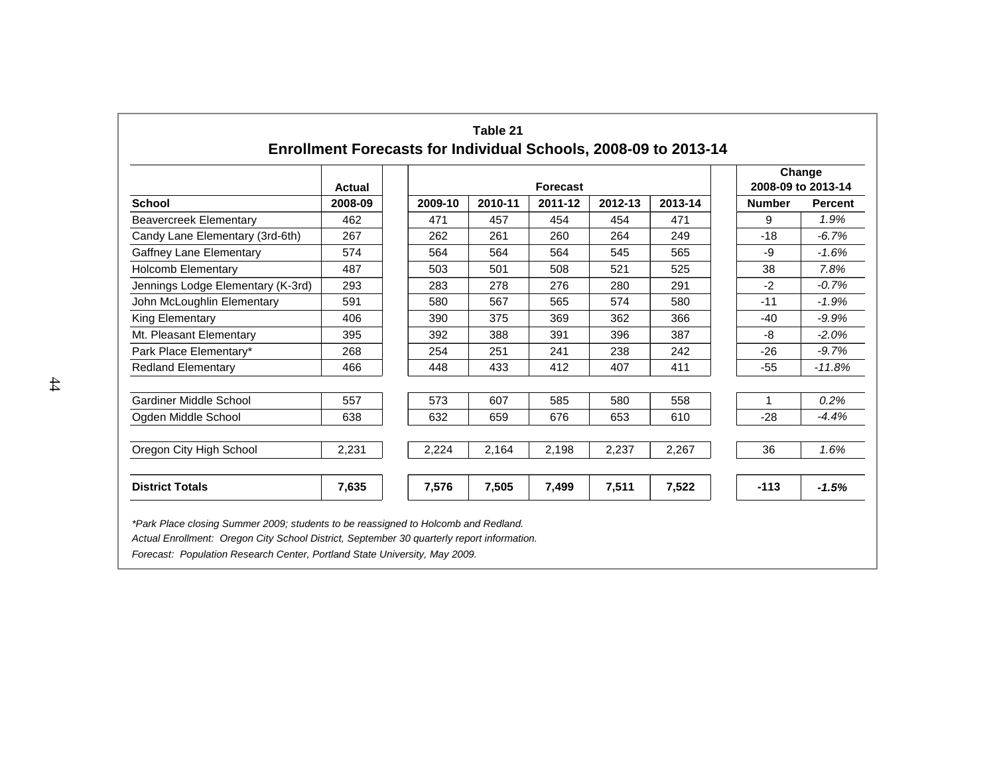|                                   | <b>Actual</b> | Forecast |         |         |         |         |               | Change<br>2008-09 to 2013-14 |
|-----------------------------------|---------------|----------|---------|---------|---------|---------|---------------|------------------------------|
| <b>School</b>                     | 2008-09       | 2009-10  | 2010-11 | 2011-12 | 2012-13 | 2013-14 | <b>Number</b> | <b>Percent</b>               |
| <b>Beavercreek Elementary</b>     | 462           | 471      | 457     | 454     | 454     | 471     | 9             | 1.9%                         |
| Candy Lane Elementary (3rd-6th)   | 267           | 262      | 261     | 260     | 264     | 249     | $-18$         | $-6.7%$                      |
| <b>Gaffney Lane Elementary</b>    | 574           | 564      | 564     | 564     | 545     | 565     | -9            | $-1.6%$                      |
| <b>Holcomb Elementary</b>         | 487           | 503      | 501     | 508     | 521     | 525     | 38            | 7.8%                         |
| Jennings Lodge Elementary (K-3rd) | 293           | 283      | 278     | 276     | 280     | 291     | $-2$          | $-0.7%$                      |
| John McLoughlin Elementary        | 591           | 580      | 567     | 565     | 574     | 580     | $-11$         | $-1.9%$                      |
| King Elementary                   | 406           | 390      | 375     | 369     | 362     | 366     | $-40$         | $-9.9%$                      |
| Mt. Pleasant Elementary           | 395           | 392      | 388     | 391     | 396     | 387     | -8            | $-2.0%$                      |
| Park Place Elementary*            | 268           | 254      | 251     | 241     | 238     | 242     | $-26$         | $-9.7%$                      |
| <b>Redland Elementary</b>         | 466           | 448      | 433     | 412     | 407     | 411     | $-55$         | $-11.8%$                     |
| Gardiner Middle School            | 557           | 573      | 607     | 585     | 580     | 558     | 1             | 0.2%                         |
| Ogden Middle School               | 638           | 632      | 659     | 676     | 653     | 610     | $-28$         | $-4.4%$                      |
| Oregon City High School           | 2,231         | 2,224    | 2,164   | 2,198   | 2,237   | 2,267   | 36            | 1.6%                         |
| <b>District Totals</b>            | 7,635         | 7,576    | 7,505   | 7,499   | 7,511   | 7,522   | $-113$        | $-1.5%$                      |

*Forecast: Population Research Center, Portland State University, May 2009.*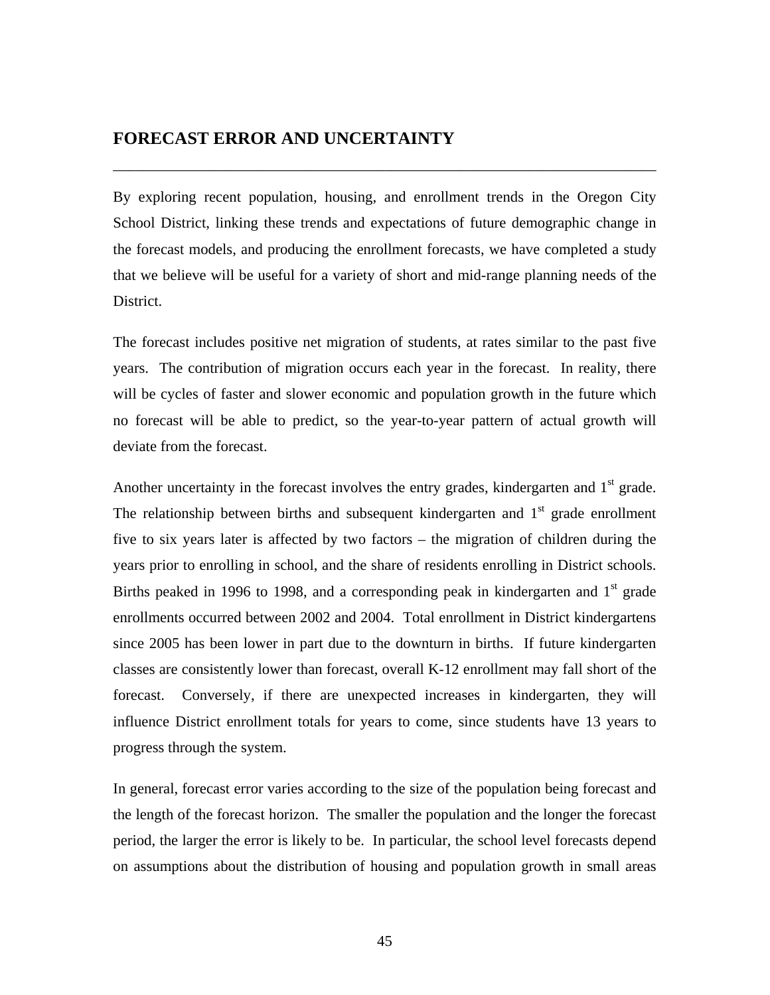### **FORECAST ERROR AND UNCERTAINTY**

By exploring recent population, housing, and enrollment trends in the Oregon City School District, linking these trends and expectations of future demographic change in the forecast models, and producing the enrollment forecasts, we have completed a study that we believe will be useful for a variety of short and mid-range planning needs of the District.

\_\_\_\_\_\_\_\_\_\_\_\_\_\_\_\_\_\_\_\_\_\_\_\_\_\_\_\_\_\_\_\_\_\_\_\_\_\_\_\_\_\_\_\_\_\_\_\_\_\_\_\_\_\_\_\_\_\_\_\_\_\_\_\_\_\_\_\_\_\_\_\_

The forecast includes positive net migration of students, at rates similar to the past five years. The contribution of migration occurs each year in the forecast. In reality, there will be cycles of faster and slower economic and population growth in the future which no forecast will be able to predict, so the year-to-year pattern of actual growth will deviate from the forecast.

Another uncertainty in the forecast involves the entry grades, kindergarten and  $1<sup>st</sup>$  grade. The relationship between births and subsequent kindergarten and  $1<sup>st</sup>$  grade enrollment five to six years later is affected by two factors – the migration of children during the years prior to enrolling in school, and the share of residents enrolling in District schools. Births peaked in 1996 to 1998, and a corresponding peak in kindergarten and  $1<sup>st</sup>$  grade enrollments occurred between 2002 and 2004. Total enrollment in District kindergartens since 2005 has been lower in part due to the downturn in births. If future kindergarten classes are consistently lower than forecast, overall K-12 enrollment may fall short of the forecast. Conversely, if there are unexpected increases in kindergarten, they will influence District enrollment totals for years to come, since students have 13 years to progress through the system.

In general, forecast error varies according to the size of the population being forecast and the length of the forecast horizon. The smaller the population and the longer the forecast period, the larger the error is likely to be. In particular, the school level forecasts depend on assumptions about the distribution of housing and population growth in small areas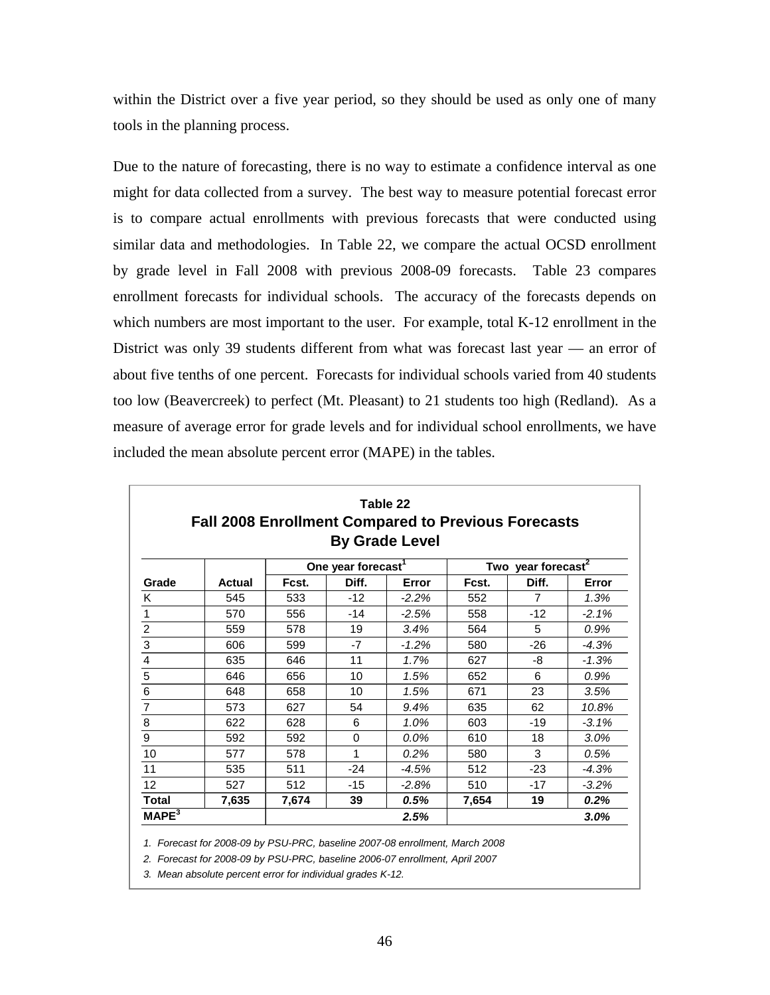within the District over a five year period, so they should be used as only one of many tools in the planning process.

Due to the nature of forecasting, there is no way to estimate a confidence interval as one might for data collected from a survey. The best way to measure potential forecast error is to compare actual enrollments with previous forecasts that were conducted using similar data and methodologies. In Table 22, we compare the actual OCSD enrollment by grade level in Fall 2008 with previous 2008-09 forecasts. Table 23 compares enrollment forecasts for individual schools. The accuracy of the forecasts depends on which numbers are most important to the user. For example, total K-12 enrollment in the District was only 39 students different from what was forecast last year — an error of about five tenths of one percent. Forecasts for individual schools varied from 40 students too low (Beavercreek) to perfect (Mt. Pleasant) to 21 students too high (Redland). As a measure of average error for grade levels and for individual school enrollments, we have included the mean absolute percent error (MAPE) in the tables.

| Table 22<br><b>Fall 2008 Enrollment Compared to Previous Forecasts</b><br><b>By Grade Level</b> |               |       |                                |         |       |                                |         |
|-------------------------------------------------------------------------------------------------|---------------|-------|--------------------------------|---------|-------|--------------------------------|---------|
|                                                                                                 |               |       | One year forecast <sup>1</sup> |         |       | Two year forecast <sup>2</sup> |         |
| Grade                                                                                           | <b>Actual</b> | Fcst. | Diff.                          | Error   | Fcst. | Diff.                          | Error   |
| K                                                                                               | 545           | 533   | $-12$                          | $-2.2%$ | 552   | $\overline{7}$                 | 1.3%    |
| 1                                                                                               | 570           | 556   | $-14$                          | $-2.5%$ | 558   | $-12$                          | $-2.1%$ |
| $\overline{\mathbf{c}}$                                                                         | 559           | 578   | 19                             | 3.4%    | 564   | 5                              | 0.9%    |
| $\overline{3}$                                                                                  | 606           | 599   | -7                             | $-1.2%$ | 580   | $-26$                          | $-4.3%$ |
| $\overline{\mathbf{4}}$                                                                         | 635           | 646   | 11                             | 1.7%    | 627   | -8                             | $-1.3%$ |
| $\overline{\overline{5}}$                                                                       | 646           | 656   | 10                             | 1.5%    | 652   | 6                              | 0.9%    |
| $\overline{6}$                                                                                  | 648           | 658   | 10                             | 1.5%    | 671   | 23                             | 3.5%    |
| $\overline{7}$                                                                                  | 573           | 627   | 54                             | 9.4%    | 635   | 62                             | 10.8%   |
| 8                                                                                               | 622           | 628   | 6                              | 1.0%    | 603   | $-19$                          | $-3.1%$ |
| 9                                                                                               | 592           | 592   | $\Omega$                       | $0.0\%$ | 610   | 18                             | 3.0%    |
| 10                                                                                              | 577           | 578   | 1                              | 0.2%    | 580   | 3                              | 0.5%    |
| 11                                                                                              | 535           | 511   | $-24$                          | $-4.5%$ | 512   | $-23$                          | $-4.3%$ |
| 12                                                                                              | 527           | 512   | $-15$                          | $-2.8%$ | 510   | $-17$                          | $-3.2%$ |
| <b>Total</b>                                                                                    | 7,635         | 7,674 | 39                             | 0.5%    | 7,654 | 19                             | 0.2%    |
| MAPE <sup>3</sup>                                                                               |               |       |                                | 2.5%    |       |                                | 3.0%    |

*1. Forecast for 2008-09 by PSU-PRC, baseline 2007-08 enrollment, March 2008*

*2. Forecast for 2008-09 by PSU-PRC, baseline 2006-07 enrollment, April 2007*

*3. Mean absolute percent error for individual grades K-12.*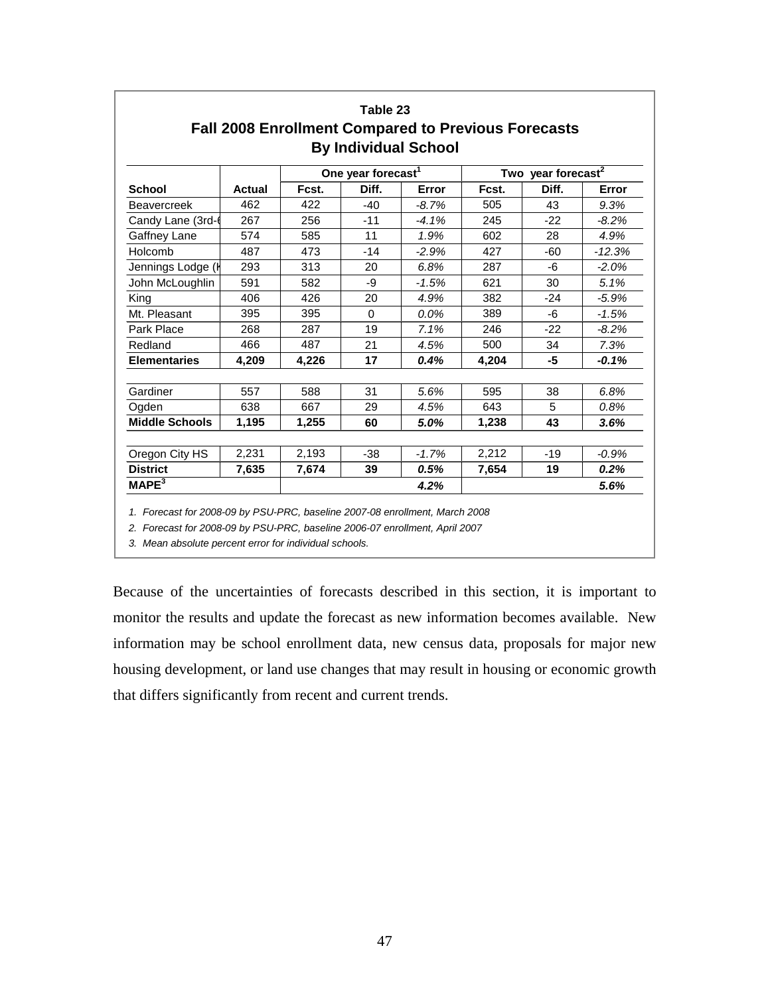|                       |               |       | Table 23                       |                                                                                           |       |                                |          |
|-----------------------|---------------|-------|--------------------------------|-------------------------------------------------------------------------------------------|-------|--------------------------------|----------|
|                       |               |       |                                | <b>Fall 2008 Enrollment Compared to Previous Forecasts</b><br><b>By Individual School</b> |       |                                |          |
|                       |               |       | One year forecast <sup>1</sup> |                                                                                           |       | Two year forecast <sup>2</sup> |          |
| <b>School</b>         | <b>Actual</b> | Fcst. | Diff.                          | Error                                                                                     | Fcst. | Diff.                          | Error    |
| <b>Beavercreek</b>    | 462           | 422   | $-40$                          | $-8.7\%$                                                                                  | 505   | 43                             | 9.3%     |
| Candy Lane (3rd-      | 267           | 256   | $-11$                          | $-4.1%$                                                                                   | 245   | $-22$                          | $-8.2%$  |
| Gaffney Lane          | 574           | 585   | 11                             | 1.9%                                                                                      | 602   | 28                             | 4.9%     |
| Holcomb               | 487           | 473   | $-14$                          | $-2.9%$                                                                                   | 427   | $-60$                          | $-12.3%$ |
| Jennings Lodge (I     | 293           | 313   | 20                             | 6.8%                                                                                      | 287   | -6                             | $-2.0%$  |
| John McLoughlin       | 591           | 582   | -9                             | $-1.5%$                                                                                   | 621   | 30                             | 5.1%     |
| King                  | 406           | 426   | 20                             | 4.9%                                                                                      | 382   | $-24$                          | $-5.9%$  |
| Mt. Pleasant          | 395           | 395   | $\Omega$                       | 0.0%                                                                                      | 389   | -6                             | $-1.5%$  |
| Park Place            | 268           | 287   | 19                             | 7.1%                                                                                      | 246   | $-22$                          | $-8.2%$  |
| Redland               | 466           | 487   | 21                             | 4.5%                                                                                      | 500   | 34                             | 7.3%     |
| <b>Elementaries</b>   | 4,209         | 4,226 | 17                             | 0.4%                                                                                      | 4.204 | -5                             | $-0.1%$  |
| Gardiner              | 557           | 588   | 31                             | 5.6%                                                                                      | 595   | 38                             | 6.8%     |
| Ogden                 | 638           | 667   | 29                             | 4.5%                                                                                      | 643   | 5                              | 0.8%     |
| <b>Middle Schools</b> | 1,195         | 1,255 | 60                             | 5.0%                                                                                      | 1,238 | 43                             | 3.6%     |
| Oregon City HS        | 2,231         | 2,193 | $-38$                          | $-1.7%$                                                                                   | 2,212 | $-19$                          | $-0.9%$  |
| <b>District</b>       | 7,635         | 7,674 | 39                             | 0.5%                                                                                      | 7,654 | 19                             | 0.2%     |
| MAPE <sup>3</sup>     |               |       |                                | 4.2%                                                                                      |       |                                | 5.6%     |

*1. Forecast for 2008-09 by PSU-PRC, baseline 2007-08 enrollment, March 2008*

*2. Forecast for 2008-09 by PSU-PRC, baseline 2006-07 enrollment, April 2007*

*3. Mean absolute percent error for individual schools.*

Because of the uncertainties of forecasts described in this section, it is important to monitor the results and update the forecast as new information becomes available. New information may be school enrollment data, new census data, proposals for major new housing development, or land use changes that may result in housing or economic growth that differs significantly from recent and current trends.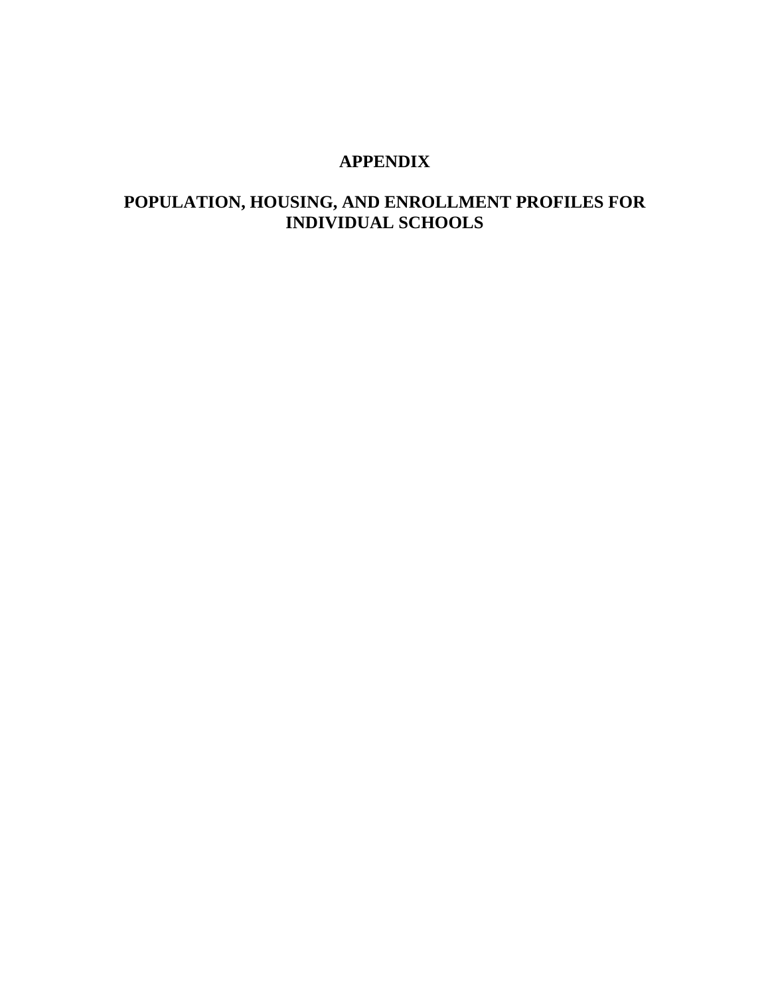### **APPENDIX**

### **POPULATION, HOUSING, AND ENROLLMENT PROFILES FOR INDIVIDUAL SCHOOLS**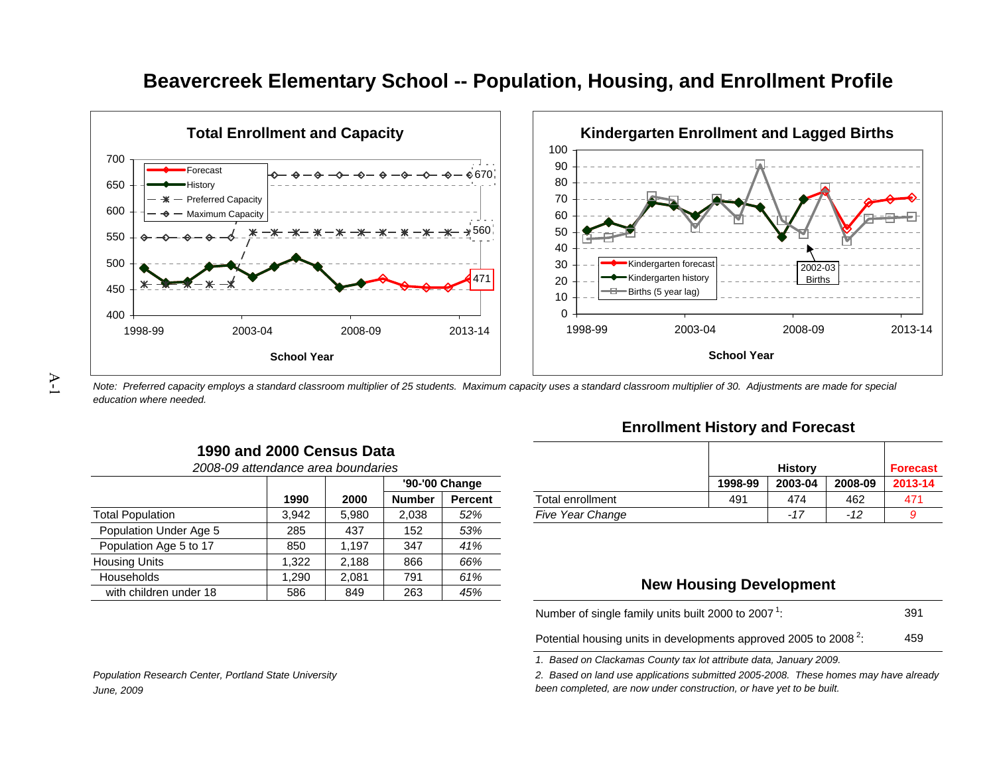

# **Beavercreek Elementary School -- Population, Housing, and Enrollment Profile**

*Note: Preferred capacity employs a standard classroom multiplier of 25 students. Maximum capacity uses a standard classroom multiplier of 30. Adjustments are made for special education where needed.*

**Enrollment History and Forecast**

| s      |                |                         |         | <b>History</b> |         | <b>Forecast</b> |
|--------|----------------|-------------------------|---------|----------------|---------|-----------------|
|        | '90-'00 Change |                         | 1998-99 | 2003-04        | 2008-09 | 2013-14         |
| Number | <b>Percent</b> | Total enrollment        | 491     | 474            | 462     | 471             |
| 2,038  | 52%            | <b>Five Year Change</b> |         | $-17$          | -12     |                 |

#### **New Housing Development**

391459Number of single family units built 2000 to 2007  $^1$ :

Potential housing units in developments approved 2005 to 2008  $^2$ :

*1. Based on Clackamas County tax lot attribute data, January 2009.*

*2. Based on land use applications submitted 2005-2008. These homes may have already been completed, are now under construction, or have yet to be built.*

# $\sum_{i=1}^{n}$

**1990 and 2000 Census Data***2008-09 attendance area boundaries*

|                         |       |       |               | '90-'00 Change |                         | 1998-99                        | 2003-04 | 2008- |
|-------------------------|-------|-------|---------------|----------------|-------------------------|--------------------------------|---------|-------|
|                         | 1990  | 2000  | <b>Number</b> | <b>Percent</b> | Total enrollment        | 491                            | 474     | 462   |
| <b>Total Population</b> | 3,942 | 5.980 | 2,038         | 52%            | <b>Five Year Change</b> |                                | $-17$   | $-12$ |
| Population Under Age 5  | 285   | 437   | 152           | 53%            |                         |                                |         |       |
| Population Age 5 to 17  | 850   | 1.197 | 347           | 41%            |                         |                                |         |       |
| Housing Units           | .322  | 2,188 | 866           | 66%            |                         |                                |         |       |
| <b>Households</b>       | ,290  | 2,081 | 791           | 61%            |                         |                                |         |       |
| with children under 18  | 586   | 849   | 263           | 45%            |                         | <b>New Housing Development</b> |         |       |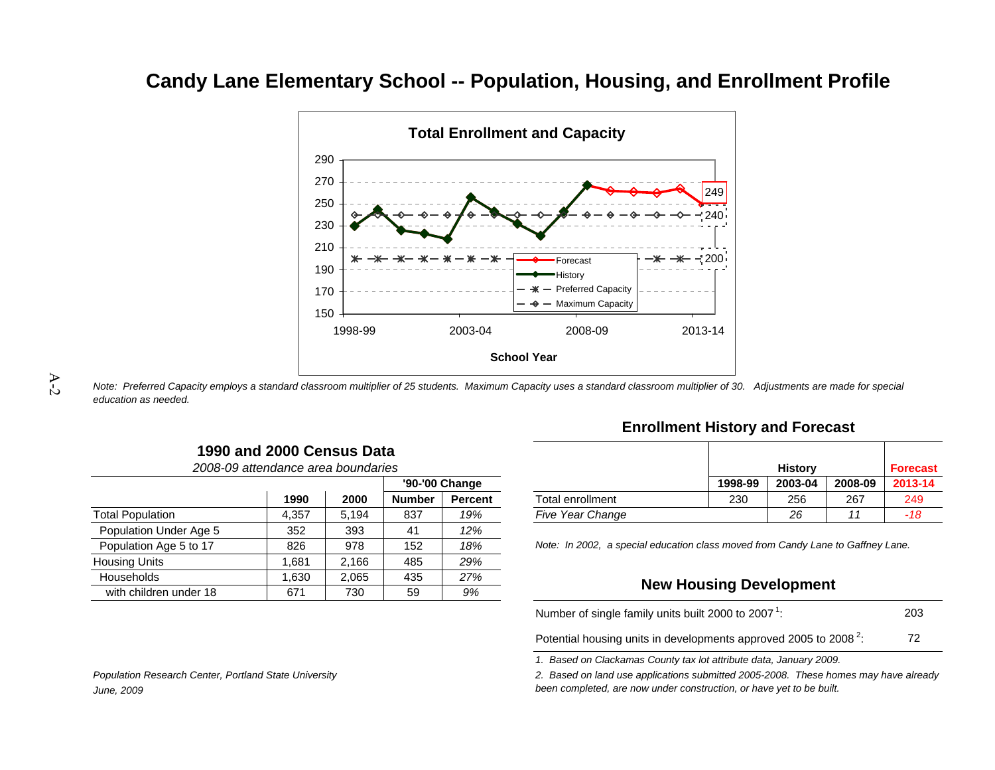# **Candy Lane Elementary School -- Population, Housing, and Enrollment Profile**



*Note: Preferred Capacity employs a standard classroom multiplier of 25 students. Maximum Capacity uses a standard classroom multiplier of 30. Adjustments are made for special education as needed.*

| 2008-09 attendance area boundaries |       |       |               |                |                                                                                 |                                | <b>History</b> |         | <b>Forec</b> |
|------------------------------------|-------|-------|---------------|----------------|---------------------------------------------------------------------------------|--------------------------------|----------------|---------|--------------|
|                                    |       |       |               | '90-'00 Change |                                                                                 | 1998-99                        | 2003-04        | 2008-09 | $2013 -$     |
|                                    | 1990  | 2000  | <b>Number</b> | <b>Percent</b> | Total enrollment                                                                | 230                            | 256            | 267     | 249          |
| <b>Total Population</b>            | 4,357 | 5.194 | 837           | 19%            | <b>Five Year Change</b>                                                         |                                | 26             | 11      | -18          |
| Population Under Age 5             | 352   | 393   | 41            | 12%            |                                                                                 |                                |                |         |              |
| Population Age 5 to 17             | 826   | 978   | 152           | 18%            | Note: In 2002, a special education class moved from Candy Lane to Gaffney Lane. |                                |                |         |              |
| <b>Housing Units</b>               | .681  | 2.166 | 485           | 29%            |                                                                                 |                                |                |         |              |
| Households                         | .630  | 2.065 | 435           | 27%            |                                                                                 |                                |                |         |              |
| with children under 18             | 671   | 730   | 59            | 9%             |                                                                                 | <b>New Housing Development</b> |                |         |              |

**1990 and 2000 Census Data**

#### **Enrollment History and Forecast**

| s      |                |                         |         | <b>History</b> |         | Forecast |
|--------|----------------|-------------------------|---------|----------------|---------|----------|
|        | '90-'00 Change |                         | 1998-99 | 2003-04        | 2008-09 | 2013-14  |
| Number | <b>Percent</b> | Total enrollment        | 230     | 256            | 267     | 249      |
| 837    | 19%            | <b>Five Year Change</b> |         | 26             | 11      | $-18$    |

#### **New Housing Development**

| Number of single family units built 2000 to 2007 <sup>1</sup> :              | 203 |
|------------------------------------------------------------------------------|-----|
| Potential housing units in developments approved 2005 to 2008 <sup>2</sup> . | 72  |

Potential housing units in developments approved 2005 to 2008  $^2$ :

*1. Based on Clackamas County tax lot attribute data, January 2009.*

*2. Based on land use applications submitted 2005-2008. These homes may have already been completed, are now under construction, or have yet to be built.*

*Population Research Center, Portland State University June, 2009*

A-2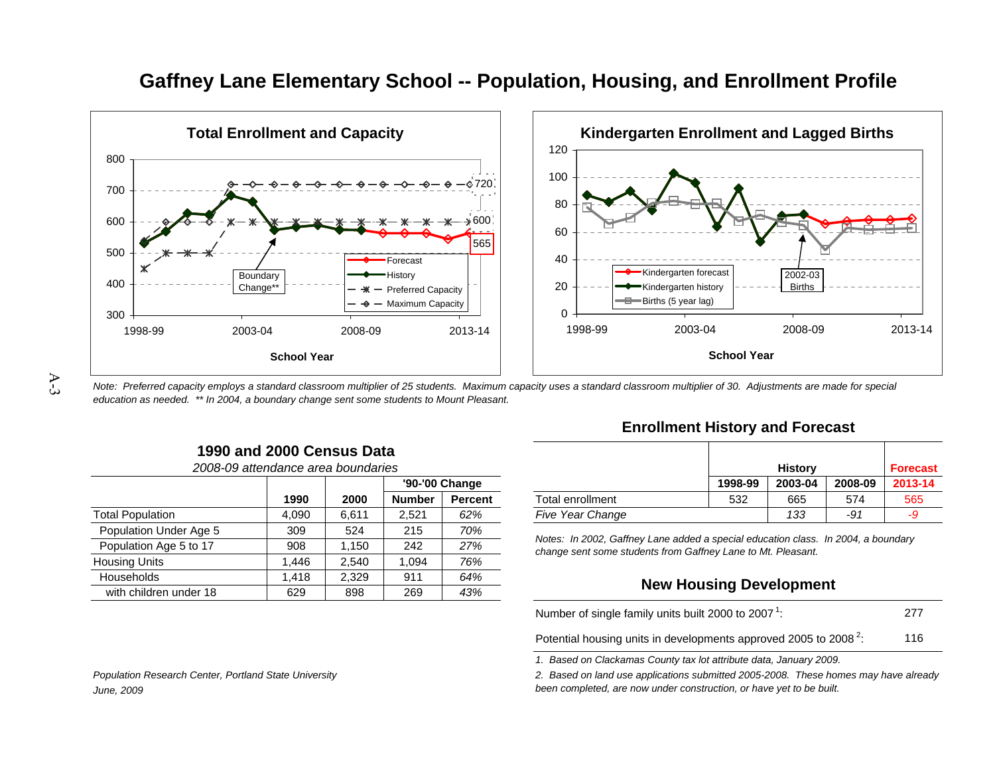

### **Gaffney Lane Elementary School -- Population, Housing, and Enrollment Profile**

*Note: Preferred capacity employs a standard classroom multiplier of 25 students. Maximum capacity uses a standard classroom multiplier of 30. Adjustments are made for special education as needed. \*\* In 2004, a boundary change sent some students to Mount Pleasant.*

| 1990 and 2000 Census Data          |  |
|------------------------------------|--|
| 2008-09 attendance area boundaries |  |

|                         |       |       |               | '90-'00 Change |                                                                                   | 1998-99                        | 2003-04 | 2008-09 | 2013 |
|-------------------------|-------|-------|---------------|----------------|-----------------------------------------------------------------------------------|--------------------------------|---------|---------|------|
|                         | 1990  | 2000  | <b>Number</b> | <b>Percent</b> | Total enrollment                                                                  | 532                            | 665     | 574     | 56   |
| <b>Total Population</b> | 4,090 | 6.611 | 2.521         | 62%            | <b>Five Year Change</b>                                                           |                                | 133     | -91     | -9   |
| Population Under Age 5  | 309   | 524   | 215           | 70%            | Notes: In 2002, Gaffney Lane added a special education class. In 2004, a boundary |                                |         |         |      |
| Population Age 5 to 17  | 908   | .150  | 242           | 27%            | change sent some students from Gaffney Lane to Mt. Pleasant.                      |                                |         |         |      |
| <b>Housing Units</b>    | .446  | 2.540 | .094          | 76%            |                                                                                   |                                |         |         |      |
| Households              | .418  | 2.329 | 911           | 64%            |                                                                                   | <b>New Housing Development</b> |         |         |      |
| with children under 18  | 629   | 898   | 269           | 43%            |                                                                                   |                                |         |         |      |

#### **Enrollment History and Forecast**

| s      |                |                         |         | <b>History</b> |         | <b>Forecast</b> |
|--------|----------------|-------------------------|---------|----------------|---------|-----------------|
|        | '90-'00 Change |                         | 1998-99 | 2003-04        | 2008-09 | 2013-14         |
| Number | <b>Percent</b> | Total enrollment        | 532     | 665            | 574     | 565             |
| 2,521  | 62%            | <b>Five Year Change</b> |         | 133            | -91     | -9              |

#### **New Housing Development**

| Number of single family units built 2000 to 2007 <sup>1</sup> :              | 277 |
|------------------------------------------------------------------------------|-----|
| Potential housing units in developments approved 2005 to 2008 <sup>2</sup> : | 116 |

*1. Based on Clackamas County tax lot attribute data, January 2009.*

*2. Based on land use applications submitted 2005-2008. These homes may have already* 

*Population Research Center, Portland State University June, 2009*

*been completed, are now under construction, or have yet to be built.*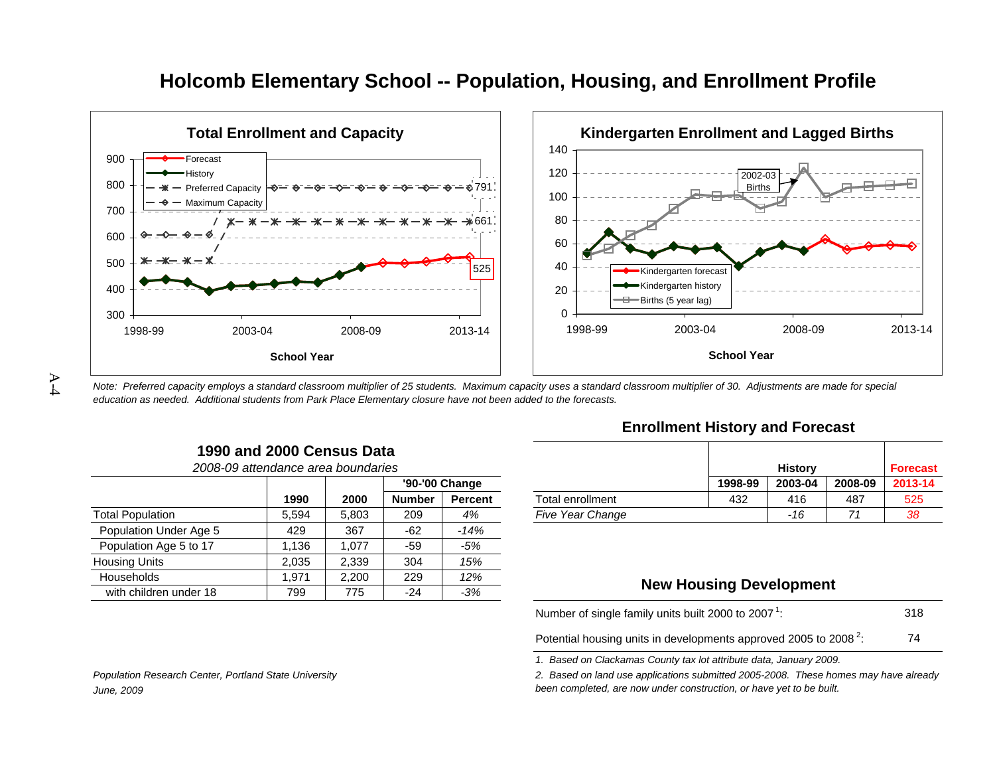

### **Holcomb Elementary School -- Population, Housing, and Enrollment Profile**

*Note: Preferred capacity employs a standard classroom multiplier of 25 students. Maximum capacity uses a standard classroom multiplier of 30. Adjustments are made for special education as needed. Additional students from Park Place Elementary closure have not been added to the forecasts.*

| 1990 and 2000 Census Data          |  |  |
|------------------------------------|--|--|
| 2008-09 attendance area boundaries |  |  |

|                         |        |       |               |                |                         |                                | .       |         | .    |
|-------------------------|--------|-------|---------------|----------------|-------------------------|--------------------------------|---------|---------|------|
|                         |        |       |               | '90-'00 Change |                         | 1998-99                        | 2003-04 | 2008-09 | 2013 |
|                         | 1990   | 2000  | <b>Number</b> | <b>Percent</b> | Total enrollment        | 432                            | 416     | 487     | 52   |
| <b>Total Population</b> | 5,594  | 5.803 | 209           | 4%             | <b>Five Year Change</b> |                                | -16     | 71      | 38   |
| Population Under Age 5  | 429    | 367   | $-62$         | $-14%$         |                         |                                |         |         |      |
| Population Age 5 to 17  | 136. ا | 1.077 | -59           | $-5%$          |                         |                                |         |         |      |
| <b>Housing Units</b>    | 2,035  | 2.339 | 304           | 15%            |                         |                                |         |         |      |
| Households              | .971   | 2.200 | 229           | 12%            |                         | <b>New Housing Development</b> |         |         |      |
| with children under 18  | 799    | 775   | $-24$         | $-3%$          |                         |                                |         |         |      |

#### **Enrollment History and Forecast**

| S              |                |                         |         | <b>History</b> |         | <b>Forecast</b> |
|----------------|----------------|-------------------------|---------|----------------|---------|-----------------|
| '90-'00 Change |                |                         | 1998-99 | 2003-04        | 2008-09 | 2013-14         |
| Number         | <b>Percent</b> | Total enrollment        | 432     | 416            | 487     | 525             |
| 209            | 4%             | <b>Five Year Change</b> |         | -16            | 71      | 38              |

#### **New Housing Development**

31874Number of single family units built 2000 to 2007  $^1$ :

Potential housing units in developments approved 2005 to 2008  $^2$ :

*1. Based on Clackamas County tax lot attribute data, January 2009.*

*2. Based on land use applications submitted 2005-2008. These homes may have already been completed, are now under construction, or have yet to be built.*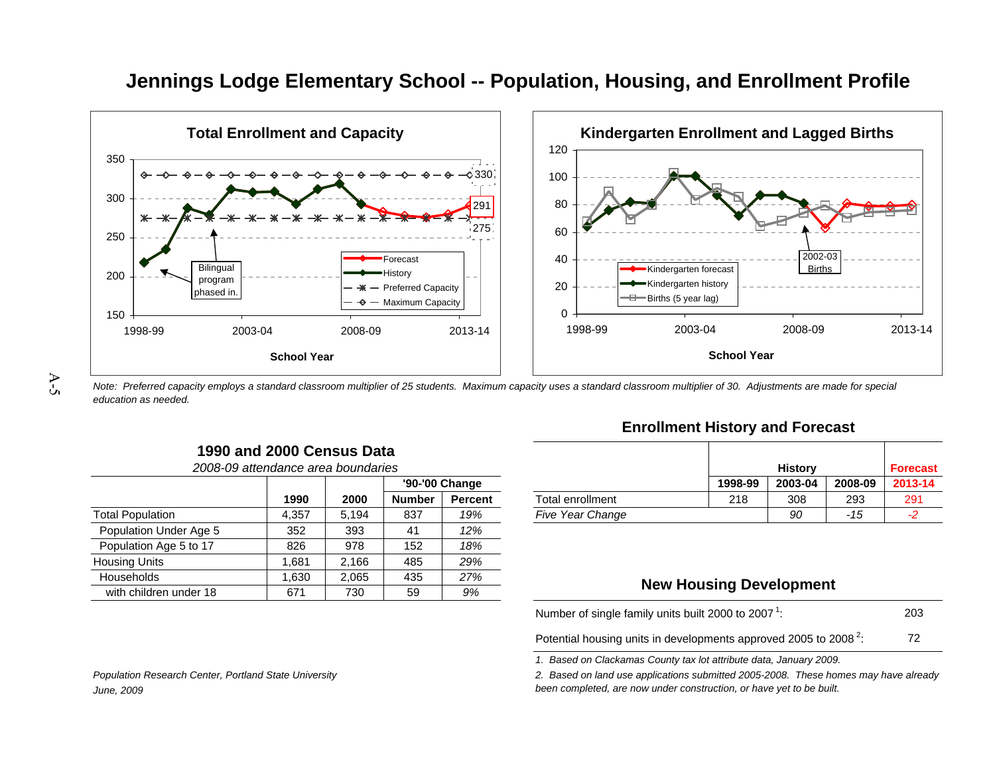

# **Jennings Lodge Elementary School -- Population, Housing, and Enrollment Profile**

A-5

*Note: Preferred capacity employs a standard classroom multiplier of 25 students. Maximum capacity uses a standard classroom multiplier of 30. Adjustments are made for special education as needed.*

| 2008-09 attendance area boundaries |       |       |               |                |                         |                                | <b>History</b> |         | Fore |
|------------------------------------|-------|-------|---------------|----------------|-------------------------|--------------------------------|----------------|---------|------|
|                                    |       |       |               | '90-'00 Change |                         | 1998-99                        | 2003-04        | 2008-09 | 2013 |
|                                    | 1990  | 2000  | <b>Number</b> | Percent        | Total enrollment        | 218                            | 308            | 293     | 29   |
| <b>Total Population</b>            | 4,357 | 5.194 | 837           | 19%            | <b>Five Year Change</b> |                                | 90             | -15     | -2   |
| Population Under Age 5             | 352   | 393   | -41           | 12%            |                         |                                |                |         |      |
| Population Age 5 to 17             | 826   | 978   | 152           | 18%            |                         |                                |                |         |      |
| <b>Housing Units</b>               | .681  | 2.166 | 485           | 29%            |                         |                                |                |         |      |
| <b>Households</b>                  | .630  | 2,065 | 435           | 27%            |                         |                                |                |         |      |
| with children under 18             | 671   | 730   | 59            | 9%             |                         | <b>New Housing Development</b> |                |         |      |

**1990 and 2000 Census Data**

#### **Enrollment History and Forecast**

| s              |                |                         |         | <b>History</b> |         | <b>Forecast</b> |
|----------------|----------------|-------------------------|---------|----------------|---------|-----------------|
| '90-'00 Change |                |                         | 1998-99 | 2003-04        | 2008-09 | 2013-14         |
| Number         | <b>Percent</b> | Total enrollment        | 218     | 308            | 293     | 291             |
| 837            | 19%            | <b>Five Year Change</b> |         | 90             | -15     | -2              |

#### **New Housing Development**

20372Number of single family units built 2000 to 2007  $^1$ :

Potential housing units in developments approved 2005 to 2008  $^2$ :

*1. Based on Clackamas County tax lot attribute data, January 2009.*

*2. Based on land use applications submitted 2005-2008. These homes may have already been completed, are now under construction, or have yet to be built.*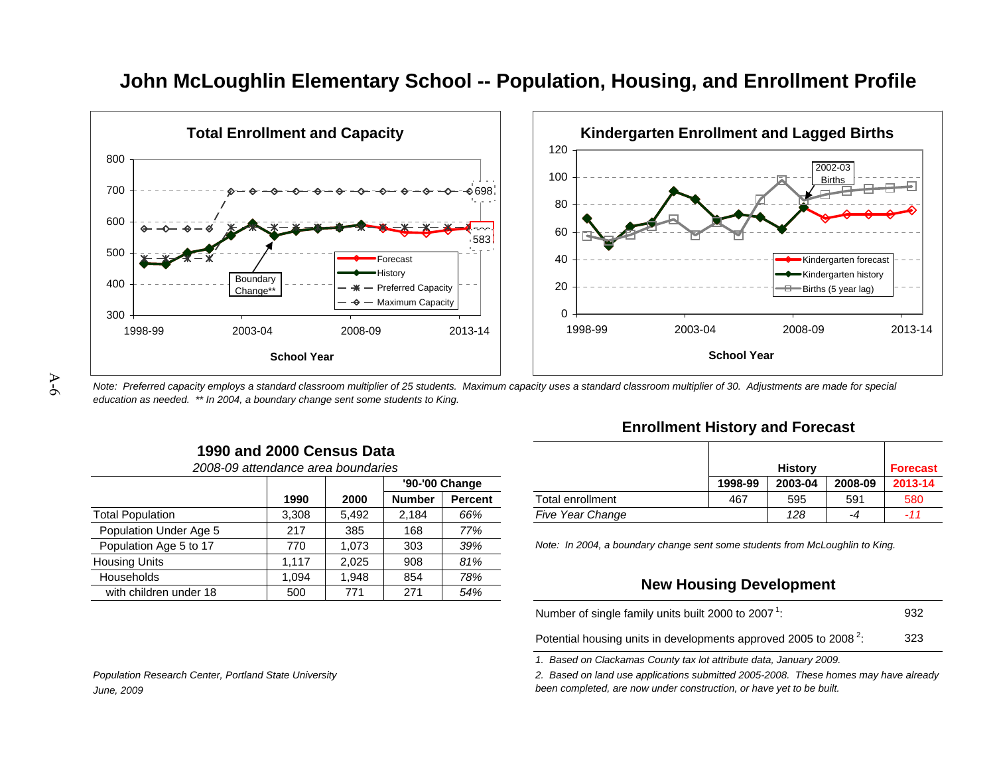

## **John McLoughlin Elementary School -- Population, Housing, and Enrollment Profile**

*Note: Preferred capacity employs a standard classroom multiplier of 25 students. Maximum capacity uses a standard classroom multiplier of 30. Adjustments are made for special education as needed. \*\* In 2004, a boundary change sent some students to King.*

|                         | 2008-09 attendance area boundaries<br>'90-'00 Change<br>2000<br>1990<br><b>Number</b><br>3,308<br>5.492<br>2.184 |       |     |         |                                                                              |                                | <b>History</b> |         | <b>Forec</b> |
|-------------------------|------------------------------------------------------------------------------------------------------------------|-------|-----|---------|------------------------------------------------------------------------------|--------------------------------|----------------|---------|--------------|
|                         |                                                                                                                  |       |     |         |                                                                              | 1998-99                        | 2003-04        | 2008-09 | $2013-$      |
|                         |                                                                                                                  |       |     | Percent | Total enrollment                                                             | 467                            | 595            | 591     | 580          |
| <b>Total Population</b> |                                                                                                                  |       |     | 66%     | <b>Five Year Change</b>                                                      |                                | 128            | -4      | $-11$        |
| Population Under Age 5  | 217                                                                                                              | 385   | 168 | 77%     |                                                                              |                                |                |         |              |
| Population Age 5 to 17  | 770                                                                                                              | .073  | 303 | 39%     | Note: In 2004, a boundary change sent some students from McLoughlin to King. |                                |                |         |              |
| <b>Housing Units</b>    | .117                                                                                                             | 2.025 | 908 | 81%     |                                                                              |                                |                |         |              |
| Households              | .094                                                                                                             | .948  | 854 | 78%     |                                                                              | <b>New Housing Development</b> |                |         |              |
| with children under 18  | 500                                                                                                              | 771   | 271 | 54%     |                                                                              |                                |                |         |              |

**1990 and 2000 Census Data**

#### **Enrollment History and Forecast**

| s              |                |                         |         | <b>History</b>     |     | <b>Forecast</b> |
|----------------|----------------|-------------------------|---------|--------------------|-----|-----------------|
| '90-'00 Change |                |                         | 1998-99 | 2003-04<br>2008-09 |     |                 |
| Number         | <b>Percent</b> | Total enrollment        | 467     | 595                | 591 | 580             |
| 2,184          | 66%            | <b>Five Year Change</b> |         | 128                | -4  | $-11$           |

#### **New Housing Development**

| Number of single family units built 2000 to 2007 <sup>1</sup> :              | 932 |
|------------------------------------------------------------------------------|-----|
| Potential housing units in developments approved 2005 to 2008 <sup>2</sup> . | 323 |

Potential housing units in developments approved 2005 to 2008  $^2$ :

*1. Based on Clackamas County tax lot attribute data, January 2009.*

*2. Based on land use applications submitted 2005-2008. These homes may have already been completed, are now under construction, or have yet to be built.*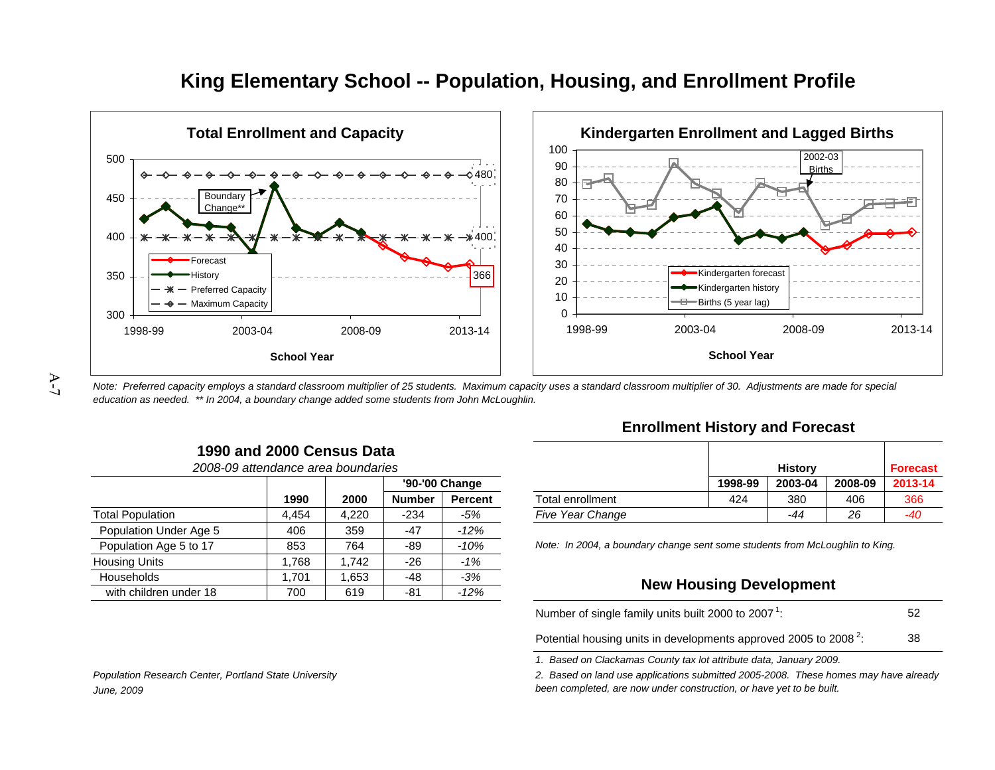



A-7

*Note: Preferred capacity employs a standard classroom multiplier of 25 students. Maximum capacity uses a standard classroom multiplier of 30. Adjustments are made for special education as needed. \*\* In 2004, a boundary change added some students from John McLoughlin.*

| 1990 and 2000 Census Data          |  |
|------------------------------------|--|
| 2008-09 attendance area boundaries |  |

|       |       |               |         | 1998-99                        | 2003-04 | 2008-09 | 2013- |                                                                              |
|-------|-------|---------------|---------|--------------------------------|---------|---------|-------|------------------------------------------------------------------------------|
| 1990  | 2000  | <b>Number</b> | Percent | Total enrollment               | 424     | 380     | 406   | 366                                                                          |
| 4,454 | 4,220 | $-234$        | $-5%$   | <b>Five Year Change</b>        |         | $-44$   | 26    | -40                                                                          |
| 406   | 359   | $-47$         | $-12%$  |                                |         |         |       |                                                                              |
| 853   | 764   | -89           | $-10%$  |                                |         |         |       |                                                                              |
| .768  | .742  | $-26$         | $-1%$   |                                |         |         |       |                                                                              |
| .701  | .653  | $-48$         | $-3%$   | <b>New Housing Development</b> |         |         |       |                                                                              |
| 700   | 619   | -81           | $-12%$  |                                |         |         |       |                                                                              |
|       |       |               |         | '90-'00 Change                 |         |         |       | Note: In 2004, a boundary change sent some students from McLoughlin to King. |

#### **Enrollment History and Forecast**

| s      |                |                         |         | <b>History</b> |         | Forecast |
|--------|----------------|-------------------------|---------|----------------|---------|----------|
|        | '90-'00 Change |                         | 1998-99 | 2003-04        | 2008-09 | 2013-14  |
| Number | <b>Percent</b> | Total enrollment        | 424     | 380            | 406     | 366      |
| $-234$ | -5%            | <b>Five Year Change</b> |         | -44            | 26      | $-40$    |

#### **New Housing Development**

| Number of single family units built 2000 to 2007 <sup>1</sup> :              | 52 |
|------------------------------------------------------------------------------|----|
| Potential housing units in developments approved 2005 to 2008 <sup>2</sup> : | 38 |

*1. Based on Clackamas County tax lot attribute data, January 2009.*

*2. Based on land use applications submitted 2005-2008. These homes may have already been completed, are now under construction, or have yet to be built.*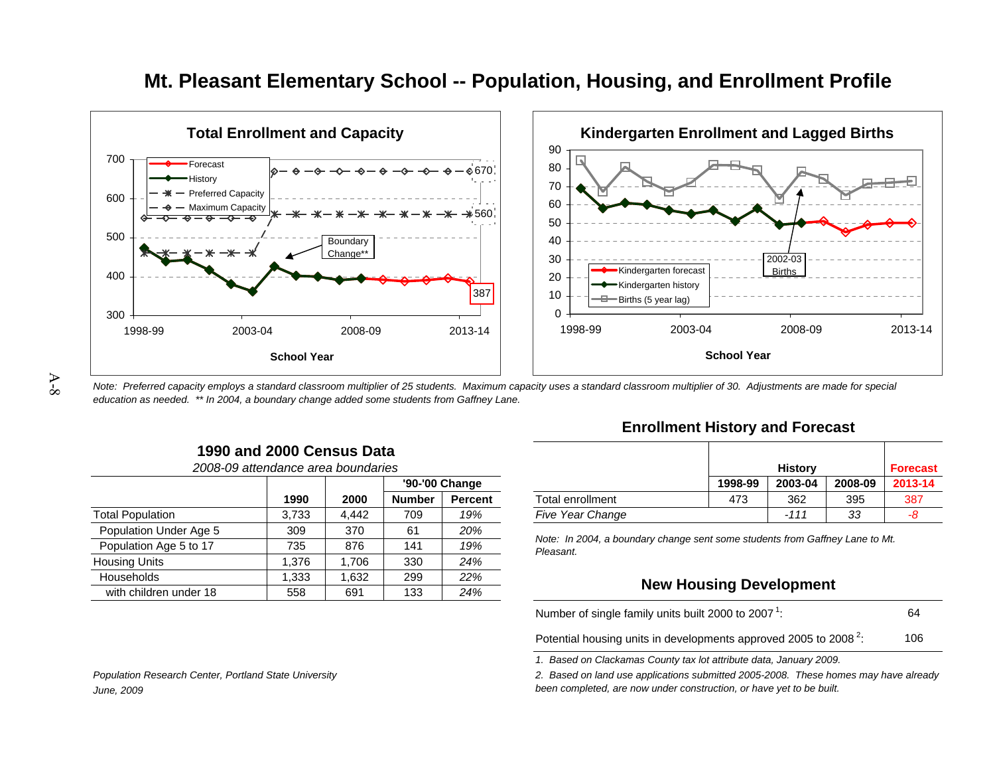

### **Mt. Pleasant Elementary School -- Population, Housing, and Enrollment Profile**

*Note: Preferred capacity employs a standard classroom multiplier of 25 students. Maximum capacity uses a standard classroom multiplier of 30. Adjustments are made for special education as needed. \*\* In 2004, a boundary change added some students from Gaffney Lane.*

|                        | 2008-09 attendance area boundaries |       |               |                |                                                                              |                                | <b>History</b><br><b>Fore</b> |         |      |
|------------------------|------------------------------------|-------|---------------|----------------|------------------------------------------------------------------------------|--------------------------------|-------------------------------|---------|------|
|                        |                                    |       |               | '90-'00 Change |                                                                              | 1998-99                        | 2003-04                       | 2008-09 | 2013 |
|                        | 1990                               | 2000  | <b>Number</b> | <b>Percent</b> | Total enrollment                                                             | 473                            | 362                           | 395     | 38   |
| Total Population       | 3.733                              | 4.442 | 709           | 19%            | <b>Five Year Change</b>                                                      |                                | $-111$                        | -33     | -8   |
| Population Under Age 5 | 309                                | 370   | 61            | 20%            | Note: In 2004, a boundary change sent some students from Gaffney Lane to Mt. |                                |                               |         |      |
| Population Age 5 to 17 | 735                                | 876   | 141           | 19%            | Pleasant.                                                                    |                                |                               |         |      |
| Housing Units          | .376                               | .706  | 330           | 24%            |                                                                              |                                |                               |         |      |
| Households             | .333                               | .632  | 299           | 22%            |                                                                              | <b>New Housing Development</b> |                               |         |      |
| with children under 18 | 558                                | 691   | 133           | 24%            |                                                                              |                                |                               |         |      |

**1990 and 2000 Census Data**

#### **Enrollment History and Forecast**

| s      |                |                         |         | <b>History</b>     |     |     |  |
|--------|----------------|-------------------------|---------|--------------------|-----|-----|--|
|        | '90-'00 Change |                         | 1998-99 | 2003-04<br>2008-09 |     |     |  |
| Number | <b>Percent</b> | Total enrollment        | 473     | 362                | 395 | 387 |  |
| 709    | 19%            | <b>Five Year Change</b> |         | $-111$             | 33  | -8  |  |

#### **New Housing Development**

| Number of single family units built 2000 to 2007 <sup>1</sup> :              | 64  |
|------------------------------------------------------------------------------|-----|
| Potential housing units in developments approved 2005 to 2008 <sup>2</sup> . | 106 |

Potential housing units in developments approved 2005 to 2008  $^2$ :

*1. Based on Clackamas County tax lot attribute data, January 2009.*

*2. Based on land use applications submitted 2005-2008. These homes may have already been completed, are now under construction, or have yet to be built.*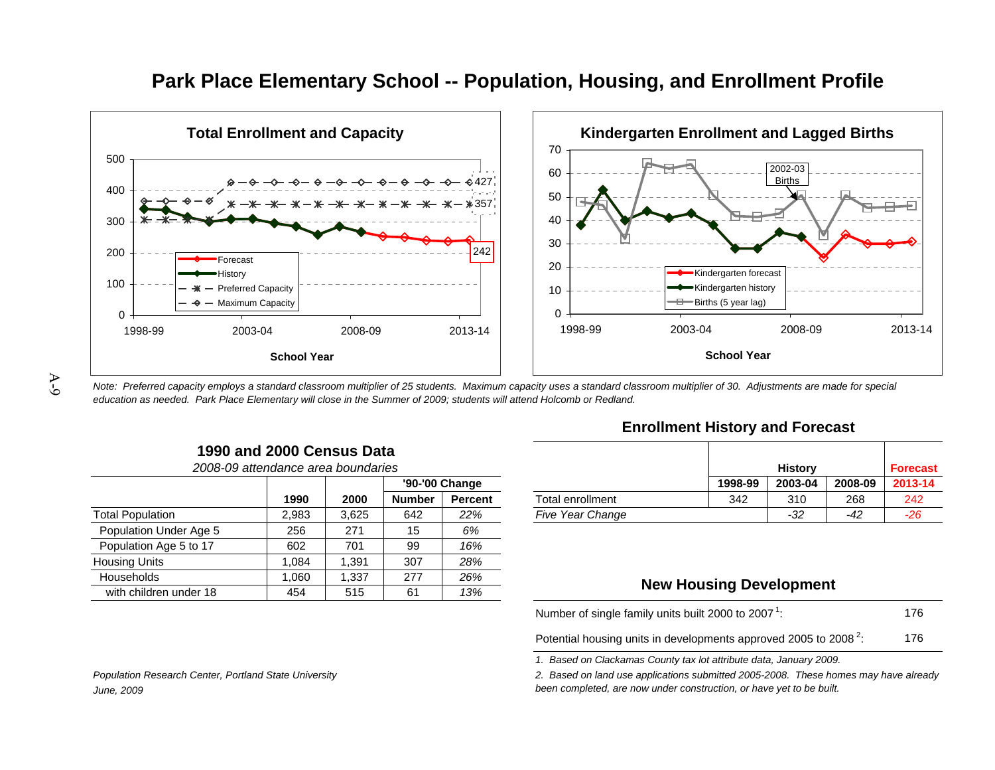

### **Park Place Elementary School -- Population, Housing, and Enrollment Profile**

*Note: Preferred capacity employs a standard classroom multiplier of 25 students. Maximum capacity uses a standard classroom multiplier of 30. Adjustments are made for special education as needed. Park Place Elementary will close in the Summer of 2009; students will attend Holcomb or Redland.*

| 1990 and 2000 Census Data |  |  |  |  |  |
|---------------------------|--|--|--|--|--|
|---------------------------|--|--|--|--|--|

|                         | 2008-09 attendance area boundaries |       |               |                |                         |                                | <b>History</b> |         | <b>Forec</b> |
|-------------------------|------------------------------------|-------|---------------|----------------|-------------------------|--------------------------------|----------------|---------|--------------|
|                         |                                    |       |               | '90-'00 Change |                         | 1998-99                        | 2003-04        | 2008-09 | 2013-        |
|                         | 1990                               | 2000  | <b>Number</b> | Percent        | Total enrollment        | 342                            | 310            | 268     | 242          |
| <b>Total Population</b> | 2,983                              | 3.625 | 642           | 22%            | <b>Five Year Change</b> |                                | $-32$          | -42     | $-26$        |
| Population Under Age 5  | 256                                | 271   | 15            | 6%             |                         |                                |                |         |              |
| Population Age 5 to 17  | 602                                | 701   | 99            | 16%            |                         |                                |                |         |              |
| <b>Housing Units</b>    | .084                               | .391  | 307           | 28%            |                         |                                |                |         |              |
| Households              | .060                               | 337.، | 277           | 26%            |                         |                                |                |         |              |
| with children under 18  | 454                                | 515   | 61            | 13%            |                         | <b>New Housing Development</b> |                |         |              |

#### **Enrollment History and Forecast**

| S              |                |                         |         | <b>History</b><br><b>Forecast</b> |       |       |  |  |
|----------------|----------------|-------------------------|---------|-----------------------------------|-------|-------|--|--|
| '90-'00 Change |                |                         | 1998-99 | 2008-09<br>2003-04                |       |       |  |  |
| Number         | <b>Percent</b> | Total enrollment        | 342     | 310                               | 268   | 242   |  |  |
| 642            | 22%            | <b>Five Year Change</b> |         | -32                               | $-42$ | $-26$ |  |  |

#### **New Housing Development**

176176Number of single family units built 2000 to 2007  $^1$ :

Potential housing units in developments approved 2005 to 2008  $^2$ :

*1. Based on Clackamas County tax lot attribute data, January 2009.*

*2. Based on land use applications submitted 2005-2008. These homes may have already been completed, are now under construction, or have yet to be built.*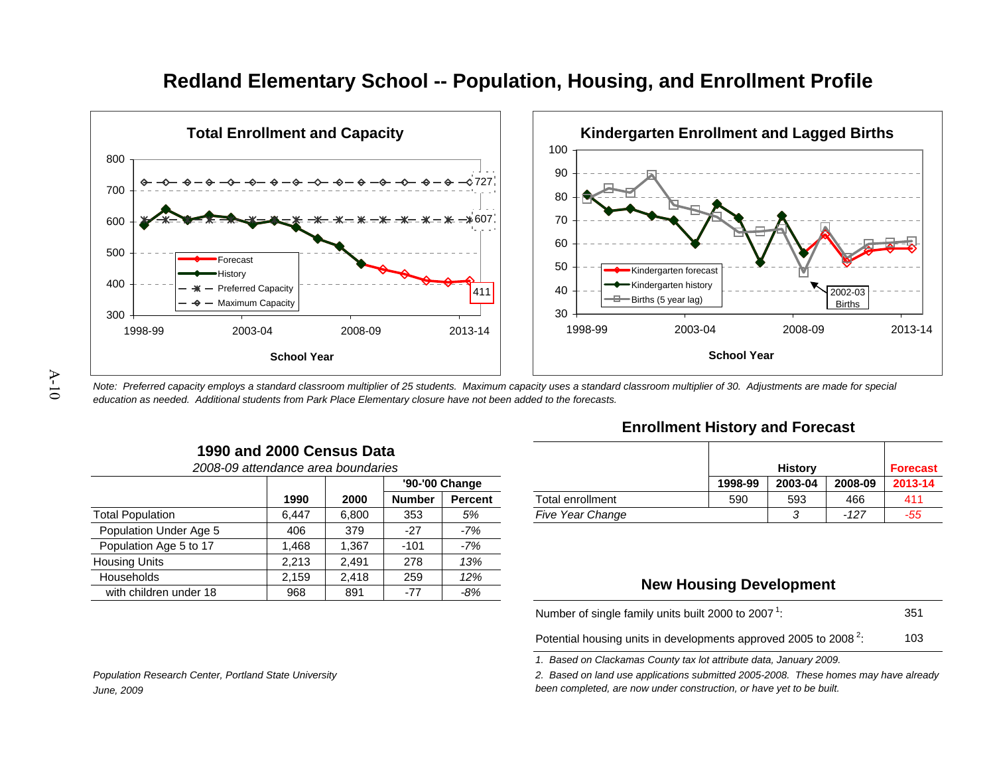

# **Redland Elementary School -- Population, Housing, and Enrollment Profile**

*Note: Preferred capacity employs a standard classroom multiplier of 25 students. Maximum capacity uses a standard classroom multiplier of 30. Adjustments are made for special education as needed. Additional students from Park Place Elementary closure have not been added to the forecasts.*

| 1990 and 2000 Census Data          |  |  |
|------------------------------------|--|--|
| 2008-09 attendance area boundaries |  |  |
|                                    |  |  |

|                         |       |       |               | '90-'00 Change |                         | 1998-99                        | 2003-04 | 2008-09 | 2013- |
|-------------------------|-------|-------|---------------|----------------|-------------------------|--------------------------------|---------|---------|-------|
|                         | 1990  | 2000  | <b>Number</b> | <b>Percent</b> | <b>Total enrollment</b> | 590                            | 593     | 466     | 411   |
| <b>Total Population</b> | 6.447 | 6.800 | 353           | 5%             | <b>Five Year Change</b> |                                |         | $-127$  | -55   |
| Population Under Age 5  | 406   | 379   | $-27$         | -7%            |                         |                                |         |         |       |
| Population Age 5 to 17  | .468  | .367  | $-101$        | -7%            |                         |                                |         |         |       |
| <b>Housing Units</b>    | 2,213 | 2.491 | 278           | 13%            |                         |                                |         |         |       |
| Households              | 2.159 | 2.418 | 259           | 12%            |                         |                                |         |         |       |
| with children under 18  | 968   | 891   | -77           | $-8%$          |                         | <b>New Housing Development</b> |         |         |       |

#### **Enrollment History and Forecast**

| s              |                |                         |         | <b>History</b>     |      | <b>Forecast</b> |
|----------------|----------------|-------------------------|---------|--------------------|------|-----------------|
| '90-'00 Change |                |                         | 1998-99 | 2008-09<br>2003-04 |      |                 |
| Number         | <b>Percent</b> | Total enrollment        | 590     | 593                | 466  | 411             |
| 353            | 5%             | <b>Five Year Change</b> |         | ົ                  | -127 | -55             |

#### **New Housing Development**

351103Number of single family units built 2000 to 2007  $^1$ :

Potential housing units in developments approved 2005 to 2008  $^2$ :

*1. Based on Clackamas County tax lot attribute data, January 2009.*

*2. Based on land use applications submitted 2005-2008. These homes may have already been completed, are now under construction, or have yet to be built.*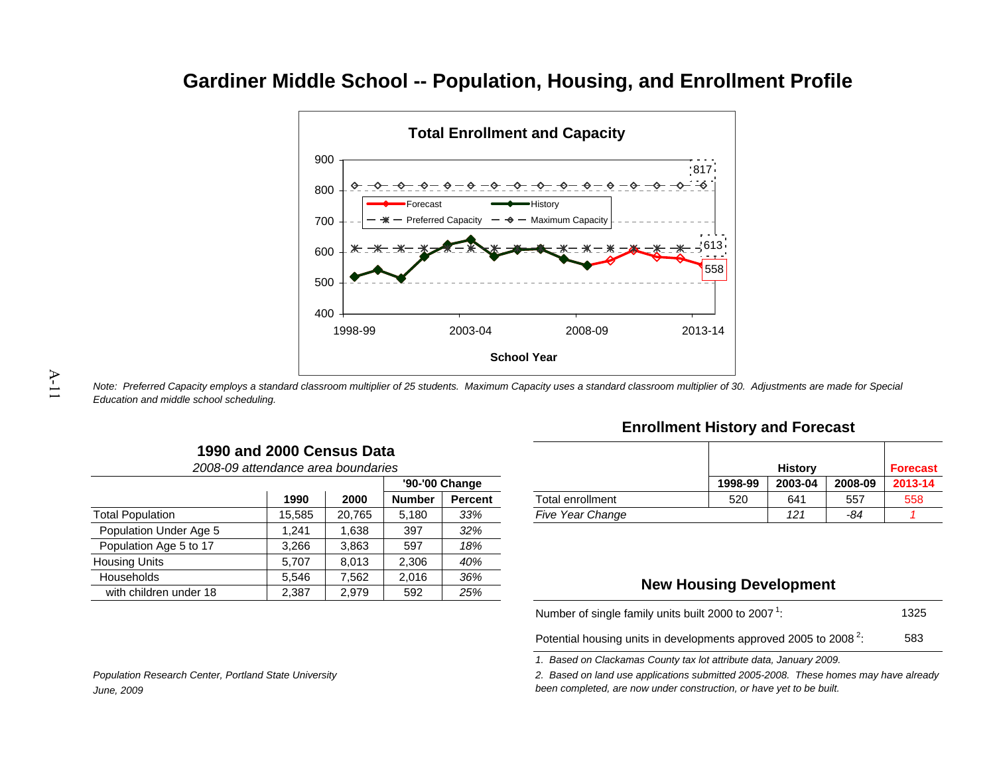## **Gardiner Middle School -- Population, Housing, and Enrollment Profile**



*Note: Preferred Capacity employs a standard classroom multiplier of 25 students. Maximum Capacity uses a standard classroom multiplier of 30. Adjustments are made for Special Education and middle school scheduling.*

|                        | 2008-09 attendance area boundaries |        |               |                |                         |                                | <b>History</b> |                | <b>Fore</b> |
|------------------------|------------------------------------|--------|---------------|----------------|-------------------------|--------------------------------|----------------|----------------|-------------|
|                        |                                    |        |               | '90-'00 Change |                         | 1998-99                        | 2003-04<br>641 | 2008-09<br>557 | 2013        |
|                        | 1990                               | 2000   | <b>Number</b> | <b>Percent</b> | Total enrollment        | 520                            |                |                | 55          |
| Total Population       | 15.585                             | 20.765 | 5.180         | 33%            | <b>Five Year Change</b> |                                | 121            | -84            |             |
| Population Under Age 5 | 241.                               | .638   | 397           | 32%            |                         |                                |                |                |             |
| Population Age 5 to 17 | 3,266                              | 3.863  | 597           | 18%            |                         |                                |                |                |             |
| <b>Housing Units</b>   | 5.707                              | 8.013  | 2,306         | 40%            |                         |                                |                |                |             |
| Households             | 5.546                              | 7.562  | 2,016         | 36%            |                         |                                |                |                |             |
| with children under 18 | 2,387                              | 2.979  | 592           | 25%            |                         | <b>New Housing Development</b> |                |                |             |

**1990 and 2000 Census Data**

#### **Enrollment History and Forecast**

| s      |                |                         |         | <b>History</b>     |     | <b>Forecast</b> |  |
|--------|----------------|-------------------------|---------|--------------------|-----|-----------------|--|
|        | '90-'00 Change |                         | 1998-99 | 2008-09<br>2003-04 |     |                 |  |
| Number | <b>Percent</b> | Total enrollment        | 520     | 641                | 557 | 558             |  |
| 5,180  | 33%            | <b>Five Year Change</b> |         | 121                | -84 |                 |  |

#### **New Housing Development**

1325Number of single family units built 2000 to 2007  $^1$ :

583Potential housing units in developments approved 2005 to 2008  $^2$ :

*1. Based on Clackamas County tax lot attribute data, January 2009.*

*2. Based on land use applications submitted 2005-2008. These homes may have already been completed, are now under construction, or have yet to be built.*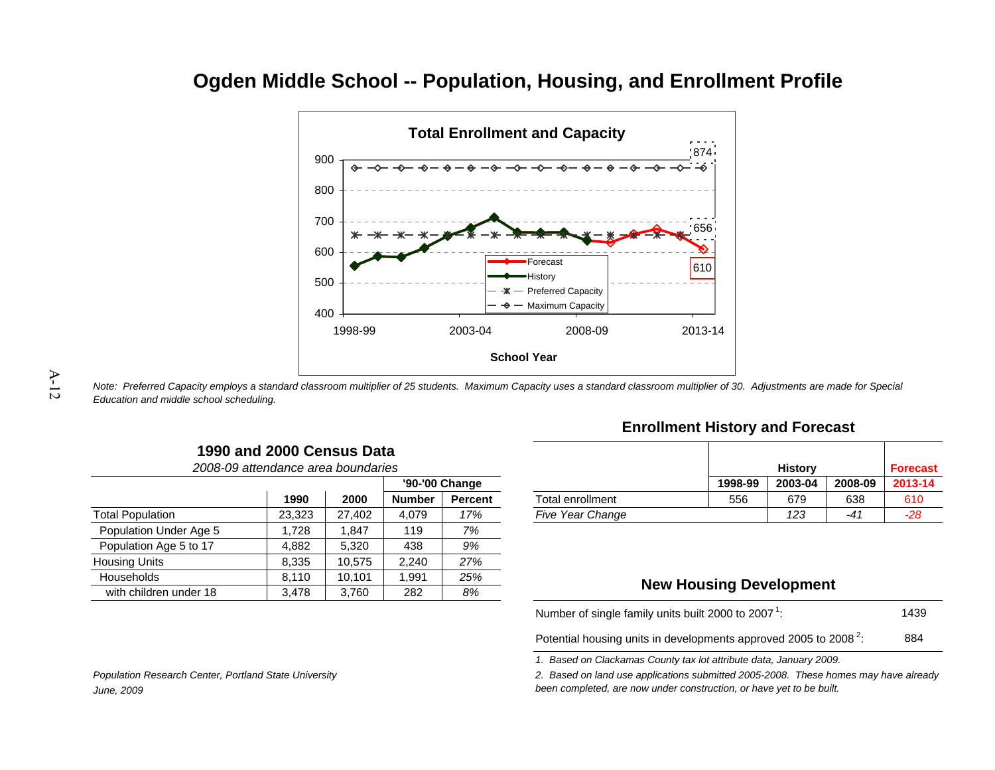# **Ogden Middle School -- Population, Housing, and Enrollment Profile**



*Note: Preferred Capacity employs a standard classroom multiplier of 25 students. Maximum Capacity uses a standard classroom multiplier of 30. Adjustments are made for Special Education and middle school scheduling.*

|                         | 2008-09 attendance area boundaries |        |               |                |                         |                                | <b>History</b> |         | <b>Forec</b> |
|-------------------------|------------------------------------|--------|---------------|----------------|-------------------------|--------------------------------|----------------|---------|--------------|
|                         |                                    |        |               | '90-'00 Change |                         | 1998-99                        | 2003-04        | 2008-09 | $2013 -$     |
|                         | 1990                               | 2000   | <b>Number</b> | <b>Percent</b> | Total enrollment        | 556                            | 679            | 638     | 610          |
| <b>Total Population</b> | 23,323                             | 27.402 | 4.079         | 17%            | <b>Five Year Change</b> |                                | 123            | $-41$   | $-28$        |
| Population Under Age 5  | .728                               | .847   | 119           | 7%             |                         |                                |                |         |              |
| Population Age 5 to 17  | 4,882                              | 5.320  | 438           | 9%             |                         |                                |                |         |              |
| <b>Housing Units</b>    | 8,335                              | 10.575 | 2.240         | 27%            |                         |                                |                |         |              |
| <b>Households</b>       | 8.110                              | 10.101 | 1.991         | 25%            |                         |                                |                |         |              |
| with children under 18  | 3.478                              | 3.760  | 282           | 8%             |                         | <b>New Housing Development</b> |                |         |              |

**1990 and 2000 Census Data**

#### **Enrollment History and Forecast**

| s      |                |                         |         | <b>History</b>     |       |       |  |
|--------|----------------|-------------------------|---------|--------------------|-------|-------|--|
|        | '90-'00 Change |                         | 1998-99 | 2003-04<br>2008-09 |       |       |  |
| Number | <b>Percent</b> | Total enrollment        | 556     | 679                | 638   | 610   |  |
| 4.079  | 17%            | <b>Five Year Change</b> |         | 123                | $-41$ | $-28$ |  |

#### **New Housing Development**

1439Number of single family units built 2000 to 2007  $^1$ :

884Potential housing units in developments approved 2005 to 2008  $^2$ :

*1. Based on Clackamas County tax lot attribute data, January 2009.*

*2. Based on land use applications submitted 2005-2008. These homes may have already been completed, are now under construction, or have yet to be built.*